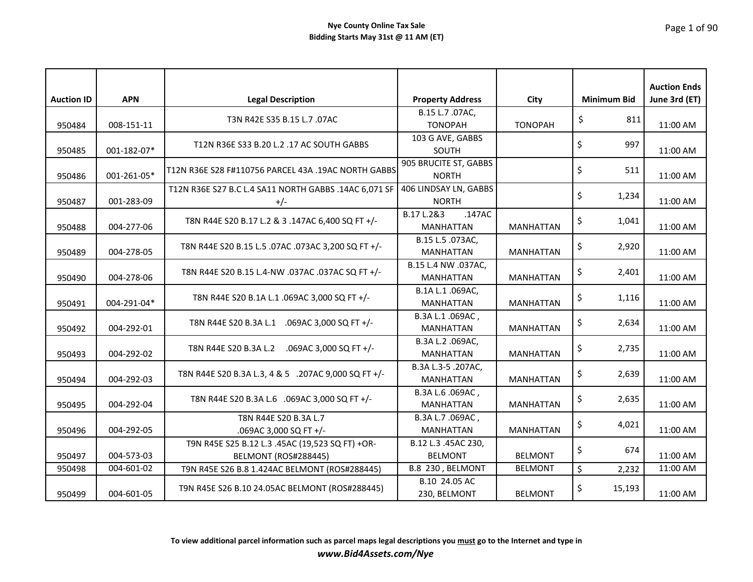|                   |             |                                                                                |                                                       |                  |                    | <b>Auction Ends</b> |
|-------------------|-------------|--------------------------------------------------------------------------------|-------------------------------------------------------|------------------|--------------------|---------------------|
| <b>Auction ID</b> | <b>APN</b>  | <b>Legal Description</b>                                                       | <b>Property Address</b>                               | City             | <b>Minimum Bid</b> | June 3rd (ET)       |
| 950484            | 008-151-11  | T3N R42E S35 B.15 L.7 .07AC                                                    | B.15 L.7 .07AC,<br><b>TONOPAH</b>                     | <b>TONOPAH</b>   | \$<br>811          | 11:00 AM            |
| 950485            | 001-182-07* | T12N R36E S33 B.20 L.2 .17 AC SOUTH GABBS                                      | 103 G AVE, GABBS<br><b>SOUTH</b>                      |                  | \$<br>997          | 11:00 AM            |
| 950486            | 001-261-05* | T12N R36E S28 F#110756 PARCEL 43A .19AC NORTH GABBS                            | 905 BRUCITE ST, GABBS<br><b>NORTH</b>                 |                  | \$<br>511          | 11:00 AM            |
| 950487            | 001-283-09  | T12N R36E S27 B.C L.4 SA11 NORTH GABBS .14AC 6,071 SF                          | 406 LINDSAY LN, GABBS<br><b>NORTH</b>                 |                  | \$<br>1,234        | 11:00 AM            |
| 950488            | 004-277-06  | T8N R44E S20 B.17 L.2 & 3 .147AC 6,400 SQ FT +/-                               | $\overline{B.17}$ L.2&3<br>.147AC<br><b>MANHATTAN</b> | <b>MANHATTAN</b> | \$<br>1,041        | 11:00 AM            |
| 950489            | 004-278-05  | T8N R44E S20 B.15 L.5 .07AC .073AC 3,200 SQ FT +/-                             | B.15 L.5 .073AC,<br><b>MANHATTAN</b>                  | <b>MANHATTAN</b> | \$<br>2,920        | 11:00 AM            |
| 950490            | 004-278-06  | T8N R44E S20 B.15 L.4-NW .037AC .037AC SQ FT +/-                               | B.15 L.4 NW .037AC,<br><b>MANHATTAN</b>               | <b>MANHATTAN</b> | \$<br>2,401        | 11:00 AM            |
| 950491            | 004-291-04* | T8N R44E S20 B.1A L.1 .069AC 3,000 SQ FT +/-                                   | B.1A L.1 .069AC,<br><b>MANHATTAN</b>                  | <b>MANHATTAN</b> | \$<br>1,116        | 11:00 AM            |
| 950492            | 004-292-01  | T8N R44E S20 B.3A L.1 .069AC 3,000 SQ FT +/-                                   | B.3A L.1.069AC,<br><b>MANHATTAN</b>                   | <b>MANHATTAN</b> | \$<br>2,634        | 11:00 AM            |
| 950493            | 004-292-02  | T8N R44E S20 B.3A L.2 .069AC 3,000 SQ FT +/-                                   | B.3A L.2 .069AC,<br><b>MANHATTAN</b>                  | <b>MANHATTAN</b> | \$<br>2,735        | 11:00 AM            |
| 950494            | 004-292-03  | T8N R44E S20 B.3A L.3, 4 & 5 .207AC 9,000 SQ FT +/-                            | B.3A L.3-5 .207AC,<br><b>MANHATTAN</b>                | <b>MANHATTAN</b> | \$<br>2,639        | 11:00 AM            |
| 950495            | 004-292-04  | T8N R44E S20 B.3A L.6 .069AC 3,000 SQ FT +/-                                   | B.3A L.6 .069AC,<br><b>MANHATTAN</b>                  | <b>MANHATTAN</b> | \$<br>2,635        | 11:00 AM            |
| 950496            | 004-292-05  | T8N R44E S20 B.3A L.7<br>.069AC 3,000 SQ FT +/-                                | B.3A L.7 .069AC,<br><b>MANHATTAN</b>                  | <b>MANHATTAN</b> | \$<br>4,021        | 11:00 AM            |
| 950497            | 004-573-03  | T9N R45E S25 B.12 L.3 .45AC (19,523 SQ FT) +OR-<br><b>BELMONT (ROS#288445)</b> | B.12 L.3 .45AC 230,<br><b>BELMONT</b>                 | <b>BELMONT</b>   | \$<br>674          | 11:00 AM            |
| 950498            | 004-601-02  | T9N R45E S26 B.8 1.424AC BELMONT (ROS#288445)                                  | B.8 230, BELMONT                                      | <b>BELMONT</b>   | \$<br>2,232        | 11:00 AM            |
| 950499            | 004-601-05  | T9N R45E S26 B.10 24.05AC BELMONT (ROS#288445)                                 | B.10 24.05 AC<br>230, BELMONT                         | <b>BELMONT</b>   | \$<br>15,193       | 11:00 AM            |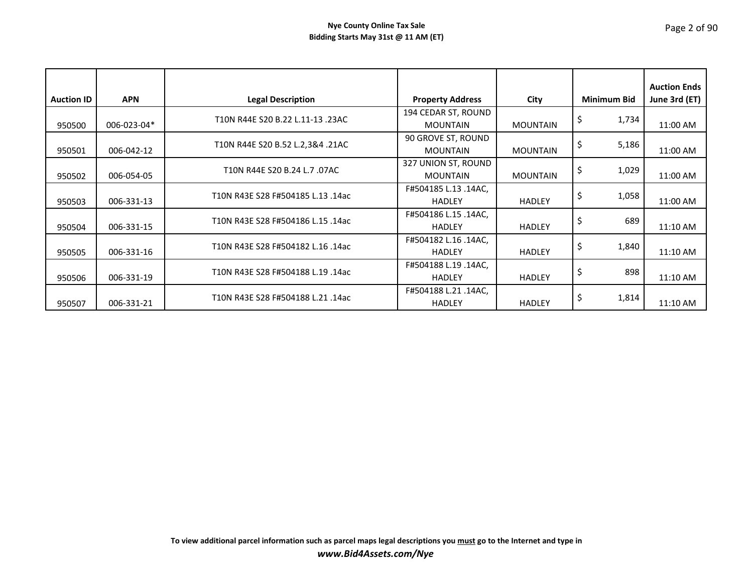| <b>Auction ID</b> | <b>APN</b>  | <b>Legal Description</b>          | <b>Property Address</b>                | City            | <b>Minimum Bid</b> | <b>Auction Ends</b><br>June 3rd (ET) |
|-------------------|-------------|-----------------------------------|----------------------------------------|-----------------|--------------------|--------------------------------------|
| 950500            | 006-023-04* | T10N R44E S20 B.22 L.11-13 .23AC  | 194 CEDAR ST, ROUND<br><b>MOUNTAIN</b> | <b>MOUNTAIN</b> | \$<br>1,734        | 11:00 AM                             |
| 950501            | 006-042-12  | T10N R44E S20 B.52 L.2,3&4 .21AC  | 90 GROVE ST, ROUND<br><b>MOUNTAIN</b>  | <b>MOUNTAIN</b> | \$<br>5,186        | 11:00 AM                             |
| 950502            | 006-054-05  | T10N R44E S20 B.24 L.7 .07AC      | 327 UNION ST, ROUND<br><b>MOUNTAIN</b> | <b>MOUNTAIN</b> | \$<br>1,029        | 11:00 AM                             |
| 950503            | 006-331-13  | T10N R43E S28 F#504185 L.13 .14ac | F#504185 L.13 .14AC,<br><b>HADLEY</b>  | <b>HADLEY</b>   | \$<br>1,058        | 11:00 AM                             |
| 950504            | 006-331-15  | T10N R43E S28 F#504186 L.15 .14ac | F#504186 L.15 .14AC,<br><b>HADLEY</b>  | <b>HADLEY</b>   | \$<br>689          | 11:10 AM                             |
| 950505            | 006-331-16  | T10N R43E S28 F#504182 L.16 .14ac | F#504182 L.16 .14AC,<br><b>HADLEY</b>  | <b>HADLEY</b>   | \$<br>1,840        | 11:10 AM                             |
| 950506            | 006-331-19  | T10N R43E S28 F#504188 L.19 .14ac | F#504188 L.19 .14AC,<br><b>HADLEY</b>  | <b>HADLEY</b>   | \$<br>898          | 11:10 AM                             |
| 950507            | 006-331-21  | T10N R43E S28 F#504188 L.21 .14ac | F#504188 L.21 .14AC,<br><b>HADLEY</b>  | <b>HADLEY</b>   | \$<br>1,814        | 11:10 AM                             |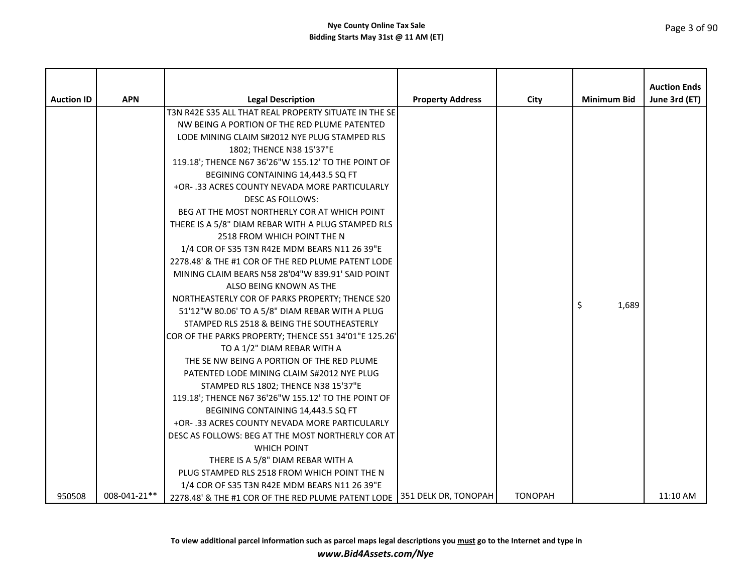| <b>Auction ID</b> | <b>APN</b>   | <b>Legal Description</b>                                                  | <b>Property Address</b> | City           | <b>Minimum Bid</b> | <b>Auction Ends</b><br>June 3rd (ET) |
|-------------------|--------------|---------------------------------------------------------------------------|-------------------------|----------------|--------------------|--------------------------------------|
|                   |              | T3N R42E S35 ALL THAT REAL PROPERTY SITUATE IN THE SE                     |                         |                |                    |                                      |
|                   |              | NW BEING A PORTION OF THE RED PLUME PATENTED                              |                         |                |                    |                                      |
|                   |              | LODE MINING CLAIM S#2012 NYE PLUG STAMPED RLS                             |                         |                |                    |                                      |
|                   |              | 1802; THENCE N38 15'37"E                                                  |                         |                |                    |                                      |
|                   |              | 119.18'; THENCE N67 36'26"W 155.12' TO THE POINT OF                       |                         |                |                    |                                      |
|                   |              | BEGINING CONTAINING 14,443.5 SQ FT                                        |                         |                |                    |                                      |
|                   |              | +OR- .33 ACRES COUNTY NEVADA MORE PARTICULARLY                            |                         |                |                    |                                      |
|                   |              | DESC AS FOLLOWS:                                                          |                         |                |                    |                                      |
|                   |              | BEG AT THE MOST NORTHERLY COR AT WHICH POINT                              |                         |                |                    |                                      |
|                   |              | THERE IS A 5/8" DIAM REBAR WITH A PLUG STAMPED RLS                        |                         |                |                    |                                      |
|                   |              | 2518 FROM WHICH POINT THE N                                               |                         |                |                    |                                      |
|                   |              | 1/4 COR OF S35 T3N R42E MDM BEARS N11 26 39"E                             |                         |                |                    |                                      |
|                   |              | 2278.48' & THE #1 COR OF THE RED PLUME PATENT LODE                        |                         |                |                    |                                      |
|                   |              | MINING CLAIM BEARS N58 28'04"W 839.91' SAID POINT                         |                         |                |                    |                                      |
|                   |              | ALSO BEING KNOWN AS THE                                                   |                         |                |                    |                                      |
|                   |              | NORTHEASTERLY COR OF PARKS PROPERTY; THENCE S20                           |                         |                | Ŝ.<br>1,689        |                                      |
|                   |              | 51'12"W 80.06' TO A 5/8" DIAM REBAR WITH A PLUG                           |                         |                |                    |                                      |
|                   |              | STAMPED RLS 2518 & BEING THE SOUTHEASTERLY                                |                         |                |                    |                                      |
|                   |              | COR OF THE PARKS PROPERTY; THENCE S51 34'01"E 125.26'                     |                         |                |                    |                                      |
|                   |              | TO A 1/2" DIAM REBAR WITH A                                               |                         |                |                    |                                      |
|                   |              | THE SE NW BEING A PORTION OF THE RED PLUME                                |                         |                |                    |                                      |
|                   |              | PATENTED LODE MINING CLAIM S#2012 NYE PLUG                                |                         |                |                    |                                      |
|                   |              | STAMPED RLS 1802; THENCE N38 15'37"E                                      |                         |                |                    |                                      |
|                   |              | 119.18'; THENCE N67 36'26"W 155.12' TO THE POINT OF                       |                         |                |                    |                                      |
|                   |              | BEGINING CONTAINING 14,443.5 SQ FT                                        |                         |                |                    |                                      |
|                   |              | +OR-.33 ACRES COUNTY NEVADA MORE PARTICULARLY                             |                         |                |                    |                                      |
|                   |              | DESC AS FOLLOWS: BEG AT THE MOST NORTHERLY COR AT                         |                         |                |                    |                                      |
|                   |              | <b>WHICH POINT</b>                                                        |                         |                |                    |                                      |
|                   |              | THERE IS A 5/8" DIAM REBAR WITH A                                         |                         |                |                    |                                      |
|                   |              | PLUG STAMPED RLS 2518 FROM WHICH POINT THE N                              |                         |                |                    |                                      |
|                   |              | 1/4 COR OF S35 T3N R42E MDM BEARS N11 26 39"E                             |                         |                |                    |                                      |
| 950508            | 008-041-21** | 2278.48' & THE #1 COR OF THE RED PLUME PATENT LODE   351 DELK DR, TONOPAH |                         | <b>TONOPAH</b> |                    | 11:10 AM                             |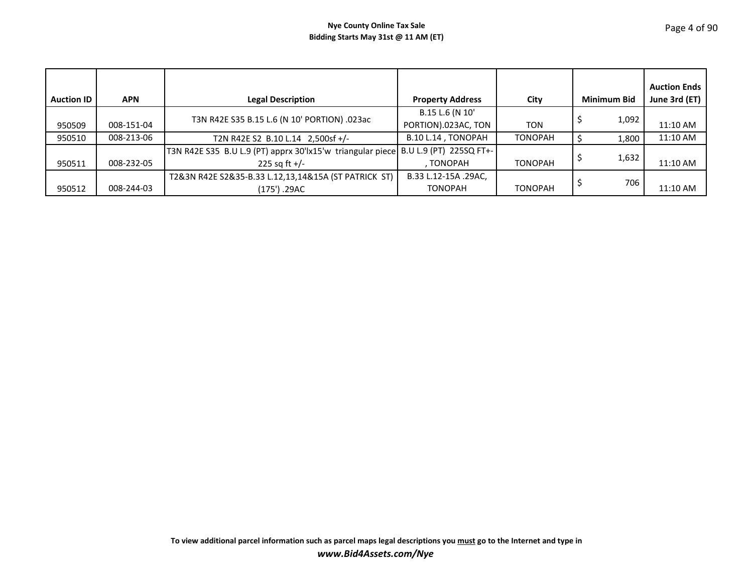| <b>Auction ID</b> | <b>APN</b> | <b>Legal Description</b>                                                           | <b>Property Address</b> | City           | <b>Minimum Bid</b> | <b>Auction Ends</b><br>June 3rd (ET) |
|-------------------|------------|------------------------------------------------------------------------------------|-------------------------|----------------|--------------------|--------------------------------------|
|                   |            | T3N R42E S35 B.15 L.6 (N 10' PORTION) .023ac                                       | B.15 L.6 (N 10'         |                | 1,092              |                                      |
| 950509            | 008-151-04 |                                                                                    | PORTION).023AC, TON     | TON            |                    | 11:10 AM                             |
| 950510            | 008-213-06 | T2N R42E S2 B.10 L.14 2,500sf +/-                                                  | B.10 L.14, TONOPAH      | <b>TONOPAH</b> | 1,800              | 11:10 AM                             |
|                   |            | T3N R42E S35 B.U L.9 (PT) apprx 30'lx15'w triangular piece B.U L.9 (PT) 225SQ FT+- |                         |                |                    |                                      |
| 950511            | 008-232-05 | 225 sq ft $+/-$                                                                    | , TONOPAH               | <b>TONOPAH</b> | 1,632              | 11:10 AM                             |
|                   |            | T2&3N R42E S2&35-B.33 L.12,13,14&15A (ST PATRICK ST)                               | B.33 L.12-15A .29AC,    |                |                    |                                      |
| 950512            | 008-244-03 | (175') .29AC                                                                       | <b>TONOPAH</b>          | <b>TONOPAH</b> | 706                | 11:10 AM                             |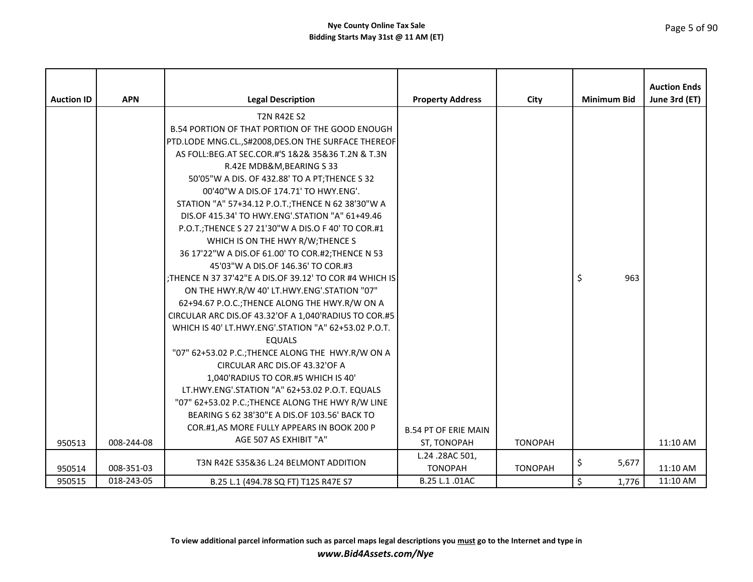| <b>Auction ID</b> | <b>APN</b> | <b>Legal Description</b>                                 | <b>Property Address</b>     | City           | <b>Minimum Bid</b> | <b>Auction Ends</b><br>June 3rd (ET) |
|-------------------|------------|----------------------------------------------------------|-----------------------------|----------------|--------------------|--------------------------------------|
|                   |            | <b>T2N R42E S2</b>                                       |                             |                |                    |                                      |
|                   |            | <b>B.54 PORTION OF THAT PORTION OF THE GOOD ENOUGH</b>   |                             |                |                    |                                      |
|                   |            | PTD.LODE MNG.CL., S#2008, DES.ON THE SURFACE THEREOF     |                             |                |                    |                                      |
|                   |            | AS FOLL:BEG.AT SEC.COR.#'S 1&2& 35&36 T.2N & T.3N        |                             |                |                    |                                      |
|                   |            | R.42E MDB&M, BEARING S 33                                |                             |                |                    |                                      |
|                   |            | 50'05"W A DIS. OF 432.88' TO A PT; THENCE S 32           |                             |                |                    |                                      |
|                   |            | 00'40"W A DIS.OF 174.71' TO HWY.ENG'.                    |                             |                |                    |                                      |
|                   |            | STATION "A" 57+34.12 P.O.T.; THENCE N 62 38'30"W A       |                             |                |                    |                                      |
|                   |            | DIS.OF 415.34' TO HWY.ENG'.STATION "A" 61+49.46          |                             |                |                    |                                      |
|                   |            | P.O.T.; THENCE S 27 21'30"W A DIS.O F 40' TO COR.#1      |                             |                |                    |                                      |
|                   |            | WHICH IS ON THE HWY R/W; THENCE S                        |                             |                |                    |                                      |
|                   |            | 36 17'22"W A DIS.OF 61.00' TO COR.#2; THENCE N 53        |                             |                |                    |                                      |
|                   |            | 45'03"W A DIS.OF 146.36' TO COR.#3                       |                             |                |                    |                                      |
|                   |            | : THENCE N 37 37'42"E A DIS.OF 39.12' TO COR #4 WHICH IS |                             |                | \$<br>963          |                                      |
|                   |            | ON THE HWY.R/W 40' LT.HWY.ENG'.STATION "07"              |                             |                |                    |                                      |
|                   |            | 62+94.67 P.O.C.; THENCE ALONG THE HWY.R/W ON A           |                             |                |                    |                                      |
|                   |            | CIRCULAR ARC DIS.OF 43.32'OF A 1,040'RADIUS TO COR.#5    |                             |                |                    |                                      |
|                   |            | WHICH IS 40' LT.HWY.ENG'.STATION "A" 62+53.02 P.O.T.     |                             |                |                    |                                      |
|                   |            | <b>EQUALS</b>                                            |                             |                |                    |                                      |
|                   |            | "07" 62+53.02 P.C.; THENCE ALONG THE HWY.R/W ON A        |                             |                |                    |                                      |
|                   |            | CIRCULAR ARC DIS.OF 43.32'OF A                           |                             |                |                    |                                      |
|                   |            | 1,040'RADIUS TO COR.#5 WHICH IS 40'                      |                             |                |                    |                                      |
|                   |            | LT.HWY.ENG'.STATION "A" 62+53.02 P.O.T. EQUALS           |                             |                |                    |                                      |
|                   |            | "07" 62+53.02 P.C.; THENCE ALONG THE HWY R/W LINE        |                             |                |                    |                                      |
|                   |            | BEARING S 62 38'30"E A DIS.OF 103.56' BACK TO            |                             |                |                    |                                      |
|                   |            | COR.#1,AS MORE FULLY APPEARS IN BOOK 200 P               | <b>B.54 PT OF ERIE MAIN</b> |                |                    |                                      |
| 950513            | 008-244-08 | AGE 507 AS EXHIBIT "A"                                   | ST, TONOPAH                 | <b>TONOPAH</b> |                    | 11:10 AM                             |
|                   |            |                                                          | L.24 .28AC 501,             |                |                    |                                      |
| 950514            | 008-351-03 | T3N R42E S35&36 L.24 BELMONT ADDITION                    | <b>TONOPAH</b>              | <b>TONOPAH</b> | \$<br>5,677        | 11:10 AM                             |
| 950515            | 018-243-05 | B.25 L.1 (494.78 SQ FT) T12S R47E S7                     | B.25 L.1 .01AC              |                | \$<br>1,776        | 11:10 AM                             |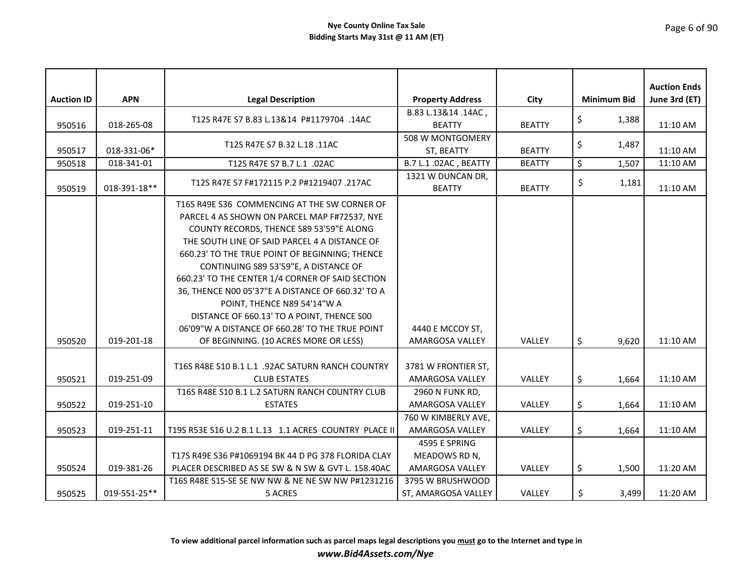|                   |              |                                                       |                                      |               |                    | <b>Auction Ends</b> |
|-------------------|--------------|-------------------------------------------------------|--------------------------------------|---------------|--------------------|---------------------|
| <b>Auction ID</b> | <b>APN</b>   | <b>Legal Description</b>                              | <b>Property Address</b>              | City          | <b>Minimum Bid</b> | June 3rd (ET)       |
| 950516            | 018-265-08   | T12S R47E S7 B.83 L.13&14 P#1179704 .14AC             | B.83 L.13&14 .14AC,<br><b>BEATTY</b> | <b>BEATTY</b> | \$<br>1,388        | 11:10 AM            |
| 950517            | 018-331-06*  | T12S R47E S7 B.32 L.18 .11AC                          | 508 W MONTGOMERY<br>ST, BEATTY       | <b>BEATTY</b> | \$<br>1,487        | 11:10 AM            |
| 950518            | 018-341-01   | T12S R47E S7 B.7 L.1 .02AC                            | B.7 L.1 .02AC, BEATTY                | <b>BEATTY</b> | \$<br>1,507        | 11:10 AM            |
|                   |              |                                                       | 1321 W DUNCAN DR,                    |               |                    |                     |
| 950519            | 018-391-18** | T12S R47E S7 F#172115 P.2 P#1219407 .217AC            | <b>BEATTY</b>                        | <b>BEATTY</b> | \$<br>1,181        | 11:10 AM            |
|                   |              | T16S R49E S36 COMMENCING AT THE SW CORNER OF          |                                      |               |                    |                     |
|                   |              | PARCEL 4 AS SHOWN ON PARCEL MAP F#72537, NYE          |                                      |               |                    |                     |
|                   |              | COUNTY RECORDS, THENCE S89 53'59"E ALONG              |                                      |               |                    |                     |
|                   |              | THE SOUTH LINE OF SAID PARCEL 4 A DISTANCE OF         |                                      |               |                    |                     |
|                   |              | 660.23' TO THE TRUE POINT OF BEGINNING; THENCE        |                                      |               |                    |                     |
|                   |              | CONTINUING S89 53'59"E, A DISTANCE OF                 |                                      |               |                    |                     |
|                   |              | 660.23' TO THE CENTER 1/4 CORNER OF SAID SECTION      |                                      |               |                    |                     |
|                   |              | 36, THENCE N00 05'37"E A DISTANCE OF 660.32' TO A     |                                      |               |                    |                     |
|                   |              | POINT, THENCE N89 54'14"W A                           |                                      |               |                    |                     |
|                   |              | DISTANCE OF 660.13' TO A POINT, THENCE S00            |                                      |               |                    |                     |
|                   |              | 06'09"W A DISTANCE OF 660.28' TO THE TRUE POINT       | 4440 E MCCOY ST,                     |               |                    |                     |
| 950520            | 019-201-18   | OF BEGINNING. (10 ACRES MORE OR LESS)                 | AMARGOSA VALLEY                      | VALLEY        | \$<br>9,620        | 11:10 AM            |
|                   |              |                                                       |                                      |               |                    |                     |
|                   |              | T16S R48E S10 B.1 L.1 .92AC SATURN RANCH COUNTRY      | 3781 W FRONTIER ST,                  |               |                    |                     |
| 950521            | 019-251-09   | <b>CLUB ESTATES</b>                                   | AMARGOSA VALLEY                      | VALLEY        | \$<br>1,664        | 11:10 AM            |
|                   |              | T16S R48E S10 B.1 L.2 SATURN RANCH COUNTRY CLUB       | 2960 N FUNK RD,                      |               |                    |                     |
| 950522            | 019-251-10   | <b>ESTATES</b>                                        | AMARGOSA VALLEY                      | VALLEY        | \$<br>1,664        | 11:10 AM            |
|                   |              |                                                       | 760 W KIMBERLY AVE,                  |               |                    |                     |
| 950523            | 019-251-11   | T19S R53E S16 U.2 B.1 L.13 1.1 ACRES COUNTRY PLACE II | <b>AMARGOSA VALLEY</b>               | <b>VALLEY</b> | \$<br>1,664        | 11:10 AM            |
|                   |              |                                                       | 4595 E SPRING                        |               |                    |                     |
|                   |              | T17S R49E S36 P#1069194 BK 44 D PG 378 FLORIDA CLAY   | MEADOWS RD N,                        |               |                    |                     |
| 950524            | 019-381-26   | PLACER DESCRIBED AS SE SW & N SW & GVT L. 158.40AC    | AMARGOSA VALLEY                      | VALLEY        | \$<br>1,500        | 11:20 AM            |
|                   |              | T16S R48E S15-SE SE NW NW & NE NE SW NW P#1231216     | 3795 W BRUSHWOOD                     |               |                    |                     |
| 950525            | 019-551-25** | 5 ACRES                                               | ST, AMARGOSA VALLEY                  | VALLEY        | \$<br>3,499        | 11:20 AM            |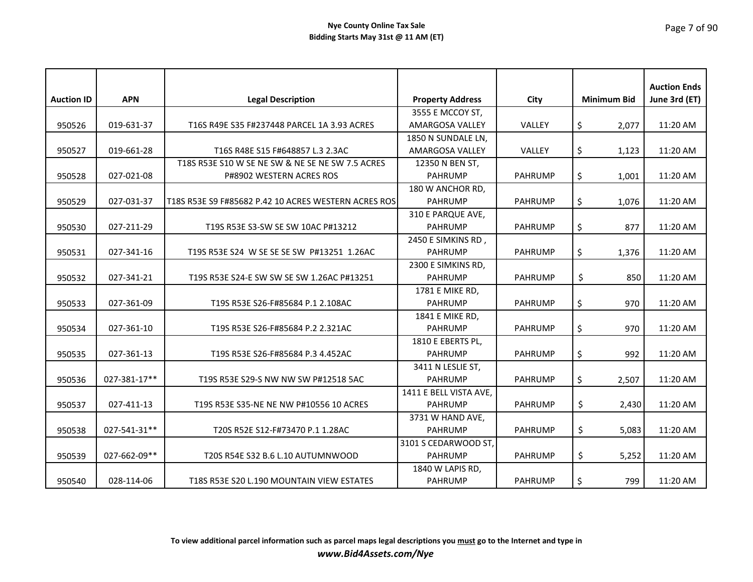| <b>Auction ID</b> | <b>APN</b>   | <b>Legal Description</b>                             | <b>Property Address</b> | City           | <b>Minimum Bid</b> | <b>Auction Ends</b><br>June 3rd (ET) |
|-------------------|--------------|------------------------------------------------------|-------------------------|----------------|--------------------|--------------------------------------|
|                   |              |                                                      | 3555 E MCCOY ST,        |                |                    |                                      |
| 950526            | 019-631-37   | T16S R49E S35 F#237448 PARCEL 1A 3.93 ACRES          | AMARGOSA VALLEY         | VALLEY         | \$<br>2,077        | 11:20 AM                             |
|                   |              |                                                      | 1850 N SUNDALE LN,      |                |                    |                                      |
| 950527            | 019-661-28   | T16S R48E S15 F#648857 L.3 2.3AC                     | AMARGOSA VALLEY         | VALLEY         | \$<br>1,123        | 11:20 AM                             |
|                   |              | T18S R53E S10 W SE NE SW & NE SE NE SW 7.5 ACRES     | 12350 N BEN ST,         |                |                    |                                      |
| 950528            | 027-021-08   | P#8902 WESTERN ACRES ROS                             | <b>PAHRUMP</b>          | <b>PAHRUMP</b> | \$<br>1,001        | 11:20 AM                             |
|                   |              |                                                      | 180 W ANCHOR RD,        |                |                    |                                      |
| 950529            | 027-031-37   | T18S R53E S9 F#85682 P.42 10 ACRES WESTERN ACRES ROS | <b>PAHRUMP</b>          | <b>PAHRUMP</b> | \$<br>1,076        | 11:20 AM                             |
|                   |              |                                                      | 310 E PARQUE AVE,       |                |                    |                                      |
| 950530            | 027-211-29   | T19S R53E S3-SW SE SW 10AC P#13212                   | <b>PAHRUMP</b>          | <b>PAHRUMP</b> | \$<br>877          | 11:20 AM                             |
|                   |              |                                                      | 2450 E SIMKINS RD,      |                |                    |                                      |
| 950531            | 027-341-16   | T19S R53E S24 W SE SE SE SW P#13251 1.26AC           | <b>PAHRUMP</b>          | <b>PAHRUMP</b> | \$<br>1,376        | 11:20 AM                             |
|                   |              |                                                      | 2300 E SIMKINS RD,      |                |                    |                                      |
| 950532            | 027-341-21   | T19S R53E S24-E SW SW SE SW 1.26AC P#13251           | <b>PAHRUMP</b>          | <b>PAHRUMP</b> | \$<br>850          | 11:20 AM                             |
|                   |              |                                                      | 1781 E MIKE RD,         |                |                    |                                      |
| 950533            | 027-361-09   | T19S R53E S26-F#85684 P.1 2.108AC                    | <b>PAHRUMP</b>          | <b>PAHRUMP</b> | \$<br>970          | 11:20 AM                             |
|                   |              |                                                      | 1841 E MIKE RD,         |                |                    |                                      |
| 950534            | 027-361-10   | T19S R53E S26-F#85684 P.2 2.321AC                    | <b>PAHRUMP</b>          | <b>PAHRUMP</b> | \$<br>970          | 11:20 AM                             |
|                   |              |                                                      | 1810 E EBERTS PL,       |                |                    |                                      |
| 950535            | 027-361-13   | T19S R53E S26-F#85684 P.3 4.452AC                    | <b>PAHRUMP</b>          | <b>PAHRUMP</b> | \$<br>992          | 11:20 AM                             |
|                   |              |                                                      | 3411 N LESLIE ST,       |                |                    |                                      |
| 950536            | 027-381-17** | T19S R53E S29-S NW NW SW P#12518 5AC                 | <b>PAHRUMP</b>          | <b>PAHRUMP</b> | \$<br>2,507        | 11:20 AM                             |
|                   |              |                                                      | 1411 E BELL VISTA AVE,  |                |                    |                                      |
| 950537            | 027-411-13   | T19S R53E S35-NE NE NW P#10556 10 ACRES              | <b>PAHRUMP</b>          | <b>PAHRUMP</b> | \$<br>2,430        | 11:20 AM                             |
|                   |              |                                                      | 3731 W HAND AVE,        |                |                    |                                      |
| 950538            | 027-541-31** | T20S R52E S12-F#73470 P.1 1.28AC                     | <b>PAHRUMP</b>          | <b>PAHRUMP</b> | \$<br>5,083        | 11:20 AM                             |
|                   |              |                                                      | 3101 S CEDARWOOD ST,    |                |                    |                                      |
| 950539            | 027-662-09** | T20S R54E S32 B.6 L.10 AUTUMNWOOD                    | <b>PAHRUMP</b>          | <b>PAHRUMP</b> | \$<br>5,252        | 11:20 AM                             |
|                   |              |                                                      | 1840 W LAPIS RD,        |                |                    |                                      |
| 950540            | 028-114-06   | T18S R53E S20 L.190 MOUNTAIN VIEW ESTATES            | <b>PAHRUMP</b>          | <b>PAHRUMP</b> | \$<br>799          | 11:20 AM                             |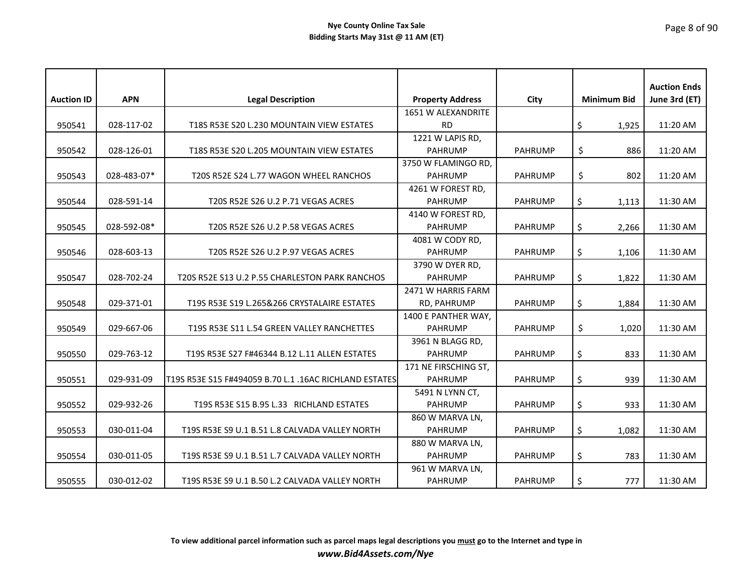|                   |             |                                                        |                         |                |                    | <b>Auction Ends</b> |
|-------------------|-------------|--------------------------------------------------------|-------------------------|----------------|--------------------|---------------------|
| <b>Auction ID</b> | <b>APN</b>  | <b>Legal Description</b>                               | <b>Property Address</b> | City           | <b>Minimum Bid</b> | June 3rd (ET)       |
|                   |             |                                                        | 1651 W ALEXANDRITE      |                |                    |                     |
| 950541            | 028-117-02  | T18S R53E S20 L.230 MOUNTAIN VIEW ESTATES              | <b>RD</b>               |                | \$<br>1,925        | 11:20 AM            |
|                   |             |                                                        | 1221 W LAPIS RD,        |                |                    |                     |
| 950542            | 028-126-01  | T18S R53E S20 L.205 MOUNTAIN VIEW ESTATES              | <b>PAHRUMP</b>          | <b>PAHRUMP</b> | \$<br>886          | 11:20 AM            |
|                   |             |                                                        | 3750 W FLAMINGO RD,     |                |                    |                     |
| 950543            | 028-483-07* | T20S R52E S24 L.77 WAGON WHEEL RANCHOS                 | <b>PAHRUMP</b>          | <b>PAHRUMP</b> | \$<br>802          | 11:20 AM            |
|                   |             |                                                        | 4261 W FOREST RD,       |                |                    |                     |
| 950544            | 028-591-14  | T20S R52E S26 U.2 P.71 VEGAS ACRES                     | <b>PAHRUMP</b>          | <b>PAHRUMP</b> | \$<br>1,113        | 11:30 AM            |
|                   |             |                                                        | 4140 W FOREST RD,       |                |                    |                     |
| 950545            | 028-592-08* | T20S R52E S26 U.2 P.58 VEGAS ACRES                     | <b>PAHRUMP</b>          | <b>PAHRUMP</b> | \$<br>2,266        | 11:30 AM            |
|                   |             |                                                        | 4081 W CODY RD,         |                |                    |                     |
| 950546            | 028-603-13  | T20S R52E S26 U.2 P.97 VEGAS ACRES                     | <b>PAHRUMP</b>          | <b>PAHRUMP</b> | \$<br>1,106        | 11:30 AM            |
|                   |             |                                                        | 3790 W DYER RD,         |                |                    |                     |
| 950547            | 028-702-24  | T20S R52E S13 U.2 P.55 CHARLESTON PARK RANCHOS         | <b>PAHRUMP</b>          | <b>PAHRUMP</b> | \$<br>1,822        | 11:30 AM            |
|                   |             |                                                        | 2471 W HARRIS FARM      |                |                    |                     |
| 950548            | 029-371-01  | T19S R53E S19 L.265&266 CRYSTALAIRE ESTATES            | RD, PAHRUMP             | <b>PAHRUMP</b> | \$<br>1,884        | 11:30 AM            |
|                   |             |                                                        | 1400 E PANTHER WAY,     |                |                    |                     |
| 950549            | 029-667-06  | T19S R53E S11 L.54 GREEN VALLEY RANCHETTES             | <b>PAHRUMP</b>          | <b>PAHRUMP</b> | \$<br>1,020        | 11:30 AM            |
|                   |             |                                                        | 3961 N BLAGG RD,        |                |                    |                     |
| 950550            | 029-763-12  | T19S R53E S27 F#46344 B.12 L.11 ALLEN ESTATES          | <b>PAHRUMP</b>          | <b>PAHRUMP</b> | \$<br>833          | 11:30 AM            |
|                   |             |                                                        | 171 NE FIRSCHING ST,    |                |                    |                     |
| 950551            | 029-931-09  | T19S R53E S15 F#494059 B.70 L.1 .16AC RICHLAND ESTATES | <b>PAHRUMP</b>          | <b>PAHRUMP</b> | \$<br>939          | 11:30 AM            |
|                   |             |                                                        | 5491 N LYNN CT,         |                |                    |                     |
| 950552            | 029-932-26  | T19S R53E S15 B.95 L.33 RICHLAND ESTATES               | <b>PAHRUMP</b>          | <b>PAHRUMP</b> | \$<br>933          | 11:30 AM            |
|                   |             |                                                        | 860 W MARVA LN,         |                |                    |                     |
| 950553            | 030-011-04  | T19S R53E S9 U.1 B.51 L.8 CALVADA VALLEY NORTH         | <b>PAHRUMP</b>          | <b>PAHRUMP</b> | \$<br>1,082        | 11:30 AM            |
|                   |             |                                                        | 880 W MARVA LN,         |                |                    |                     |
| 950554            | 030-011-05  | T19S R53E S9 U.1 B.51 L.7 CALVADA VALLEY NORTH         | <b>PAHRUMP</b>          | <b>PAHRUMP</b> | \$<br>783          | 11:30 AM            |
|                   |             |                                                        | 961 W MARVA LN,         |                |                    |                     |
| 950555            | 030-012-02  | T19S R53E S9 U.1 B.50 L.2 CALVADA VALLEY NORTH         | PAHRUMP                 | <b>PAHRUMP</b> | \$<br>777          | 11:30 AM            |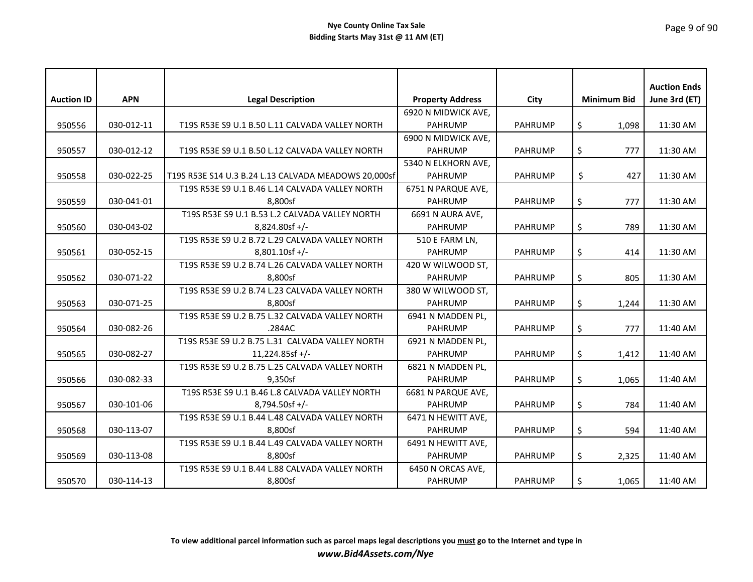# Page 9 of 90

| <b>Auction ID</b> | <b>APN</b> | <b>Legal Description</b>                             | <b>Property Address</b> | City           | <b>Minimum Bid</b> | <b>Auction Ends</b><br>June 3rd (ET) |
|-------------------|------------|------------------------------------------------------|-------------------------|----------------|--------------------|--------------------------------------|
|                   |            |                                                      | 6920 N MIDWICK AVE,     |                |                    |                                      |
| 950556            | 030-012-11 | T19S R53E S9 U.1 B.50 L.11 CALVADA VALLEY NORTH      | <b>PAHRUMP</b>          | <b>PAHRUMP</b> | \$<br>1,098        | 11:30 AM                             |
|                   |            |                                                      | 6900 N MIDWICK AVE,     |                |                    |                                      |
| 950557            | 030-012-12 | T19S R53E S9 U.1 B.50 L.12 CALVADA VALLEY NORTH      | <b>PAHRUMP</b>          | <b>PAHRUMP</b> | \$<br>777          | 11:30 AM                             |
|                   |            |                                                      | 5340 N ELKHORN AVE,     |                |                    |                                      |
| 950558            | 030-022-25 | T19S R53E S14 U.3 B.24 L.13 CALVADA MEADOWS 20.000sf | <b>PAHRUMP</b>          | <b>PAHRUMP</b> | \$<br>427          | 11:30 AM                             |
|                   |            | T19S R53E S9 U.1 B.46 L.14 CALVADA VALLEY NORTH      | 6751 N PARQUE AVE,      |                |                    |                                      |
| 950559            | 030-041-01 | 8,800sf                                              | <b>PAHRUMP</b>          | <b>PAHRUMP</b> | \$<br>777          | 11:30 AM                             |
|                   |            | T19S R53E S9 U.1 B.53 L.2 CALVADA VALLEY NORTH       | 6691 N AURA AVE,        |                |                    |                                      |
| 950560            | 030-043-02 | $8,824.80$ sf +/-                                    | <b>PAHRUMP</b>          | <b>PAHRUMP</b> | \$<br>789          | 11:30 AM                             |
|                   |            | T19S R53E S9 U.2 B.72 L.29 CALVADA VALLEY NORTH      | 510 E FARM LN,          |                |                    |                                      |
| 950561            | 030-052-15 | 8,801.10sf +/-                                       | <b>PAHRUMP</b>          | <b>PAHRUMP</b> | \$<br>414          | 11:30 AM                             |
|                   |            | T19S R53E S9 U.2 B.74 L.26 CALVADA VALLEY NORTH      | 420 W WILWOOD ST,       |                |                    |                                      |
| 950562            | 030-071-22 | 8.800sf                                              | <b>PAHRUMP</b>          | <b>PAHRUMP</b> | \$<br>805          | 11:30 AM                             |
|                   |            | T19S R53E S9 U.2 B.74 L.23 CALVADA VALLEY NORTH      | 380 W WILWOOD ST,       |                |                    |                                      |
| 950563            | 030-071-25 | 8,800sf                                              | <b>PAHRUMP</b>          | <b>PAHRUMP</b> | \$<br>1,244        | 11:30 AM                             |
|                   |            | T19S R53E S9 U.2 B.75 L.32 CALVADA VALLEY NORTH      | 6941 N MADDEN PL,       |                |                    |                                      |
| 950564            | 030-082-26 | .284AC                                               | PAHRUMP                 | <b>PAHRUMP</b> | \$<br>777          | 11:40 AM                             |
|                   |            | T19S R53E S9 U.2 B.75 L.31 CALVADA VALLEY NORTH      | 6921 N MADDEN PL,       |                |                    |                                      |
| 950565            | 030-082-27 | $11,224.85$ sf +/-                                   | <b>PAHRUMP</b>          | <b>PAHRUMP</b> | \$<br>1,412        | 11:40 AM                             |
|                   |            | T19S R53E S9 U.2 B.75 L.25 CALVADA VALLEY NORTH      | 6821 N MADDEN PL,       |                |                    |                                      |
| 950566            | 030-082-33 | 9,350sf                                              | <b>PAHRUMP</b>          | <b>PAHRUMP</b> | \$<br>1,065        | 11:40 AM                             |
|                   |            | T19S R53E S9 U.1 B.46 L.8 CALVADA VALLEY NORTH       | 6681 N PARQUE AVE,      |                |                    |                                      |
| 950567            | 030-101-06 | 8,794.50sf +/-                                       | <b>PAHRUMP</b>          | <b>PAHRUMP</b> | \$<br>784          | 11:40 AM                             |
|                   |            | T19S R53E S9 U.1 B.44 L.48 CALVADA VALLEY NORTH      | 6471 N HEWITT AVE,      |                |                    |                                      |
| 950568            | 030-113-07 | 8,800sf                                              | PAHRUMP                 | <b>PAHRUMP</b> | \$<br>594          | 11:40 AM                             |
|                   |            | T19S R53E S9 U.1 B.44 L.49 CALVADA VALLEY NORTH      | 6491 N HEWITT AVE,      |                |                    |                                      |
| 950569            | 030-113-08 | 8,800sf                                              | <b>PAHRUMP</b>          | <b>PAHRUMP</b> | \$<br>2,325        | 11:40 AM                             |
|                   |            | T19S R53E S9 U.1 B.44 L.88 CALVADA VALLEY NORTH      | 6450 N ORCAS AVE,       |                |                    |                                      |
| 950570            | 030-114-13 | 8,800sf                                              | PAHRUMP                 | <b>PAHRUMP</b> | \$<br>1,065        | 11:40 AM                             |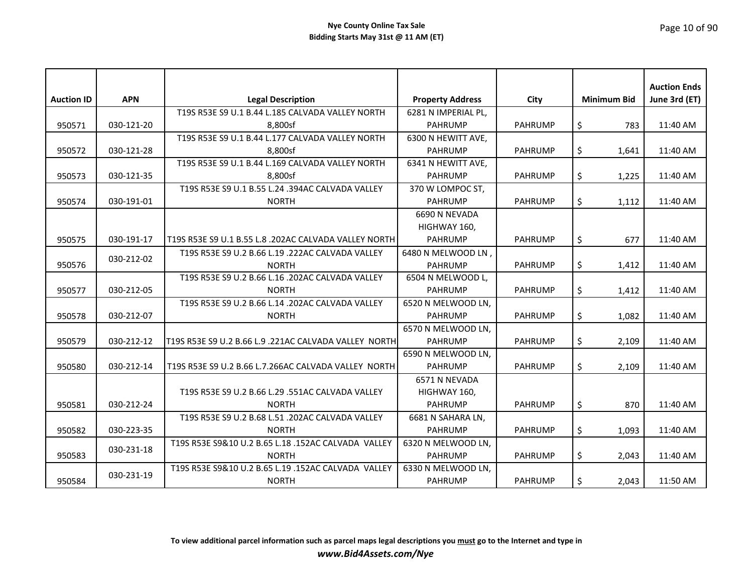|                   |            |                                                       |                         |                |                    | <b>Auction Ends</b> |
|-------------------|------------|-------------------------------------------------------|-------------------------|----------------|--------------------|---------------------|
| <b>Auction ID</b> | <b>APN</b> | <b>Legal Description</b>                              | <b>Property Address</b> | <b>City</b>    | <b>Minimum Bid</b> | June 3rd (ET)       |
|                   |            | T19S R53E S9 U.1 B.44 L.185 CALVADA VALLEY NORTH      | 6281 N IMPERIAL PL,     |                |                    |                     |
| 950571            | 030-121-20 | 8,800sf                                               | <b>PAHRUMP</b>          | <b>PAHRUMP</b> | \$<br>783          | 11:40 AM            |
|                   |            | T19S R53E S9 U.1 B.44 L.177 CALVADA VALLEY NORTH      | 6300 N HEWITT AVE,      |                |                    |                     |
| 950572            | 030-121-28 | 8.800sf                                               | <b>PAHRUMP</b>          | <b>PAHRUMP</b> | \$<br>1,641        | 11:40 AM            |
|                   |            | T19S R53E S9 U.1 B.44 L.169 CALVADA VALLEY NORTH      | 6341 N HEWITT AVE,      |                |                    |                     |
| 950573            | 030-121-35 | 8.800sf                                               | <b>PAHRUMP</b>          | <b>PAHRUMP</b> | \$<br>1,225        | 11:40 AM            |
|                   |            | T19S R53E S9 U.1 B.55 L.24 .394AC CALVADA VALLEY      | 370 W LOMPOC ST,        |                |                    |                     |
| 950574            | 030-191-01 | <b>NORTH</b>                                          | <b>PAHRUMP</b>          | <b>PAHRUMP</b> | \$<br>1,112        | 11:40 AM            |
|                   |            |                                                       | 6690 N NEVADA           |                |                    |                     |
|                   |            |                                                       | HIGHWAY 160,            |                |                    |                     |
| 950575            | 030-191-17 | T19S R53E S9 U.1 B.55 L.8 .202AC CALVADA VALLEY NORTH | <b>PAHRUMP</b>          | <b>PAHRUMP</b> | \$<br>677          | 11:40 AM            |
|                   | 030-212-02 | T19S R53E S9 U.2 B.66 L.19 .222AC CALVADA VALLEY      | 6480 N MELWOOD LN,      |                |                    |                     |
| 950576            |            | <b>NORTH</b>                                          | <b>PAHRUMP</b>          | <b>PAHRUMP</b> | \$<br>1,412        | 11:40 AM            |
|                   |            | T19S R53E S9 U.2 B.66 L.16 .202AC CALVADA VALLEY      | 6504 N MELWOOD L,       |                |                    |                     |
| 950577            | 030-212-05 | <b>NORTH</b>                                          | <b>PAHRUMP</b>          | <b>PAHRUMP</b> | \$<br>1,412        | 11:40 AM            |
|                   |            | T19S R53E S9 U.2 B.66 L.14 .202AC CALVADA VALLEY      | 6520 N MELWOOD LN,      |                |                    |                     |
| 950578            | 030-212-07 | <b>NORTH</b>                                          | <b>PAHRUMP</b>          | <b>PAHRUMP</b> | \$<br>1,082        | 11:40 AM            |
|                   |            |                                                       | 6570 N MELWOOD LN.      |                |                    |                     |
| 950579            | 030-212-12 | T19S R53E S9 U.2 B.66 L.9 .221AC CALVADA VALLEY NORTH | <b>PAHRUMP</b>          | <b>PAHRUMP</b> | \$<br>2,109        | 11:40 AM            |
|                   |            |                                                       | 6590 N MELWOOD LN,      |                |                    |                     |
| 950580            | 030-212-14 | T19S R53E S9 U.2 B.66 L.7.266AC CALVADA VALLEY NORTH  | <b>PAHRUMP</b>          | <b>PAHRUMP</b> | \$<br>2,109        | 11:40 AM            |
|                   |            |                                                       | 6571 N NEVADA           |                |                    |                     |
|                   |            | T19S R53E S9 U.2 B.66 L.29 .551AC CALVADA VALLEY      | HIGHWAY 160,            |                |                    |                     |
| 950581            | 030-212-24 | <b>NORTH</b>                                          | <b>PAHRUMP</b>          | <b>PAHRUMP</b> | \$<br>870          | 11:40 AM            |
|                   |            | T19S R53E S9 U.2 B.68 L.51 .202AC CALVADA VALLEY      | 6681 N SAHARA LN,       |                |                    |                     |
| 950582            | 030-223-35 | <b>NORTH</b>                                          | <b>PAHRUMP</b>          | <b>PAHRUMP</b> | \$<br>1,093        | 11:40 AM            |
|                   | 030-231-18 | T19S R53E S9&10 U.2 B.65 L.18 .152AC CALVADA VALLEY   | 6320 N MELWOOD LN,      |                |                    |                     |
| 950583            |            | <b>NORTH</b>                                          | <b>PAHRUMP</b>          | <b>PAHRUMP</b> | \$<br>2,043        | 11:40 AM            |
|                   |            | T19S R53E S9&10 U.2 B.65 L.19 .152AC CALVADA VALLEY   | 6330 N MELWOOD LN,      |                |                    |                     |
| 950584            | 030-231-19 | <b>NORTH</b>                                          | <b>PAHRUMP</b>          | <b>PAHRUMP</b> | \$<br>2,043        | 11:50 AM            |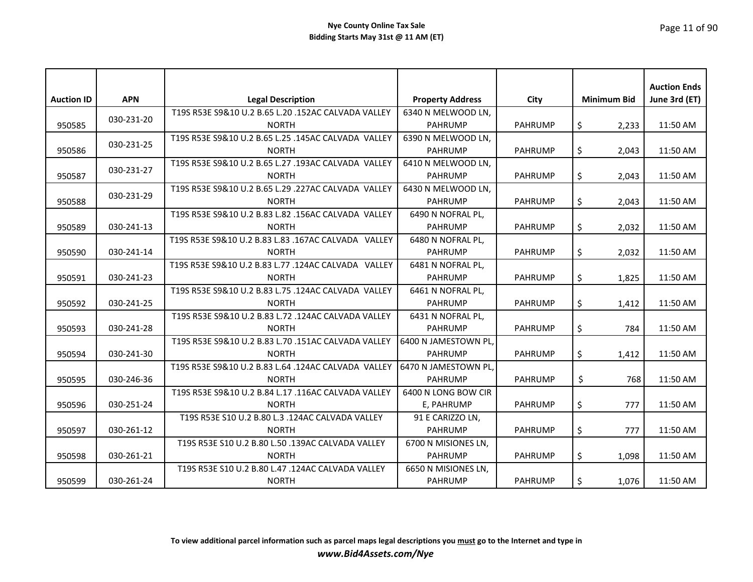|                   |            |                                                     |                         |                |                    | <b>Auction Ends</b> |
|-------------------|------------|-----------------------------------------------------|-------------------------|----------------|--------------------|---------------------|
| <b>Auction ID</b> | <b>APN</b> | <b>Legal Description</b>                            | <b>Property Address</b> | City           | <b>Minimum Bid</b> | June 3rd (ET)       |
|                   | 030-231-20 | T19S R53E S9&10 U.2 B.65 L.20 .152AC CALVADA VALLEY | 6340 N MELWOOD LN,      |                |                    |                     |
| 950585            |            | <b>NORTH</b>                                        | <b>PAHRUMP</b>          | <b>PAHRUMP</b> | \$<br>2,233        | 11:50 AM            |
|                   | 030-231-25 | T19S R53E S9&10 U.2 B.65 L.25 .145AC CALVADA VALLEY | 6390 N MELWOOD LN,      |                |                    |                     |
| 950586            |            | <b>NORTH</b>                                        | <b>PAHRUMP</b>          | <b>PAHRUMP</b> | \$<br>2,043        | 11:50 AM            |
|                   | 030-231-27 | T19S R53E S9&10 U.2 B.65 L.27 .193AC CALVADA VALLEY | 6410 N MELWOOD LN,      |                |                    |                     |
| 950587            |            | <b>NORTH</b>                                        | <b>PAHRUMP</b>          | <b>PAHRUMP</b> | \$<br>2,043        | 11:50 AM            |
|                   | 030-231-29 | T19S R53E S9&10 U.2 B.65 L.29 .227AC CALVADA VALLEY | 6430 N MELWOOD LN.      |                |                    |                     |
| 950588            |            | <b>NORTH</b>                                        | <b>PAHRUMP</b>          | <b>PAHRUMP</b> | \$<br>2,043        | 11:50 AM            |
|                   |            | T19S R53E S9&10 U.2 B.83 L.82 .156AC CALVADA VALLEY | 6490 N NOFRAL PL,       |                |                    |                     |
| 950589            | 030-241-13 | <b>NORTH</b>                                        | <b>PAHRUMP</b>          | <b>PAHRUMP</b> | \$<br>2,032        | 11:50 AM            |
|                   |            | T19S R53E S9&10 U.2 B.83 L.83 .167AC CALVADA VALLEY | 6480 N NOFRAL PL,       |                |                    |                     |
| 950590            | 030-241-14 | <b>NORTH</b>                                        | <b>PAHRUMP</b>          | <b>PAHRUMP</b> | \$<br>2,032        | 11:50 AM            |
|                   |            | T19S R53E S9&10 U.2 B.83 L.77 .124AC CALVADA VALLEY | 6481 N NOFRAL PL,       |                |                    |                     |
| 950591            | 030-241-23 | <b>NORTH</b>                                        | <b>PAHRUMP</b>          | <b>PAHRUMP</b> | \$<br>1,825        | 11:50 AM            |
|                   |            | T19S R53E S9&10 U.2 B.83 L.75 .124AC CALVADA VALLEY | 6461 N NOFRAL PL,       |                |                    |                     |
| 950592            | 030-241-25 | <b>NORTH</b>                                        | <b>PAHRUMP</b>          | <b>PAHRUMP</b> | \$<br>1,412        | 11:50 AM            |
|                   |            | T19S R53E S9&10 U.2 B.83 L.72 .124AC CALVADA VALLEY | 6431 N NOFRAL PL,       |                |                    |                     |
| 950593            | 030-241-28 | <b>NORTH</b>                                        | <b>PAHRUMP</b>          | <b>PAHRUMP</b> | \$<br>784          | 11:50 AM            |
|                   |            | T19S R53E S9&10 U.2 B.83 L.70 .151AC CALVADA VALLEY | 6400 N JAMESTOWN PL,    |                |                    |                     |
| 950594            | 030-241-30 | <b>NORTH</b>                                        | <b>PAHRUMP</b>          | <b>PAHRUMP</b> | \$<br>1,412        | 11:50 AM            |
|                   |            | T19S R53E S9&10 U.2 B.83 L.64 .124AC CALVADA VALLEY | 6470 N JAMESTOWN PL.    |                |                    |                     |
| 950595            | 030-246-36 | <b>NORTH</b>                                        | <b>PAHRUMP</b>          | <b>PAHRUMP</b> | \$<br>768          | 11:50 AM            |
|                   |            | T19S R53E S9&10 U.2 B.84 L.17 .116AC CALVADA VALLEY | 6400 N LONG BOW CIR     |                |                    |                     |
| 950596            | 030-251-24 | <b>NORTH</b>                                        | E, PAHRUMP              | <b>PAHRUMP</b> | \$<br>777          | 11:50 AM            |
|                   |            | T19S R53E S10 U.2 B.80 L.3 .124AC CALVADA VALLEY    | 91 E CARIZZO LN,        |                |                    |                     |
| 950597            | 030-261-12 | <b>NORTH</b>                                        | <b>PAHRUMP</b>          | <b>PAHRUMP</b> | \$<br>777          | 11:50 AM            |
|                   |            | T19S R53E S10 U.2 B.80 L.50 .139AC CALVADA VALLEY   | 6700 N MISIONES LN,     |                |                    |                     |
| 950598            | 030-261-21 | <b>NORTH</b>                                        | <b>PAHRUMP</b>          | <b>PAHRUMP</b> | \$<br>1,098        | 11:50 AM            |
|                   |            | T19S R53E S10 U.2 B.80 L.47 .124AC CALVADA VALLEY   | 6650 N MISIONES LN,     |                |                    |                     |
| 950599            | 030-261-24 | <b>NORTH</b>                                        | <b>PAHRUMP</b>          | <b>PAHRUMP</b> | \$<br>1,076        | 11:50 AM            |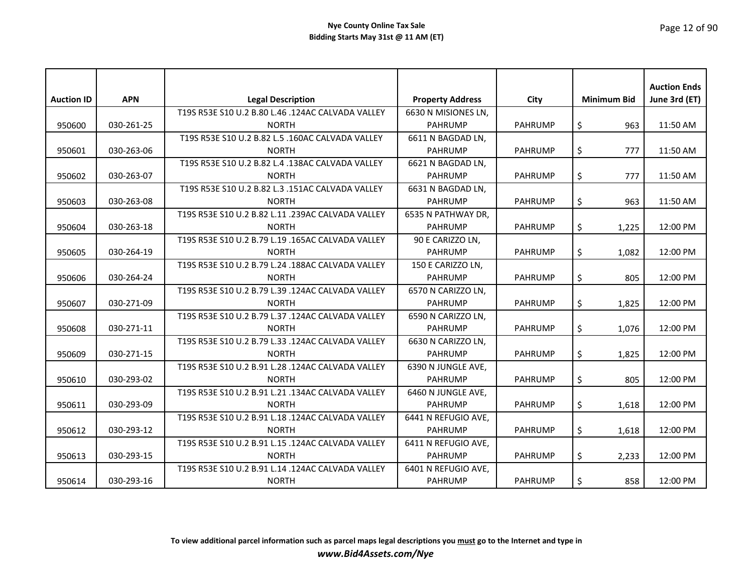|                   |            |                                                   |                         |                |                    | <b>Auction Ends</b> |
|-------------------|------------|---------------------------------------------------|-------------------------|----------------|--------------------|---------------------|
| <b>Auction ID</b> | <b>APN</b> | <b>Legal Description</b>                          | <b>Property Address</b> | City           | <b>Minimum Bid</b> | June 3rd (ET)       |
|                   |            | T19S R53E S10 U.2 B.80 L.46 .124AC CALVADA VALLEY | 6630 N MISIONES LN,     |                |                    |                     |
| 950600            | 030-261-25 | <b>NORTH</b>                                      | <b>PAHRUMP</b>          | <b>PAHRUMP</b> | \$<br>963          | 11:50 AM            |
|                   |            | T19S R53E S10 U.2 B.82 L.5 .160AC CALVADA VALLEY  | 6611 N BAGDAD LN,       |                |                    |                     |
| 950601            | 030-263-06 | <b>NORTH</b>                                      | <b>PAHRUMP</b>          | <b>PAHRUMP</b> | \$<br>777          | 11:50 AM            |
|                   |            | T19S R53E S10 U.2 B.82 L.4 .138AC CALVADA VALLEY  | 6621 N BAGDAD LN,       |                |                    |                     |
| 950602            | 030-263-07 | <b>NORTH</b>                                      | <b>PAHRUMP</b>          | <b>PAHRUMP</b> | \$<br>777          | 11:50 AM            |
|                   |            | T19S R53E S10 U.2 B.82 L.3 .151AC CALVADA VALLEY  | 6631 N BAGDAD LN,       |                |                    |                     |
| 950603            | 030-263-08 | <b>NORTH</b>                                      | <b>PAHRUMP</b>          | <b>PAHRUMP</b> | \$<br>963          | 11:50 AM            |
|                   |            | T19S R53E S10 U.2 B.82 L.11 .239AC CALVADA VALLEY | 6535 N PATHWAY DR,      |                |                    |                     |
| 950604            | 030-263-18 | <b>NORTH</b>                                      | <b>PAHRUMP</b>          | <b>PAHRUMP</b> | \$<br>1,225        | 12:00 PM            |
|                   |            | T19S R53E S10 U.2 B.79 L.19 .165AC CALVADA VALLEY | 90 E CARIZZO LN,        |                |                    |                     |
| 950605            | 030-264-19 | <b>NORTH</b>                                      | <b>PAHRUMP</b>          | <b>PAHRUMP</b> | \$<br>1,082        | 12:00 PM            |
|                   |            | T19S R53E S10 U.2 B.79 L.24 .188AC CALVADA VALLEY | 150 E CARIZZO LN,       |                |                    |                     |
| 950606            | 030-264-24 | <b>NORTH</b>                                      | <b>PAHRUMP</b>          | <b>PAHRUMP</b> | \$<br>805          | 12:00 PM            |
|                   |            | T19S R53E S10 U.2 B.79 L.39 .124AC CALVADA VALLEY | 6570 N CARIZZO LN,      |                |                    |                     |
| 950607            | 030-271-09 | <b>NORTH</b>                                      | <b>PAHRUMP</b>          | <b>PAHRUMP</b> | \$<br>1,825        | 12:00 PM            |
|                   |            | T19S R53E S10 U.2 B.79 L.37 .124AC CALVADA VALLEY | 6590 N CARIZZO LN,      |                |                    |                     |
| 950608            | 030-271-11 | <b>NORTH</b>                                      | <b>PAHRUMP</b>          | <b>PAHRUMP</b> | \$<br>1,076        | 12:00 PM            |
|                   |            | T19S R53E S10 U.2 B.79 L.33 .124AC CALVADA VALLEY | 6630 N CARIZZO LN,      |                |                    |                     |
| 950609            | 030-271-15 | <b>NORTH</b>                                      | <b>PAHRUMP</b>          | <b>PAHRUMP</b> | \$<br>1,825        | 12:00 PM            |
|                   |            | T19S R53E S10 U.2 B.91 L.28 .124AC CALVADA VALLEY | 6390 N JUNGLE AVE,      |                |                    |                     |
| 950610            | 030-293-02 | <b>NORTH</b>                                      | <b>PAHRUMP</b>          | <b>PAHRUMP</b> | \$<br>805          | 12:00 PM            |
|                   |            | T19S R53E S10 U.2 B.91 L.21 .134AC CALVADA VALLEY | 6460 N JUNGLE AVE,      |                |                    |                     |
| 950611            | 030-293-09 | <b>NORTH</b>                                      | <b>PAHRUMP</b>          | <b>PAHRUMP</b> | \$<br>1.618        | 12:00 PM            |
|                   |            | T19S R53E S10 U.2 B.91 L.18 .124AC CALVADA VALLEY | 6441 N REFUGIO AVE,     |                |                    |                     |
| 950612            | 030-293-12 | <b>NORTH</b>                                      | <b>PAHRUMP</b>          | <b>PAHRUMP</b> | \$<br>1,618        | 12:00 PM            |
|                   |            | T19S R53E S10 U.2 B.91 L.15 .124AC CALVADA VALLEY | 6411 N REFUGIO AVE,     |                |                    |                     |
| 950613            | 030-293-15 | <b>NORTH</b>                                      | <b>PAHRUMP</b>          | <b>PAHRUMP</b> | \$<br>2,233        | 12:00 PM            |
|                   |            | T19S R53E S10 U.2 B.91 L.14 .124AC CALVADA VALLEY | 6401 N REFUGIO AVE,     |                |                    |                     |
| 950614            | 030-293-16 | <b>NORTH</b>                                      | <b>PAHRUMP</b>          | <b>PAHRUMP</b> | \$<br>858          | 12:00 PM            |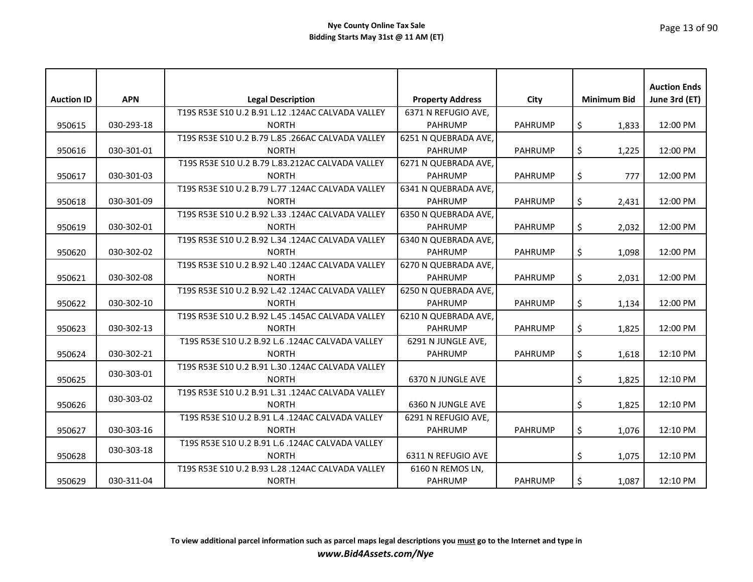| <b>Auction ID</b> | <b>APN</b> | <b>Legal Description</b>                          | <b>Property Address</b> | City           | <b>Minimum Bid</b> | <b>Auction Ends</b><br>June 3rd (ET) |
|-------------------|------------|---------------------------------------------------|-------------------------|----------------|--------------------|--------------------------------------|
|                   |            | T19S R53E S10 U.2 B.91 L.12 .124AC CALVADA VALLEY | 6371 N REFUGIO AVE,     |                |                    |                                      |
| 950615            | 030-293-18 | <b>NORTH</b>                                      | PAHRUMP                 | <b>PAHRUMP</b> | \$<br>1,833        | 12:00 PM                             |
|                   |            | T19S R53E S10 U.2 B.79 L.85 .266AC CALVADA VALLEY | 6251 N QUEBRADA AVE,    |                |                    |                                      |
| 950616            | 030-301-01 | <b>NORTH</b>                                      | <b>PAHRUMP</b>          | <b>PAHRUMP</b> | \$<br>1,225        | 12:00 PM                             |
|                   |            | T19S R53E S10 U.2 B.79 L.83.212AC CALVADA VALLEY  | 6271 N QUEBRADA AVE.    |                |                    |                                      |
| 950617            | 030-301-03 | <b>NORTH</b>                                      | <b>PAHRUMP</b>          | <b>PAHRUMP</b> | \$<br>777          | 12:00 PM                             |
|                   |            | T19S R53E S10 U.2 B.79 L.77 .124AC CALVADA VALLEY | 6341 N QUEBRADA AVE,    |                |                    |                                      |
| 950618            | 030-301-09 | <b>NORTH</b>                                      | <b>PAHRUMP</b>          | <b>PAHRUMP</b> | \$<br>2,431        | 12:00 PM                             |
|                   |            | T19S R53E S10 U.2 B.92 L.33 .124AC CALVADA VALLEY | 6350 N QUEBRADA AVE,    |                |                    |                                      |
| 950619            | 030-302-01 | <b>NORTH</b>                                      | PAHRUMP                 | <b>PAHRUMP</b> | \$<br>2,032        | 12:00 PM                             |
|                   |            | T19S R53E S10 U.2 B.92 L.34 .124AC CALVADA VALLEY | 6340 N QUEBRADA AVE,    |                |                    |                                      |
| 950620            | 030-302-02 | <b>NORTH</b>                                      | <b>PAHRUMP</b>          | <b>PAHRUMP</b> | \$<br>1,098        | 12:00 PM                             |
|                   |            | T19S R53E S10 U.2 B.92 L.40 .124AC CALVADA VALLEY | 6270 N QUEBRADA AVE.    |                |                    |                                      |
| 950621            | 030-302-08 | <b>NORTH</b>                                      | <b>PAHRUMP</b>          | <b>PAHRUMP</b> | \$<br>2,031        | 12:00 PM                             |
|                   |            | T19S R53E S10 U.2 B.92 L.42 .124AC CALVADA VALLEY | 6250 N QUEBRADA AVE,    |                |                    |                                      |
| 950622            | 030-302-10 | <b>NORTH</b>                                      | <b>PAHRUMP</b>          | <b>PAHRUMP</b> | \$<br>1,134        | 12:00 PM                             |
|                   |            | T19S R53E S10 U.2 B.92 L.45 .145AC CALVADA VALLEY | 6210 N QUEBRADA AVE,    |                |                    |                                      |
| 950623            | 030-302-13 | <b>NORTH</b>                                      | <b>PAHRUMP</b>          | <b>PAHRUMP</b> | \$<br>1,825        | 12:00 PM                             |
|                   |            | T19S R53E S10 U.2 B.92 L.6 .124AC CALVADA VALLEY  | 6291 N JUNGLE AVE,      |                |                    |                                      |
| 950624            | 030-302-21 | <b>NORTH</b>                                      | PAHRUMP                 | <b>PAHRUMP</b> | \$<br>1,618        | 12:10 PM                             |
|                   | 030-303-01 | T19S R53E S10 U.2 B.91 L.30 .124AC CALVADA VALLEY |                         |                |                    |                                      |
| 950625            |            | <b>NORTH</b>                                      | 6370 N JUNGLE AVE       |                | \$<br>1,825        | 12:10 PM                             |
|                   | 030-303-02 | T19S R53E S10 U.2 B.91 L.31 .124AC CALVADA VALLEY |                         |                |                    |                                      |
| 950626            |            | <b>NORTH</b>                                      | 6360 N JUNGLE AVE       |                | \$<br>1,825        | 12:10 PM                             |
|                   |            | T19S R53E S10 U.2 B.91 L.4 .124AC CALVADA VALLEY  | 6291 N REFUGIO AVE,     |                |                    |                                      |
| 950627            | 030-303-16 | <b>NORTH</b>                                      | <b>PAHRUMP</b>          | <b>PAHRUMP</b> | \$<br>1,076        | 12:10 PM                             |
|                   | 030-303-18 | T19S R53E S10 U.2 B.91 L.6 .124AC CALVADA VALLEY  |                         |                |                    |                                      |
| 950628            |            | <b>NORTH</b>                                      | 6311 N REFUGIO AVE      |                | \$<br>1.075        | 12:10 PM                             |
|                   |            | T19S R53E S10 U.2 B.93 L.28 .124AC CALVADA VALLEY | 6160 N REMOS LN,        |                |                    |                                      |
| 950629            | 030-311-04 | <b>NORTH</b>                                      | <b>PAHRUMP</b>          | <b>PAHRUMP</b> | \$<br>1,087        | 12:10 PM                             |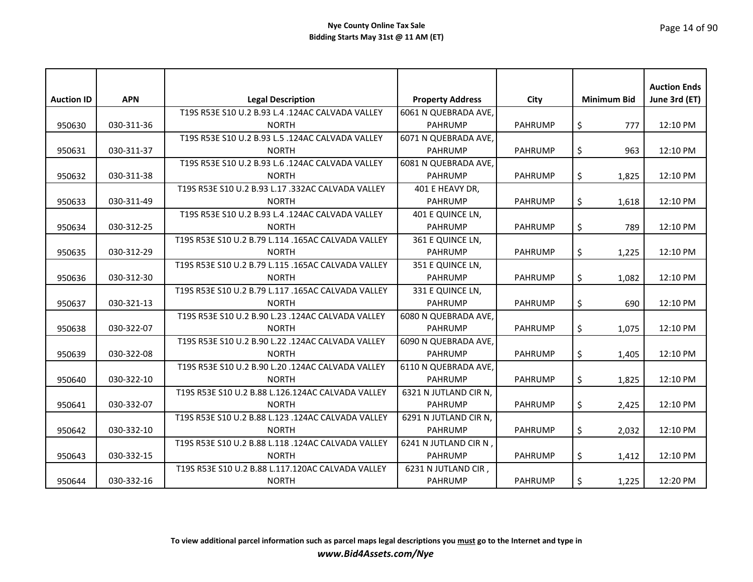|                   |            |                                                    |                         |                |                    | <b>Auction Ends</b> |
|-------------------|------------|----------------------------------------------------|-------------------------|----------------|--------------------|---------------------|
| <b>Auction ID</b> | <b>APN</b> | <b>Legal Description</b>                           | <b>Property Address</b> | City           | <b>Minimum Bid</b> | June 3rd (ET)       |
|                   |            | T19S R53E S10 U.2 B.93 L.4 .124AC CALVADA VALLEY   | 6061 N QUEBRADA AVE,    |                |                    |                     |
| 950630            | 030-311-36 | <b>NORTH</b>                                       | <b>PAHRUMP</b>          | <b>PAHRUMP</b> | \$<br>777          | 12:10 PM            |
|                   |            | T19S R53E S10 U.2 B.93 L.5 .124AC CALVADA VALLEY   | 6071 N QUEBRADA AVE,    |                |                    |                     |
| 950631            | 030-311-37 | <b>NORTH</b>                                       | PAHRUMP                 | <b>PAHRUMP</b> | \$<br>963          | 12:10 PM            |
|                   |            | T19S R53E S10 U.2 B.93 L.6 .124AC CALVADA VALLEY   | 6081 N QUEBRADA AVE,    |                |                    |                     |
| 950632            | 030-311-38 | <b>NORTH</b>                                       | <b>PAHRUMP</b>          | <b>PAHRUMP</b> | \$<br>1,825        | 12:10 PM            |
|                   |            | T19S R53E S10 U.2 B.93 L.17 .332AC CALVADA VALLEY  | 401 E HEAVY DR,         |                |                    |                     |
| 950633            | 030-311-49 | <b>NORTH</b>                                       | <b>PAHRUMP</b>          | <b>PAHRUMP</b> | \$<br>1,618        | 12:10 PM            |
|                   |            | T19S R53E S10 U.2 B.93 L.4 .124AC CALVADA VALLEY   | 401 E QUINCE LN,        |                |                    |                     |
| 950634            | 030-312-25 | <b>NORTH</b>                                       | <b>PAHRUMP</b>          | <b>PAHRUMP</b> | \$<br>789          | 12:10 PM            |
|                   |            | T19S R53E S10 U.2 B.79 L.114 .165AC CALVADA VALLEY | 361 E QUINCE LN,        |                |                    |                     |
| 950635            | 030-312-29 | <b>NORTH</b>                                       | <b>PAHRUMP</b>          | <b>PAHRUMP</b> | \$<br>1,225        | 12:10 PM            |
|                   |            | T19S R53E S10 U.2 B.79 L.115 .165AC CALVADA VALLEY | 351 E QUINCE LN,        |                |                    |                     |
| 950636            | 030-312-30 | <b>NORTH</b>                                       | <b>PAHRUMP</b>          | <b>PAHRUMP</b> | \$<br>1,082        | 12:10 PM            |
|                   |            | T19S R53E S10 U.2 B.79 L.117 .165AC CALVADA VALLEY | 331 E QUINCE LN,        |                |                    |                     |
| 950637            | 030-321-13 | <b>NORTH</b>                                       | <b>PAHRUMP</b>          | <b>PAHRUMP</b> | \$<br>690          | 12:10 PM            |
|                   |            | T19S R53E S10 U.2 B.90 L.23 .124AC CALVADA VALLEY  | 6080 N QUEBRADA AVE,    |                |                    |                     |
| 950638            | 030-322-07 | <b>NORTH</b>                                       | <b>PAHRUMP</b>          | <b>PAHRUMP</b> | \$<br>1,075        | 12:10 PM            |
|                   |            | T19S R53E S10 U.2 B.90 L.22 .124AC CALVADA VALLEY  | 6090 N QUEBRADA AVE.    |                |                    |                     |
| 950639            | 030-322-08 | <b>NORTH</b>                                       | <b>PAHRUMP</b>          | <b>PAHRUMP</b> | \$<br>1,405        | 12:10 PM            |
|                   |            | T19S R53E S10 U.2 B.90 L.20 .124AC CALVADA VALLEY  | 6110 N QUEBRADA AVE.    |                |                    |                     |
| 950640            | 030-322-10 | <b>NORTH</b>                                       | <b>PAHRUMP</b>          | <b>PAHRUMP</b> | \$<br>1,825        | 12:10 PM            |
|                   |            | T19S R53E S10 U.2 B.88 L.126.124AC CALVADA VALLEY  | 6321 N JUTLAND CIR N,   |                |                    |                     |
| 950641            | 030-332-07 | <b>NORTH</b>                                       | <b>PAHRUMP</b>          | <b>PAHRUMP</b> | \$<br>2,425        | 12:10 PM            |
|                   |            | T19S R53E S10 U.2 B.88 L.123 .124AC CALVADA VALLEY | 6291 N JUTLAND CIR N,   |                |                    |                     |
| 950642            | 030-332-10 | <b>NORTH</b>                                       | <b>PAHRUMP</b>          | <b>PAHRUMP</b> | \$<br>2,032        | 12:10 PM            |
|                   |            | T19S R53E S10 U.2 B.88 L.118 .124AC CALVADA VALLEY | 6241 N JUTLAND CIR N,   |                |                    |                     |
| 950643            | 030-332-15 | <b>NORTH</b>                                       | <b>PAHRUMP</b>          | <b>PAHRUMP</b> | \$<br>1,412        | 12:10 PM            |
|                   |            | T19S R53E S10 U.2 B.88 L.117.120AC CALVADA VALLEY  | 6231 N JUTLAND CIR,     |                |                    |                     |
| 950644            | 030-332-16 | <b>NORTH</b>                                       | <b>PAHRUMP</b>          | <b>PAHRUMP</b> | \$<br>1,225        | 12:20 PM            |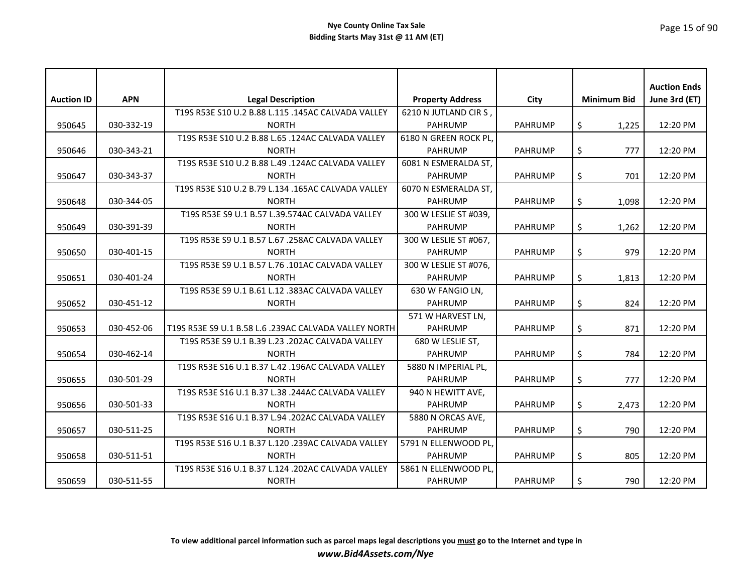| <b>Auction ID</b> | <b>APN</b> | <b>Legal Description</b>                              | <b>Property Address</b> | City           | <b>Minimum Bid</b> | <b>Auction Ends</b><br>June 3rd (ET) |
|-------------------|------------|-------------------------------------------------------|-------------------------|----------------|--------------------|--------------------------------------|
|                   |            | T19S R53E S10 U.2 B.88 L.115 .145AC CALVADA VALLEY    | 6210 N JUTLAND CIR S,   |                |                    |                                      |
| 950645            | 030-332-19 | <b>NORTH</b>                                          | <b>PAHRUMP</b>          | <b>PAHRUMP</b> | \$<br>1,225        | 12:20 PM                             |
|                   |            | T19S R53E S10 U.2 B.88 L.65 .124AC CALVADA VALLEY     | 6180 N GREEN ROCK PL,   |                |                    |                                      |
| 950646            | 030-343-21 | <b>NORTH</b>                                          | <b>PAHRUMP</b>          | <b>PAHRUMP</b> | \$<br>777          | 12:20 PM                             |
|                   |            | T19S R53E S10 U.2 B.88 L.49 .124AC CALVADA VALLEY     | 6081 N ESMERALDA ST.    |                |                    |                                      |
| 950647            | 030-343-37 | <b>NORTH</b>                                          | <b>PAHRUMP</b>          | <b>PAHRUMP</b> | \$<br>701          | 12:20 PM                             |
|                   |            | T19S R53E S10 U.2 B.79 L.134 .165AC CALVADA VALLEY    | 6070 N ESMERALDA ST,    |                |                    |                                      |
| 950648            | 030-344-05 | <b>NORTH</b>                                          | <b>PAHRUMP</b>          | <b>PAHRUMP</b> | \$<br>1,098        | 12:20 PM                             |
|                   |            | T19S R53E S9 U.1 B.57 L.39.574AC CALVADA VALLEY       | 300 W LESLIE ST #039,   |                |                    |                                      |
| 950649            | 030-391-39 | <b>NORTH</b>                                          | <b>PAHRUMP</b>          | <b>PAHRUMP</b> | \$<br>1,262        | 12:20 PM                             |
|                   |            | T19S R53E S9 U.1 B.57 L.67 .258AC CALVADA VALLEY      | 300 W LESLIE ST #067,   |                |                    |                                      |
| 950650            | 030-401-15 | <b>NORTH</b>                                          | <b>PAHRUMP</b>          | <b>PAHRUMP</b> | \$<br>979          | 12:20 PM                             |
|                   |            | T19S R53E S9 U.1 B.57 L.76 .101AC CALVADA VALLEY      | 300 W LESLIE ST #076.   |                |                    |                                      |
| 950651            | 030-401-24 | <b>NORTH</b>                                          | <b>PAHRUMP</b>          | <b>PAHRUMP</b> | \$<br>1,813        | 12:20 PM                             |
|                   |            | T19S R53E S9 U.1 B.61 L.12 .383AC CALVADA VALLEY      | 630 W FANGIO LN,        |                |                    |                                      |
| 950652            | 030-451-12 | <b>NORTH</b>                                          | <b>PAHRUMP</b>          | <b>PAHRUMP</b> | \$<br>824          | 12:20 PM                             |
|                   |            |                                                       | 571 W HARVEST LN,       |                |                    |                                      |
| 950653            | 030-452-06 | T19S R53E S9 U.1 B.58 L.6 .239AC CALVADA VALLEY NORTH | <b>PAHRUMP</b>          | <b>PAHRUMP</b> | \$<br>871          | 12:20 PM                             |
|                   |            | T19S R53E S9 U.1 B.39 L.23 .202AC CALVADA VALLEY      | 680 W LESLIE ST,        |                |                    |                                      |
| 950654            | 030-462-14 | <b>NORTH</b>                                          | <b>PAHRUMP</b>          | <b>PAHRUMP</b> | \$<br>784          | 12:20 PM                             |
|                   |            | T19S R53E S16 U.1 B.37 L.42 .196AC CALVADA VALLEY     | 5880 N IMPERIAL PL,     |                |                    |                                      |
| 950655            | 030-501-29 | <b>NORTH</b>                                          | <b>PAHRUMP</b>          | <b>PAHRUMP</b> | \$<br>777          | 12:20 PM                             |
|                   |            | T19S R53E S16 U.1 B.37 L.38 .244AC CALVADA VALLEY     | 940 N HEWITT AVE,       |                |                    |                                      |
| 950656            | 030-501-33 | <b>NORTH</b>                                          | <b>PAHRUMP</b>          | <b>PAHRUMP</b> | \$<br>2,473        | 12:20 PM                             |
|                   |            | T19S R53E S16 U.1 B.37 L.94 .202AC CALVADA VALLEY     | 5880 N ORCAS AVE,       |                |                    |                                      |
| 950657            | 030-511-25 | <b>NORTH</b>                                          | <b>PAHRUMP</b>          | <b>PAHRUMP</b> | \$<br>790          | 12:20 PM                             |
|                   |            | T19S R53E S16 U.1 B.37 L.120 .239AC CALVADA VALLEY    | 5791 N ELLENWOOD PL,    |                |                    |                                      |
| 950658            | 030-511-51 | <b>NORTH</b>                                          | <b>PAHRUMP</b>          | <b>PAHRUMP</b> | \$<br>805          | 12:20 PM                             |
|                   |            | T19S R53E S16 U.1 B.37 L.124 .202AC CALVADA VALLEY    | 5861 N ELLENWOOD PL,    |                |                    |                                      |
| 950659            | 030-511-55 | <b>NORTH</b>                                          | <b>PAHRUMP</b>          | <b>PAHRUMP</b> | \$<br>790          | 12:20 PM                             |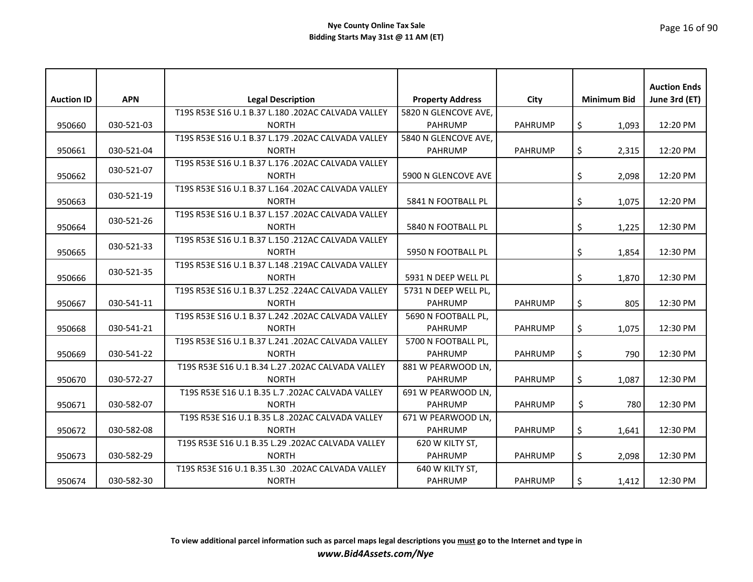|                   | <b>APN</b> |                                                                    |                         |                | <b>Minimum Bid</b> | <b>Auction Ends</b> |
|-------------------|------------|--------------------------------------------------------------------|-------------------------|----------------|--------------------|---------------------|
| <b>Auction ID</b> |            | <b>Legal Description</b>                                           | <b>Property Address</b> | City           |                    | June 3rd (ET)       |
|                   |            | T19S R53E S16 U.1 B.37 L.180 .202AC CALVADA VALLEY                 | 5820 N GLENCOVE AVE,    |                |                    |                     |
| 950660            | 030-521-03 | <b>NORTH</b>                                                       | <b>PAHRUMP</b>          | <b>PAHRUMP</b> | \$<br>1,093        | 12:20 PM            |
|                   |            | T19S R53E S16 U.1 B.37 L.179 .202AC CALVADA VALLEY<br><b>NORTH</b> | 5840 N GLENCOVE AVE,    |                |                    |                     |
| 950661            | 030-521-04 | T19S R53E S16 U.1 B.37 L.176 .202AC CALVADA VALLEY                 | <b>PAHRUMP</b>          | <b>PAHRUMP</b> | \$<br>2,315        | 12:20 PM            |
| 950662            | 030-521-07 | <b>NORTH</b>                                                       | 5900 N GLENCOVE AVE     |                | \$<br>2,098        | 12:20 PM            |
|                   |            | T19S R53E S16 U.1 B.37 L.164 .202AC CALVADA VALLEY                 |                         |                |                    |                     |
| 950663            | 030-521-19 | <b>NORTH</b>                                                       | 5841 N FOOTBALL PL      |                | \$<br>1,075        | 12:20 PM            |
|                   |            | T19S R53E S16 U.1 B.37 L.157 .202AC CALVADA VALLEY                 |                         |                |                    |                     |
| 950664            | 030-521-26 | <b>NORTH</b>                                                       | 5840 N FOOTBALL PL      |                | \$<br>1,225        | 12:30 PM            |
|                   |            | T19S R53E S16 U.1 B.37 L.150 .212AC CALVADA VALLEY                 |                         |                |                    |                     |
| 950665            | 030-521-33 | <b>NORTH</b>                                                       | 5950 N FOOTBALL PL      |                | \$<br>1,854        | 12:30 PM            |
|                   |            | T19S R53E S16 U.1 B.37 L.148 .219AC CALVADA VALLEY                 |                         |                |                    |                     |
| 950666            | 030-521-35 | <b>NORTH</b>                                                       | 5931 N DEEP WELL PL     |                | \$<br>1,870        | 12:30 PM            |
|                   |            | T19S R53E S16 U.1 B.37 L.252 .224AC CALVADA VALLEY                 | 5731 N DEEP WELL PL,    |                |                    |                     |
| 950667            | 030-541-11 | <b>NORTH</b>                                                       | <b>PAHRUMP</b>          | <b>PAHRUMP</b> | \$<br>805          | 12:30 PM            |
|                   |            | T19S R53E S16 U.1 B.37 L.242 .202AC CALVADA VALLEY                 | 5690 N FOOTBALL PL,     |                |                    |                     |
| 950668            | 030-541-21 | <b>NORTH</b>                                                       | <b>PAHRUMP</b>          | <b>PAHRUMP</b> | \$<br>1,075        | 12:30 PM            |
|                   |            | T19S R53E S16 U.1 B.37 L.241 .202AC CALVADA VALLEY                 | 5700 N FOOTBALL PL,     |                |                    |                     |
| 950669            | 030-541-22 | <b>NORTH</b>                                                       | <b>PAHRUMP</b>          | <b>PAHRUMP</b> | \$<br>790          | 12:30 PM            |
|                   |            | T19S R53E S16 U.1 B.34 L.27 .202AC CALVADA VALLEY                  | 881 W PEARWOOD LN.      |                |                    |                     |
| 950670            | 030-572-27 | <b>NORTH</b>                                                       | <b>PAHRUMP</b>          | <b>PAHRUMP</b> | \$<br>1,087        | 12:30 PM            |
|                   |            | T19S R53E S16 U.1 B.35 L.7 .202AC CALVADA VALLEY                   | 691 W PEARWOOD LN,      |                |                    |                     |
| 950671            | 030-582-07 | <b>NORTH</b>                                                       | <b>PAHRUMP</b>          | <b>PAHRUMP</b> | \$<br>780          | 12:30 PM            |
|                   |            | T19S R53E S16 U.1 B.35 L.8 .202AC CALVADA VALLEY                   | 671 W PEARWOOD LN,      |                |                    |                     |
| 950672            | 030-582-08 | <b>NORTH</b>                                                       | <b>PAHRUMP</b>          | <b>PAHRUMP</b> | \$<br>1,641        | 12:30 PM            |
|                   |            | T19S R53E S16 U.1 B.35 L.29 .202AC CALVADA VALLEY                  | 620 W KILTY ST,         |                |                    |                     |
| 950673            | 030-582-29 | <b>NORTH</b>                                                       | <b>PAHRUMP</b>          | <b>PAHRUMP</b> | \$<br>2,098        | 12:30 PM            |
|                   |            | T19S R53E S16 U.1 B.35 L.30 .202AC CALVADA VALLEY                  | 640 W KILTY ST,         |                |                    |                     |
| 950674            | 030-582-30 | <b>NORTH</b>                                                       | <b>PAHRUMP</b>          | <b>PAHRUMP</b> | \$<br>1,412        | 12:30 PM            |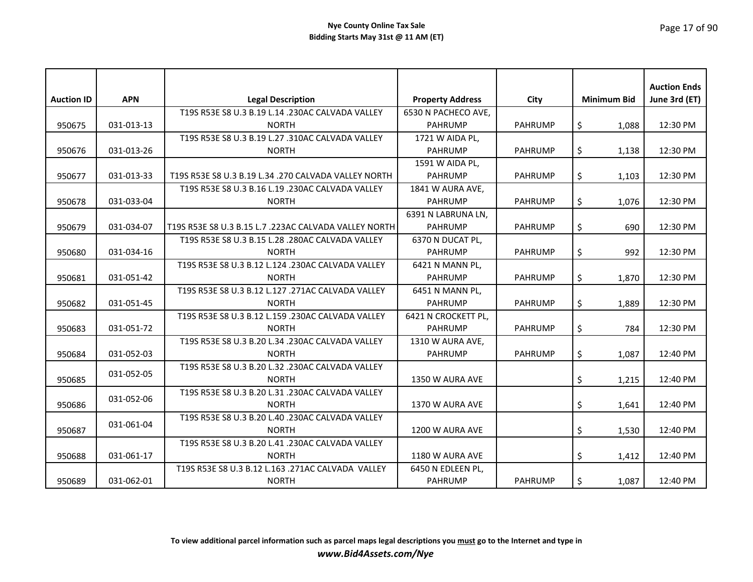| <b>Auction ID</b> | <b>APN</b> | <b>Legal Description</b>                              | <b>Property Address</b> | City           | <b>Minimum Bid</b> | <b>Auction Ends</b><br>June 3rd (ET) |
|-------------------|------------|-------------------------------------------------------|-------------------------|----------------|--------------------|--------------------------------------|
|                   |            | T19S R53E S8 U.3 B.19 L.14 .230AC CALVADA VALLEY      | 6530 N PACHECO AVE,     |                |                    |                                      |
| 950675            | 031-013-13 | <b>NORTH</b>                                          | <b>PAHRUMP</b>          | <b>PAHRUMP</b> | \$<br>1,088        | 12:30 PM                             |
|                   |            | T19S R53E S8 U.3 B.19 L.27 .310AC CALVADA VALLEY      | 1721 W AIDA PL,         |                |                    |                                      |
| 950676            | 031-013-26 | <b>NORTH</b>                                          | <b>PAHRUMP</b>          | <b>PAHRUMP</b> | \$<br>1,138        | 12:30 PM                             |
|                   |            |                                                       | 1591 W AIDA PL,         |                |                    |                                      |
| 950677            | 031-013-33 | T19S R53E S8 U.3 B.19 L.34 .270 CALVADA VALLEY NORTH  | <b>PAHRUMP</b>          | <b>PAHRUMP</b> | \$<br>1,103        | 12:30 PM                             |
|                   |            | T19S R53E S8 U.3 B.16 L.19 .230AC CALVADA VALLEY      | 1841 W AURA AVE,        |                |                    |                                      |
| 950678            | 031-033-04 | <b>NORTH</b>                                          | <b>PAHRUMP</b>          | <b>PAHRUMP</b> | \$<br>1,076        | 12:30 PM                             |
|                   |            |                                                       | 6391 N LABRUNA LN,      |                |                    |                                      |
| 950679            | 031-034-07 | T19S R53E S8 U.3 B.15 L.7 .223AC CALVADA VALLEY NORTH | <b>PAHRUMP</b>          | <b>PAHRUMP</b> | \$<br>690          | 12:30 PM                             |
|                   |            | T19S R53E S8 U.3 B.15 L.28 .280AC CALVADA VALLEY      | 6370 N DUCAT PL,        |                |                    |                                      |
| 950680            | 031-034-16 | <b>NORTH</b>                                          | <b>PAHRUMP</b>          | <b>PAHRUMP</b> | \$<br>992          | 12:30 PM                             |
|                   |            | T19S R53E S8 U.3 B.12 L.124 .230AC CALVADA VALLEY     | 6421 N MANN PL,         |                |                    |                                      |
| 950681            | 031-051-42 | <b>NORTH</b>                                          | <b>PAHRUMP</b>          | <b>PAHRUMP</b> | \$<br>1,870        | 12:30 PM                             |
|                   |            | T19S R53E S8 U.3 B.12 L.127 .271AC CALVADA VALLEY     | 6451 N MANN PL,         |                |                    |                                      |
| 950682            | 031-051-45 | <b>NORTH</b>                                          | <b>PAHRUMP</b>          | <b>PAHRUMP</b> | \$<br>1,889        | 12:30 PM                             |
|                   |            | T19S R53E S8 U.3 B.12 L.159 .230AC CALVADA VALLEY     | 6421 N CROCKETT PL,     |                |                    |                                      |
| 950683            | 031-051-72 | <b>NORTH</b>                                          | <b>PAHRUMP</b>          | <b>PAHRUMP</b> | \$<br>784          | 12:30 PM                             |
|                   |            | T19S R53E S8 U.3 B.20 L.34 .230AC CALVADA VALLEY      | 1310 W AURA AVE,        |                |                    |                                      |
| 950684            | 031-052-03 | <b>NORTH</b>                                          | <b>PAHRUMP</b>          | <b>PAHRUMP</b> | \$<br>1,087        | 12:40 PM                             |
|                   | 031-052-05 | T19S R53E S8 U.3 B.20 L.32 .230AC CALVADA VALLEY      |                         |                |                    |                                      |
| 950685            |            | <b>NORTH</b>                                          | 1350 W AURA AVE         |                | \$<br>1,215        | 12:40 PM                             |
|                   | 031-052-06 | T19S R53E S8 U.3 B.20 L.31 .230AC CALVADA VALLEY      |                         |                |                    |                                      |
| 950686            |            | <b>NORTH</b>                                          | 1370 W AURA AVE         |                | \$<br>1,641        | 12:40 PM                             |
|                   | 031-061-04 | T19S R53E S8 U.3 B.20 L.40 .230AC CALVADA VALLEY      |                         |                |                    |                                      |
| 950687            |            | <b>NORTH</b>                                          | 1200 W AURA AVE         |                | \$<br>1,530        | 12:40 PM                             |
|                   |            | T19S R53E S8 U.3 B.20 L.41 .230AC CALVADA VALLEY      |                         |                |                    |                                      |
| 950688            | 031-061-17 | <b>NORTH</b>                                          | 1180 W AURA AVE         |                | \$<br>1,412        | 12:40 PM                             |
|                   |            | T19S R53E S8 U.3 B.12 L.163 .271AC CALVADA VALLEY     | 6450 N EDLEEN PL,       |                |                    |                                      |
| 950689            | 031-062-01 | <b>NORTH</b>                                          | <b>PAHRUMP</b>          | <b>PAHRUMP</b> | \$<br>1,087        | 12:40 PM                             |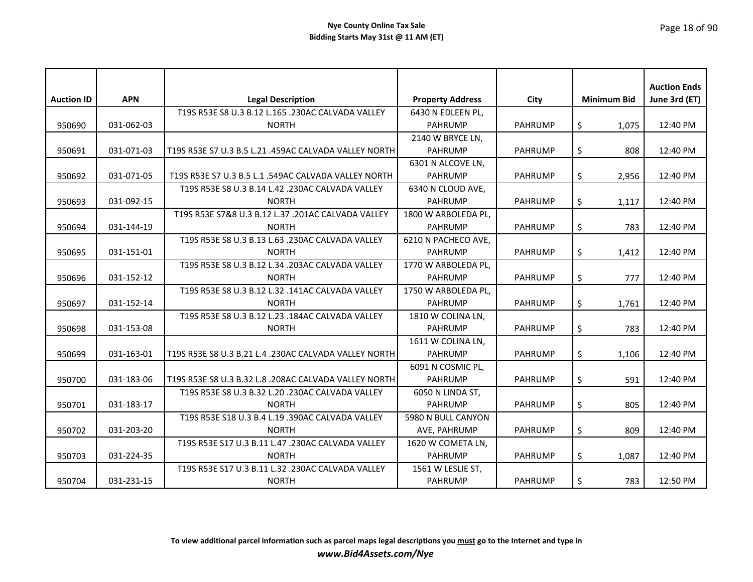|                   |            |                                                       |                         |                |                    | <b>Auction Ends</b> |
|-------------------|------------|-------------------------------------------------------|-------------------------|----------------|--------------------|---------------------|
| <b>Auction ID</b> | <b>APN</b> | <b>Legal Description</b>                              | <b>Property Address</b> | City           | <b>Minimum Bid</b> | June 3rd (ET)       |
|                   |            | T19S R53E S8 U.3 B.12 L.165 .230AC CALVADA VALLEY     | 6430 N EDLEEN PL,       |                |                    |                     |
| 950690            | 031-062-03 | <b>NORTH</b>                                          | <b>PAHRUMP</b>          | <b>PAHRUMP</b> | \$<br>1,075        | 12:40 PM            |
|                   |            |                                                       | 2140 W BRYCE LN,        |                |                    |                     |
| 950691            | 031-071-03 | T19S R53E S7 U.3 B.5 L.21 .459AC CALVADA VALLEY NORTH | <b>PAHRUMP</b>          | <b>PAHRUMP</b> | \$<br>808          | 12:40 PM            |
|                   |            |                                                       | 6301 N ALCOVE LN,       |                |                    |                     |
| 950692            | 031-071-05 | T19S R53E S7 U.3 B.5 L.1 .549AC CALVADA VALLEY NORTH  | <b>PAHRUMP</b>          | <b>PAHRUMP</b> | \$<br>2,956        | 12:40 PM            |
|                   |            | T19S R53E S8 U.3 B.14 L.42 .230AC CALVADA VALLEY      | 6340 N CLOUD AVE,       |                |                    |                     |
| 950693            | 031-092-15 | <b>NORTH</b>                                          | <b>PAHRUMP</b>          | <b>PAHRUMP</b> | \$<br>1,117        | 12:40 PM            |
|                   |            | T19S R53E S7&8 U.3 B.12 L.37 .201AC CALVADA VALLEY    | 1800 W ARBOLEDA PL,     |                |                    |                     |
| 950694            | 031-144-19 | <b>NORTH</b>                                          | <b>PAHRUMP</b>          | <b>PAHRUMP</b> | \$<br>783          | 12:40 PM            |
|                   |            | T19S R53E S8 U.3 B.13 L.63 .230AC CALVADA VALLEY      | 6210 N PACHECO AVE,     |                |                    |                     |
| 950695            | 031-151-01 | <b>NORTH</b>                                          | <b>PAHRUMP</b>          | <b>PAHRUMP</b> | \$<br>1,412        | 12:40 PM            |
|                   |            | T19S R53E S8 U.3 B.12 L.34 .203AC CALVADA VALLEY      | 1770 W ARBOLEDA PL,     |                |                    |                     |
| 950696            | 031-152-12 | <b>NORTH</b>                                          | <b>PAHRUMP</b>          | <b>PAHRUMP</b> | \$<br>777          | 12:40 PM            |
|                   |            | T19S R53E S8 U.3 B.12 L.32 .141AC CALVADA VALLEY      | 1750 W ARBOLEDA PL,     |                |                    |                     |
| 950697            | 031-152-14 | <b>NORTH</b>                                          | <b>PAHRUMP</b>          | <b>PAHRUMP</b> | \$<br>1,761        | 12:40 PM            |
|                   |            | T19S R53E S8 U.3 B.12 L.23 .184AC CALVADA VALLEY      | 1810 W COLINA LN,       |                |                    |                     |
| 950698            | 031-153-08 | <b>NORTH</b>                                          | <b>PAHRUMP</b>          | <b>PAHRUMP</b> | \$<br>783          | 12:40 PM            |
|                   |            |                                                       | 1611 W COLINA LN,       |                |                    |                     |
| 950699            | 031-163-01 | T19S R53E S8 U.3 B.21 L.4 .230AC CALVADA VALLEY NORTH | <b>PAHRUMP</b>          | <b>PAHRUMP</b> | \$<br>1,106        | 12:40 PM            |
|                   |            |                                                       | 6091 N COSMIC PL,       |                |                    |                     |
| 950700            | 031-183-06 | T19S R53E S8 U.3 B.32 L.8 .208AC CALVADA VALLEY NORTH | <b>PAHRUMP</b>          | <b>PAHRUMP</b> | \$<br>591          | 12:40 PM            |
|                   |            | T19S R53E S8 U.3 B.32 L.20 .230AC CALVADA VALLEY      | 6050 N LINDA ST,        |                |                    |                     |
| 950701            | 031-183-17 | <b>NORTH</b>                                          | <b>PAHRUMP</b>          | <b>PAHRUMP</b> | \$<br>805          | 12:40 PM            |
|                   |            | T19S R53E S18 U.3 B.4 L.19 .390AC CALVADA VALLEY      | 5980 N BULL CANYON      |                |                    |                     |
| 950702            | 031-203-20 | <b>NORTH</b>                                          | AVE, PAHRUMP            | <b>PAHRUMP</b> | \$<br>809          | 12:40 PM            |
|                   |            | T19S R53E S17 U.3 B.11 L.47 .230AC CALVADA VALLEY     | 1620 W COMETA LN,       |                |                    |                     |
| 950703            | 031-224-35 | <b>NORTH</b>                                          | <b>PAHRUMP</b>          | <b>PAHRUMP</b> | \$<br>1,087        | 12:40 PM            |
|                   |            | T19S R53E S17 U.3 B.11 L.32 .230AC CALVADA VALLEY     | 1561 W LESLIE ST,       |                |                    |                     |
| 950704            | 031-231-15 | <b>NORTH</b>                                          | <b>PAHRUMP</b>          | <b>PAHRUMP</b> | \$<br>783          | 12:50 PM            |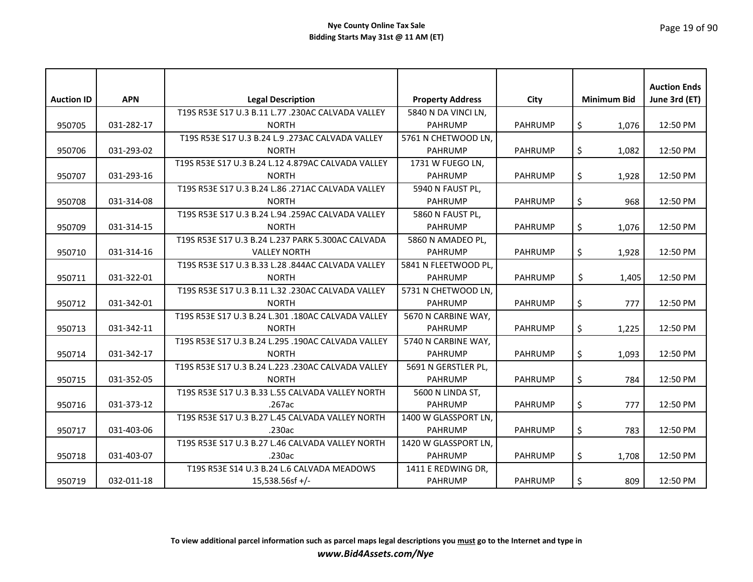| <b>Auction ID</b> | <b>APN</b> | <b>Legal Description</b>                           | <b>Property Address</b> | <b>City</b>    | <b>Minimum Bid</b> | <b>Auction Ends</b><br>June 3rd (ET) |
|-------------------|------------|----------------------------------------------------|-------------------------|----------------|--------------------|--------------------------------------|
|                   |            | T19S R53E S17 U.3 B.11 L.77 .230AC CALVADA VALLEY  | 5840 N DA VINCI LN,     |                |                    |                                      |
| 950705            | 031-282-17 | <b>NORTH</b>                                       | <b>PAHRUMP</b>          | <b>PAHRUMP</b> | \$<br>1,076        | 12:50 PM                             |
|                   |            | T19S R53E S17 U.3 B.24 L.9 .273AC CALVADA VALLEY   | 5761 N CHETWOOD LN.     |                |                    |                                      |
| 950706            | 031-293-02 | <b>NORTH</b>                                       | <b>PAHRUMP</b>          | <b>PAHRUMP</b> | \$<br>1,082        | 12:50 PM                             |
|                   |            | T19S R53E S17 U.3 B.24 L.12 4.879AC CALVADA VALLEY | 1731 W FUEGO LN,        |                |                    |                                      |
| 950707            | 031-293-16 | <b>NORTH</b>                                       | <b>PAHRUMP</b>          | <b>PAHRUMP</b> | \$<br>1,928        | 12:50 PM                             |
|                   |            | T19S R53E S17 U.3 B.24 L.86 .271AC CALVADA VALLEY  | 5940 N FAUST PL,        |                |                    |                                      |
| 950708            | 031-314-08 | <b>NORTH</b>                                       | <b>PAHRUMP</b>          | <b>PAHRUMP</b> | \$<br>968          | 12:50 PM                             |
|                   |            | T19S R53E S17 U.3 B.24 L.94 .259AC CALVADA VALLEY  | 5860 N FAUST PL,        |                |                    |                                      |
| 950709            | 031-314-15 | <b>NORTH</b>                                       | <b>PAHRUMP</b>          | <b>PAHRUMP</b> | \$<br>1,076        | 12:50 PM                             |
|                   |            | T19S R53E S17 U.3 B.24 L.237 PARK 5.300AC CALVADA  | 5860 N AMADEO PL,       |                |                    |                                      |
| 950710            | 031-314-16 | <b>VALLEY NORTH</b>                                | <b>PAHRUMP</b>          | <b>PAHRUMP</b> | \$<br>1,928        | 12:50 PM                             |
|                   |            | T19S R53E S17 U.3 B.33 L.28 .844AC CALVADA VALLEY  | 5841 N FLEETWOOD PL,    |                |                    |                                      |
| 950711            | 031-322-01 | <b>NORTH</b>                                       | <b>PAHRUMP</b>          | <b>PAHRUMP</b> | \$<br>1,405        | 12:50 PM                             |
|                   |            | T19S R53E S17 U.3 B.11 L.32 .230AC CALVADA VALLEY  | 5731 N CHETWOOD LN,     |                |                    |                                      |
| 950712            | 031-342-01 | <b>NORTH</b>                                       | <b>PAHRUMP</b>          | <b>PAHRUMP</b> | \$<br>777          | 12:50 PM                             |
|                   |            | T19S R53E S17 U.3 B.24 L.301 .180AC CALVADA VALLEY | 5670 N CARBINE WAY,     |                |                    |                                      |
| 950713            | 031-342-11 | <b>NORTH</b>                                       | <b>PAHRUMP</b>          | <b>PAHRUMP</b> | \$<br>1,225        | 12:50 PM                             |
|                   |            | T19S R53E S17 U.3 B.24 L.295 .190AC CALVADA VALLEY | 5740 N CARBINE WAY,     |                |                    |                                      |
| 950714            | 031-342-17 | <b>NORTH</b>                                       | <b>PAHRUMP</b>          | <b>PAHRUMP</b> | \$<br>1,093        | 12:50 PM                             |
|                   |            | T19S R53E S17 U.3 B.24 L.223 .230AC CALVADA VALLEY | 5691 N GERSTLER PL,     |                |                    |                                      |
| 950715            | 031-352-05 | <b>NORTH</b>                                       | <b>PAHRUMP</b>          | <b>PAHRUMP</b> | \$<br>784          | 12:50 PM                             |
|                   |            | T19S R53E S17 U.3 B.33 L.55 CALVADA VALLEY NORTH   | 5600 N LINDA ST,        |                |                    |                                      |
| 950716            | 031-373-12 | .267ac                                             | <b>PAHRUMP</b>          | <b>PAHRUMP</b> | \$<br>777          | 12:50 PM                             |
|                   |            | T19S R53E S17 U.3 B.27 L.45 CALVADA VALLEY NORTH   | 1400 W GLASSPORT LN,    |                |                    |                                      |
| 950717            | 031-403-06 | .230ac                                             | <b>PAHRUMP</b>          | <b>PAHRUMP</b> | \$<br>783          | 12:50 PM                             |
|                   |            | T19S R53E S17 U.3 B.27 L.46 CALVADA VALLEY NORTH   | 1420 W GLASSPORT LN,    |                |                    |                                      |
| 950718            | 031-403-07 | .230ac                                             | <b>PAHRUMP</b>          | <b>PAHRUMP</b> | \$<br>1,708        | 12:50 PM                             |
|                   |            | T19S R53E S14 U.3 B.24 L.6 CALVADA MEADOWS         | 1411 E REDWING DR,      |                |                    |                                      |
| 950719            | 032-011-18 | 15,538.56sf +/-                                    | <b>PAHRUMP</b>          | <b>PAHRUMP</b> | \$<br>809          | 12:50 PM                             |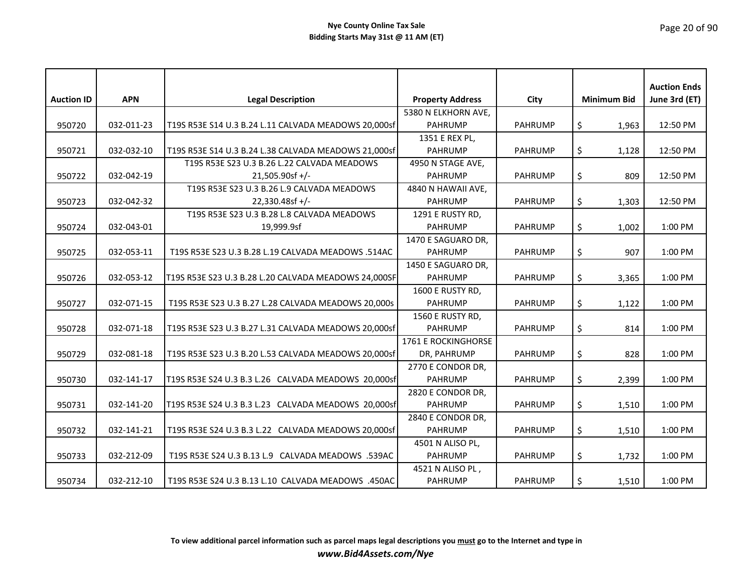| <b>Auction ID</b> | <b>APN</b> | <b>Legal Description</b>                             | <b>Property Address</b>          | City           | <b>Minimum Bid</b> | <b>Auction Ends</b><br>June 3rd (ET) |
|-------------------|------------|------------------------------------------------------|----------------------------------|----------------|--------------------|--------------------------------------|
|                   |            |                                                      | 5380 N ELKHORN AVE,              |                |                    |                                      |
| 950720            | 032-011-23 | T19S R53E S14 U.3 B.24 L.11 CALVADA MEADOWS 20,000sf | <b>PAHRUMP</b>                   | <b>PAHRUMP</b> |                    | 12:50 PM                             |
|                   |            |                                                      |                                  |                | \$<br>1,963        |                                      |
|                   |            |                                                      | 1351 E REX PL,<br><b>PAHRUMP</b> | <b>PAHRUMP</b> |                    | 12:50 PM                             |
| 950721            | 032-032-10 | T19S R53E S14 U.3 B.24 L.38 CALVADA MEADOWS 21,000sf |                                  |                | \$<br>1,128        |                                      |
|                   |            | T19S R53E S23 U.3 B.26 L.22 CALVADA MEADOWS          | 4950 N STAGE AVE,                |                |                    |                                      |
| 950722            | 032-042-19 | $21,505.90$ sf +/-                                   | <b>PAHRUMP</b>                   | PAHRUMP        | \$<br>809          | 12:50 PM                             |
|                   |            | T19S R53E S23 U.3 B.26 L.9 CALVADA MEADOWS           | 4840 N HAWAII AVE,               |                |                    |                                      |
| 950723            | 032-042-32 | 22,330.48sf +/-                                      | <b>PAHRUMP</b>                   | <b>PAHRUMP</b> | \$<br>1,303        | 12:50 PM                             |
|                   |            | T19S R53E S23 U.3 B.28 L.8 CALVADA MEADOWS           | 1291 E RUSTY RD,                 |                |                    |                                      |
| 950724            | 032-043-01 | 19,999.9sf                                           | <b>PAHRUMP</b>                   | <b>PAHRUMP</b> | \$<br>1,002        | 1:00 PM                              |
|                   |            |                                                      | 1470 E SAGUARO DR,               |                |                    |                                      |
| 950725            | 032-053-11 | T19S R53E S23 U.3 B.28 L.19 CALVADA MEADOWS .514AC   | <b>PAHRUMP</b>                   | <b>PAHRUMP</b> | \$<br>907          | 1:00 PM                              |
|                   |            |                                                      | 1450 E SAGUARO DR,               |                |                    |                                      |
| 950726            | 032-053-12 | T19S R53E S23 U.3 B.28 L.20 CALVADA MEADOWS 24,000SF | <b>PAHRUMP</b>                   | <b>PAHRUMP</b> | \$<br>3,365        | 1:00 PM                              |
|                   |            |                                                      | 1600 E RUSTY RD,                 |                |                    |                                      |
| 950727            | 032-071-15 | T19S R53E S23 U.3 B.27 L.28 CALVADA MEADOWS 20,000s  | <b>PAHRUMP</b>                   | <b>PAHRUMP</b> | \$<br>1,122        | 1:00 PM                              |
|                   |            |                                                      | 1560 E RUSTY RD,                 |                |                    |                                      |
| 950728            | 032-071-18 | T19S R53E S23 U.3 B.27 L.31 CALVADA MEADOWS 20,000sf | <b>PAHRUMP</b>                   | <b>PAHRUMP</b> | \$<br>814          | 1:00 PM                              |
|                   |            |                                                      | 1761 E ROCKINGHORSE              |                |                    |                                      |
| 950729            | 032-081-18 | T19S R53E S23 U.3 B.20 L.53 CALVADA MEADOWS 20,000sf | DR, PAHRUMP                      | <b>PAHRUMP</b> | \$<br>828          | 1:00 PM                              |
|                   |            |                                                      | 2770 E CONDOR DR,                |                |                    |                                      |
| 950730            | 032-141-17 | T19S R53E S24 U.3 B.3 L.26 CALVADA MEADOWS 20,000sf  | <b>PAHRUMP</b>                   | <b>PAHRUMP</b> | \$<br>2,399        | 1:00 PM                              |
|                   |            |                                                      | 2820 E CONDOR DR,                |                |                    |                                      |
| 950731            | 032-141-20 | T19S R53E S24 U.3 B.3 L.23 CALVADA MEADOWS 20,000sf  | <b>PAHRUMP</b>                   | <b>PAHRUMP</b> | \$<br>1,510        | 1:00 PM                              |
|                   |            |                                                      | 2840 E CONDOR DR,                |                |                    |                                      |
| 950732            | 032-141-21 | T19S R53E S24 U.3 B.3 L.22 CALVADA MEADOWS 20,000sf  | <b>PAHRUMP</b>                   | <b>PAHRUMP</b> | \$<br>1,510        | 1:00 PM                              |
|                   |            |                                                      | 4501 N ALISO PL,                 |                |                    |                                      |
| 950733            | 032-212-09 | T19S R53E S24 U.3 B.13 L.9 CALVADA MEADOWS .539AC    | <b>PAHRUMP</b>                   | <b>PAHRUMP</b> | \$<br>1,732        | 1:00 PM                              |
|                   |            |                                                      | 4521 N ALISO PL,                 |                |                    |                                      |
| 950734            | 032-212-10 | T19S R53E S24 U.3 B.13 L.10 CALVADA MEADOWS .450AC   | <b>PAHRUMP</b>                   | <b>PAHRUMP</b> | \$<br>1,510        | 1:00 PM                              |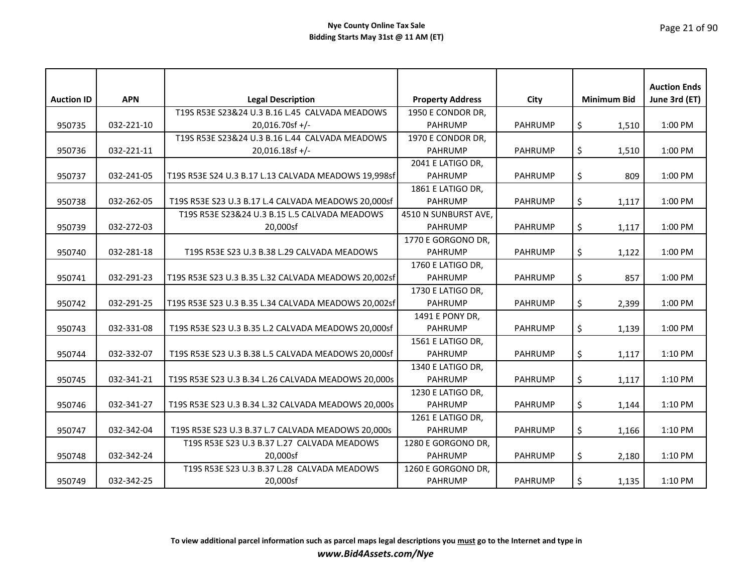|                   |            |                                                      |                         |                |                    | <b>Auction Ends</b> |
|-------------------|------------|------------------------------------------------------|-------------------------|----------------|--------------------|---------------------|
| <b>Auction ID</b> | <b>APN</b> | <b>Legal Description</b>                             | <b>Property Address</b> | City           | <b>Minimum Bid</b> | June 3rd (ET)       |
|                   |            | T19S R53E S23&24 U.3 B.16 L.45 CALVADA MEADOWS       | 1950 E CONDOR DR,       |                |                    |                     |
| 950735            | 032-221-10 | 20,016.70sf +/-                                      | <b>PAHRUMP</b>          | <b>PAHRUMP</b> | \$<br>1,510        | 1:00 PM             |
|                   |            | T19S R53E S23&24 U.3 B.16 L.44 CALVADA MEADOWS       | 1970 E CONDOR DR,       |                |                    |                     |
| 950736            | 032-221-11 | 20,016.18sf +/-                                      | <b>PAHRUMP</b>          | <b>PAHRUMP</b> | \$<br>1,510        | 1:00 PM             |
|                   |            |                                                      | 2041 E LATIGO DR.       |                |                    |                     |
| 950737            | 032-241-05 | T19S R53E S24 U.3 B.17 L.13 CALVADA MEADOWS 19,998sf | <b>PAHRUMP</b>          | <b>PAHRUMP</b> | \$<br>809          | 1:00 PM             |
|                   |            |                                                      | 1861 E LATIGO DR,       |                |                    |                     |
| 950738            | 032-262-05 | T19S R53E S23 U.3 B.17 L.4 CALVADA MEADOWS 20,000sf  | <b>PAHRUMP</b>          | <b>PAHRUMP</b> | \$<br>1,117        | 1:00 PM             |
|                   |            | T19S R53E S23&24 U.3 B.15 L.5 CALVADA MEADOWS        | 4510 N SUNBURST AVE,    |                |                    |                     |
| 950739            | 032-272-03 | 20,000sf                                             | <b>PAHRUMP</b>          | <b>PAHRUMP</b> | \$<br>1,117        | 1:00 PM             |
|                   |            |                                                      | 1770 E GORGONO DR,      |                |                    |                     |
| 950740            | 032-281-18 | T19S R53E S23 U.3 B.38 L.29 CALVADA MEADOWS          | <b>PAHRUMP</b>          | <b>PAHRUMP</b> | \$<br>1,122        | 1:00 PM             |
|                   |            |                                                      | 1760 E LATIGO DR,       |                |                    |                     |
| 950741            | 032-291-23 | T19S R53E S23 U.3 B.35 L.32 CALVADA MEADOWS 20,002sf | <b>PAHRUMP</b>          | <b>PAHRUMP</b> | \$<br>857          | 1:00 PM             |
|                   |            |                                                      | 1730 E LATIGO DR,       |                |                    |                     |
| 950742            | 032-291-25 | T19S R53E S23 U.3 B.35 L.34 CALVADA MEADOWS 20,002sf | <b>PAHRUMP</b>          | <b>PAHRUMP</b> | \$<br>2,399        | 1:00 PM             |
|                   |            |                                                      | 1491 E PONY DR,         |                |                    |                     |
| 950743            | 032-331-08 | T19S R53E S23 U.3 B.35 L.2 CALVADA MEADOWS 20,000sf  | <b>PAHRUMP</b>          | <b>PAHRUMP</b> | \$<br>1,139        | 1:00 PM             |
|                   |            |                                                      | 1561 E LATIGO DR,       |                |                    |                     |
| 950744            | 032-332-07 | T19S R53E S23 U.3 B.38 L.5 CALVADA MEADOWS 20,000sf  | <b>PAHRUMP</b>          | <b>PAHRUMP</b> | \$<br>1,117        | 1:10 PM             |
|                   |            |                                                      | 1340 E LATIGO DR,       |                |                    |                     |
| 950745            | 032-341-21 | T19S R53E S23 U.3 B.34 L.26 CALVADA MEADOWS 20,000s  | <b>PAHRUMP</b>          | <b>PAHRUMP</b> | \$<br>1,117        | 1:10 PM             |
|                   |            |                                                      | 1230 E LATIGO DR,       |                |                    |                     |
| 950746            | 032-341-27 | T19S R53E S23 U.3 B.34 L.32 CALVADA MEADOWS 20,000s  | <b>PAHRUMP</b>          | <b>PAHRUMP</b> | \$<br>1,144        | 1:10 PM             |
|                   |            |                                                      | 1261 E LATIGO DR,       |                |                    |                     |
| 950747            | 032-342-04 | T19S R53E S23 U.3 B.37 L.7 CALVADA MEADOWS 20,000s   | <b>PAHRUMP</b>          | <b>PAHRUMP</b> | \$<br>1,166        | 1:10 PM             |
|                   |            | T19S R53E S23 U.3 B.37 L.27 CALVADA MEADOWS          | 1280 E GORGONO DR,      |                |                    |                     |
| 950748            | 032-342-24 | 20,000sf                                             | <b>PAHRUMP</b>          | <b>PAHRUMP</b> | \$<br>2,180        | 1:10 PM             |
|                   |            | T19S R53E S23 U.3 B.37 L.28 CALVADA MEADOWS          | 1260 E GORGONO DR,      |                |                    |                     |
| 950749            | 032-342-25 | 20,000sf                                             | <b>PAHRUMP</b>          | <b>PAHRUMP</b> | \$<br>1,135        | 1:10 PM             |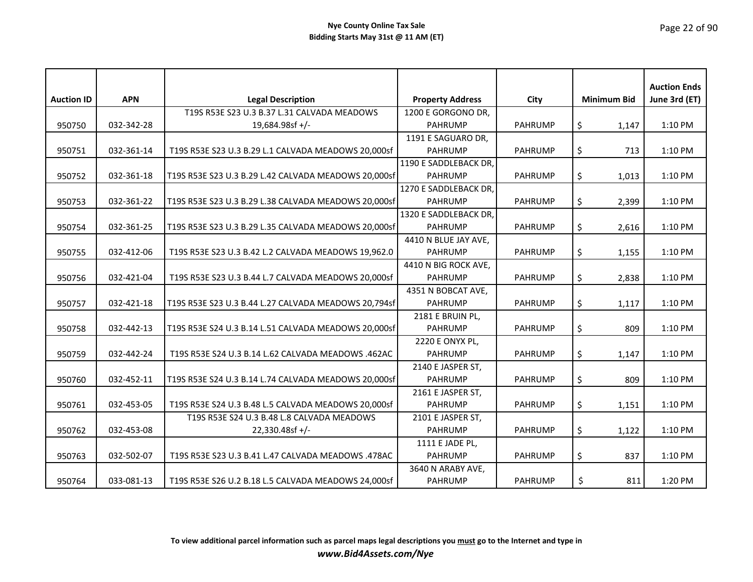|                   |            |                                                      |                         |                |                    | <b>Auction Ends</b> |
|-------------------|------------|------------------------------------------------------|-------------------------|----------------|--------------------|---------------------|
| <b>Auction ID</b> | <b>APN</b> | <b>Legal Description</b>                             | <b>Property Address</b> | City           | <b>Minimum Bid</b> | June 3rd (ET)       |
|                   |            | T19S R53E S23 U.3 B.37 L.31 CALVADA MEADOWS          | 1200 E GORGONO DR,      |                |                    |                     |
| 950750            | 032-342-28 | 19,684.98sf +/-                                      | <b>PAHRUMP</b>          | <b>PAHRUMP</b> | \$<br>1,147        | 1:10 PM             |
|                   |            |                                                      | 1191 E SAGUARO DR,      |                |                    |                     |
| 950751            | 032-361-14 | T19S R53E S23 U.3 B.29 L.1 CALVADA MEADOWS 20,000sf  | <b>PAHRUMP</b>          | <b>PAHRUMP</b> | \$<br>713          | 1:10 PM             |
|                   |            |                                                      | 1190 E SADDLEBACK DR,   |                |                    |                     |
| 950752            | 032-361-18 | T19S R53E S23 U.3 B.29 L.42 CALVADA MEADOWS 20,000sf | <b>PAHRUMP</b>          | <b>PAHRUMP</b> | \$<br>1,013        | 1:10 PM             |
|                   |            |                                                      | 1270 E SADDLEBACK DR.   |                |                    |                     |
| 950753            | 032-361-22 | T19S R53E S23 U.3 B.29 L.38 CALVADA MEADOWS 20,000sf | <b>PAHRUMP</b>          | <b>PAHRUMP</b> | \$<br>2,399        | 1:10 PM             |
|                   |            |                                                      | 1320 E SADDLEBACK DR,   |                |                    |                     |
| 950754            | 032-361-25 | T19S R53E S23 U.3 B.29 L.35 CALVADA MEADOWS 20,000sf | <b>PAHRUMP</b>          | <b>PAHRUMP</b> | \$<br>2,616        | 1:10 PM             |
|                   |            |                                                      | 4410 N BLUE JAY AVE,    |                |                    |                     |
| 950755            | 032-412-06 | T19S R53E S23 U.3 B.42 L.2 CALVADA MEADOWS 19,962.0  | <b>PAHRUMP</b>          | <b>PAHRUMP</b> | \$<br>1,155        | 1:10 PM             |
|                   |            |                                                      | 4410 N BIG ROCK AVE,    |                |                    |                     |
| 950756            | 032-421-04 | T19S R53E S23 U.3 B.44 L.7 CALVADA MEADOWS 20,000sf  | <b>PAHRUMP</b>          | <b>PAHRUMP</b> | \$<br>2,838        | 1:10 PM             |
|                   |            |                                                      | 4351 N BOBCAT AVE,      |                |                    |                     |
| 950757            | 032-421-18 | T19S R53E S23 U.3 B.44 L.27 CALVADA MEADOWS 20,794sf | <b>PAHRUMP</b>          | <b>PAHRUMP</b> | \$<br>1,117        | 1:10 PM             |
|                   |            |                                                      | 2181 E BRUIN PL,        |                |                    |                     |
| 950758            | 032-442-13 | T19S R53E S24 U.3 B.14 L.51 CALVADA MEADOWS 20,000sf | <b>PAHRUMP</b>          | <b>PAHRUMP</b> | \$<br>809          | 1:10 PM             |
|                   |            |                                                      | 2220 E ONYX PL,         |                |                    |                     |
| 950759            | 032-442-24 | T19S R53E S24 U.3 B.14 L.62 CALVADA MEADOWS .462AC   | <b>PAHRUMP</b>          | <b>PAHRUMP</b> | \$<br>1,147        | 1:10 PM             |
|                   |            |                                                      | 2140 E JASPER ST,       |                |                    |                     |
| 950760            | 032-452-11 | T19S R53E S24 U.3 B.14 L.74 CALVADA MEADOWS 20,000sf | <b>PAHRUMP</b>          | <b>PAHRUMP</b> | \$<br>809          | 1:10 PM             |
|                   |            |                                                      | 2161 E JASPER ST,       |                |                    |                     |
| 950761            | 032-453-05 | T19S R53E S24 U.3 B.48 L.5 CALVADA MEADOWS 20,000sf  | <b>PAHRUMP</b>          | <b>PAHRUMP</b> | \$<br>1,151        | 1:10 PM             |
|                   |            | T19S R53E S24 U.3 B.48 L.8 CALVADA MEADOWS           | 2101 E JASPER ST,       |                |                    |                     |
| 950762            | 032-453-08 | $22,330.48$ sf +/-                                   | <b>PAHRUMP</b>          | <b>PAHRUMP</b> | \$<br>1,122        | 1:10 PM             |
|                   |            |                                                      | 1111 E JADE PL,         |                |                    |                     |
| 950763            | 032-502-07 | T19S R53E S23 U.3 B.41 L.47 CALVADA MEADOWS .478AC   | <b>PAHRUMP</b>          | PAHRUMP        | \$<br>837          | 1:10 PM             |
|                   |            |                                                      | 3640 N ARABY AVE,       |                |                    |                     |
| 950764            | 033-081-13 | T19S R53E S26 U.2 B.18 L.5 CALVADA MEADOWS 24,000sf  | <b>PAHRUMP</b>          | <b>PAHRUMP</b> | \$<br>811          | 1:20 PM             |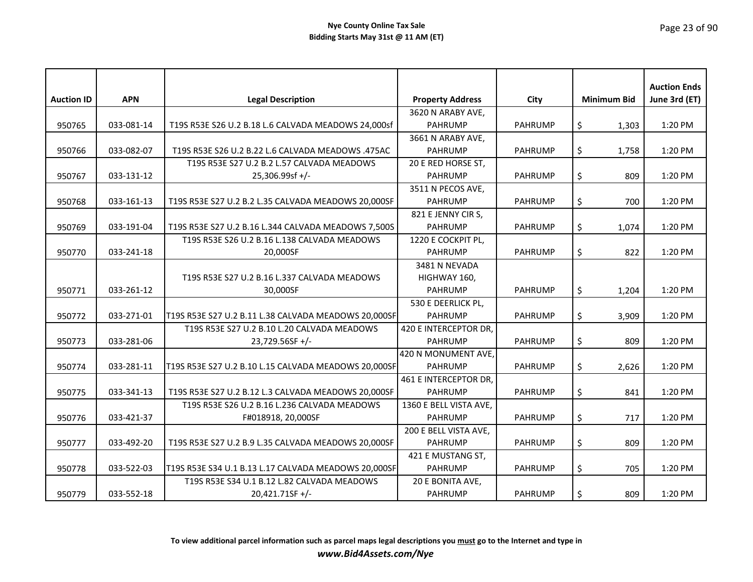| <b>Auction ID</b> | <b>APN</b> | <b>Legal Description</b>                             | <b>Property Address</b> | City           | <b>Minimum Bid</b> | <b>Auction Ends</b><br>June 3rd (ET) |
|-------------------|------------|------------------------------------------------------|-------------------------|----------------|--------------------|--------------------------------------|
|                   |            |                                                      | 3620 N ARABY AVE,       |                |                    |                                      |
| 950765            | 033-081-14 | T19S R53E S26 U.2 B.18 L.6 CALVADA MEADOWS 24,000sf  | <b>PAHRUMP</b>          | <b>PAHRUMP</b> | \$<br>1,303        | 1:20 PM                              |
|                   |            |                                                      | 3661 N ARABY AVE,       |                |                    |                                      |
| 950766            | 033-082-07 | T19S R53E S26 U.2 B.22 L.6 CALVADA MEADOWS .475AC    | <b>PAHRUMP</b>          | <b>PAHRUMP</b> | \$<br>1,758        | 1:20 PM                              |
|                   |            | T19S R53E S27 U.2 B.2 L.57 CALVADA MEADOWS           | 20 E RED HORSE ST,      |                |                    |                                      |
| 950767            | 033-131-12 | 25,306.99sf +/-                                      | <b>PAHRUMP</b>          | <b>PAHRUMP</b> | \$<br>809          | 1:20 PM                              |
|                   |            |                                                      | 3511 N PECOS AVE,       |                |                    |                                      |
| 950768            | 033-161-13 | T19S R53E S27 U.2 B.2 L.35 CALVADA MEADOWS 20,000SF  | <b>PAHRUMP</b>          | <b>PAHRUMP</b> | \$<br>700          | 1:20 PM                              |
|                   |            |                                                      | 821 E JENNY CIR S,      |                |                    |                                      |
| 950769            | 033-191-04 | T19S R53E S27 U.2 B.16 L.344 CALVADA MEADOWS 7,500S  | <b>PAHRUMP</b>          | <b>PAHRUMP</b> | \$<br>1,074        | 1:20 PM                              |
|                   |            | T19S R53E S26 U.2 B.16 L.138 CALVADA MEADOWS         | 1220 E COCKPIT PL,      |                |                    |                                      |
| 950770            | 033-241-18 | 20,000SF                                             | <b>PAHRUMP</b>          | <b>PAHRUMP</b> | \$<br>822          | 1:20 PM                              |
|                   |            |                                                      | 3481 N NEVADA           |                |                    |                                      |
|                   |            | T19S R53E S27 U.2 B.16 L.337 CALVADA MEADOWS         | HIGHWAY 160,            |                |                    |                                      |
| 950771            | 033-261-12 | 30.000SF                                             | <b>PAHRUMP</b>          | <b>PAHRUMP</b> | \$<br>1,204        | 1:20 PM                              |
|                   |            |                                                      | 530 E DEERLICK PL,      |                |                    |                                      |
| 950772            | 033-271-01 | T19S R53E S27 U.2 B.11 L.38 CALVADA MEADOWS 20,000SF | <b>PAHRUMP</b>          | <b>PAHRUMP</b> | \$<br>3,909        | 1:20 PM                              |
|                   |            | T19S R53E S27 U.2 B.10 L.20 CALVADA MEADOWS          | 420 E INTERCEPTOR DR,   |                |                    |                                      |
| 950773            | 033-281-06 | $23,729.56$ SF +/-                                   | <b>PAHRUMP</b>          | <b>PAHRUMP</b> | \$<br>809          | 1:20 PM                              |
|                   |            |                                                      | 420 N MONUMENT AVE,     |                |                    |                                      |
| 950774            | 033-281-11 | T19S R53E S27 U.2 B.10 L.15 CALVADA MEADOWS 20,000SF | <b>PAHRUMP</b>          | <b>PAHRUMP</b> | \$<br>2,626        | 1:20 PM                              |
|                   |            |                                                      | 461 E INTERCEPTOR DR,   |                |                    |                                      |
| 950775            | 033-341-13 | T19S R53E S27 U.2 B.12 L.3 CALVADA MEADOWS 20,000SF  | <b>PAHRUMP</b>          | <b>PAHRUMP</b> | \$<br>841          | 1:20 PM                              |
|                   |            | T19S R53E S26 U.2 B.16 L.236 CALVADA MEADOWS         | 1360 E BELL VISTA AVE,  |                |                    |                                      |
| 950776            | 033-421-37 | F#018918, 20,000SF                                   | <b>PAHRUMP</b>          | <b>PAHRUMP</b> | \$<br>717          | 1:20 PM                              |
|                   |            |                                                      | 200 E BELL VISTA AVE,   |                |                    |                                      |
| 950777            | 033-492-20 | T19S R53E S27 U.2 B.9 L.35 CALVADA MEADOWS 20,000SF  | <b>PAHRUMP</b>          | <b>PAHRUMP</b> | \$<br>809          | 1:20 PM                              |
|                   |            |                                                      | 421 E MUSTANG ST,       |                |                    |                                      |
| 950778            | 033-522-03 | T19S R53E S34 U.1 B.13 L.17 CALVADA MEADOWS 20,000SF | <b>PAHRUMP</b>          | <b>PAHRUMP</b> | \$<br>705          | 1:20 PM                              |
|                   |            | T19S R53E S34 U.1 B.12 L.82 CALVADA MEADOWS          | 20 E BONITA AVE,        |                |                    |                                      |
| 950779            | 033-552-18 | 20,421.71SF +/-                                      | <b>PAHRUMP</b>          | <b>PAHRUMP</b> | \$<br>809          | 1:20 PM                              |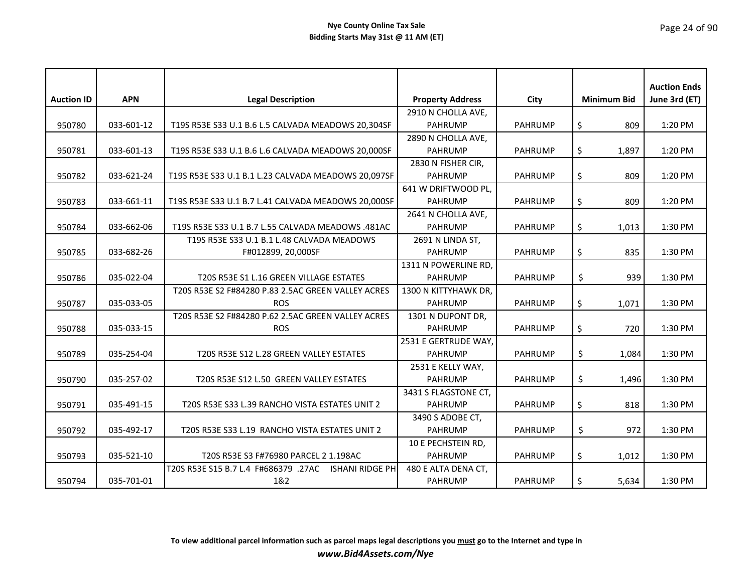|                   |            |                                                                |                         |                |                    | <b>Auction Ends</b> |
|-------------------|------------|----------------------------------------------------------------|-------------------------|----------------|--------------------|---------------------|
| <b>Auction ID</b> | <b>APN</b> | <b>Legal Description</b>                                       | <b>Property Address</b> | City           | <b>Minimum Bid</b> | June 3rd (ET)       |
|                   |            |                                                                | 2910 N CHOLLA AVE,      |                |                    |                     |
| 950780            | 033-601-12 | T19S R53E S33 U.1 B.6 L.5 CALVADA MEADOWS 20,304SF             | <b>PAHRUMP</b>          | <b>PAHRUMP</b> | \$<br>809          | 1:20 PM             |
|                   |            |                                                                | 2890 N CHOLLA AVE,      |                |                    |                     |
| 950781            | 033-601-13 | T19S R53E S33 U.1 B.6 L.6 CALVADA MEADOWS 20,000SF             | <b>PAHRUMP</b>          | <b>PAHRUMP</b> | \$<br>1,897        | 1:20 PM             |
|                   |            |                                                                | 2830 N FISHER CIR,      |                |                    |                     |
| 950782            | 033-621-24 | T19S R53E S33 U.1 B.1 L.23 CALVADA MEADOWS 20,097SF            | <b>PAHRUMP</b>          | <b>PAHRUMP</b> | \$<br>809          | 1:20 PM             |
|                   |            |                                                                | 641 W DRIFTWOOD PL,     |                |                    |                     |
| 950783            | 033-661-11 | T19S R53E S33 U.1 B.7 L.41 CALVADA MEADOWS 20,000SF            | <b>PAHRUMP</b>          | <b>PAHRUMP</b> | \$<br>809          | 1:20 PM             |
|                   |            |                                                                | 2641 N CHOLLA AVE,      |                |                    |                     |
| 950784            | 033-662-06 | T19S R53E S33 U.1 B.7 L.55 CALVADA MEADOWS .481AC              | <b>PAHRUMP</b>          | <b>PAHRUMP</b> | \$<br>1,013        | 1:30 PM             |
|                   |            | T19S R53E S33 U.1 B.1 L.48 CALVADA MEADOWS                     | 2691 N LINDA ST,        |                |                    |                     |
| 950785            | 033-682-26 | F#012899, 20,000SF                                             | <b>PAHRUMP</b>          | <b>PAHRUMP</b> | \$<br>835          | 1:30 PM             |
|                   |            |                                                                | 1311 N POWERLINE RD,    |                |                    |                     |
| 950786            | 035-022-04 | T20S R53E S1 L.16 GREEN VILLAGE ESTATES                        | <b>PAHRUMP</b>          | <b>PAHRUMP</b> | \$<br>939          | 1:30 PM             |
|                   |            | T20S R53E S2 F#84280 P.83 2.5AC GREEN VALLEY ACRES             | 1300 N KITTYHAWK DR,    |                |                    |                     |
| 950787            | 035-033-05 | <b>ROS</b>                                                     | <b>PAHRUMP</b>          | <b>PAHRUMP</b> | \$<br>1,071        | 1:30 PM             |
|                   |            | T20S R53E S2 F#84280 P.62 2.5AC GREEN VALLEY ACRES             | 1301 N DUPONT DR,       |                |                    |                     |
| 950788            | 035-033-15 | <b>ROS</b>                                                     | <b>PAHRUMP</b>          | <b>PAHRUMP</b> | \$<br>720          | 1:30 PM             |
|                   |            |                                                                | 2531 E GERTRUDE WAY,    |                |                    |                     |
| 950789            | 035-254-04 | T20S R53E S12 L.28 GREEN VALLEY ESTATES                        | <b>PAHRUMP</b>          | <b>PAHRUMP</b> | \$<br>1,084        | 1:30 PM             |
|                   |            |                                                                | 2531 E KELLY WAY,       |                |                    |                     |
| 950790            | 035-257-02 | T20S R53E S12 L.50 GREEN VALLEY ESTATES                        | <b>PAHRUMP</b>          | <b>PAHRUMP</b> | \$<br>1,496        | 1:30 PM             |
|                   |            |                                                                | 3431 S FLAGSTONE CT,    |                |                    |                     |
| 950791            | 035-491-15 | T20S R53E S33 L.39 RANCHO VISTA ESTATES UNIT 2                 | <b>PAHRUMP</b>          | <b>PAHRUMP</b> | \$<br>818          | 1:30 PM             |
|                   |            |                                                                | 3490 S ADOBE CT,        |                |                    |                     |
| 950792            | 035-492-17 | T20S R53E S33 L.19 RANCHO VISTA ESTATES UNIT 2                 | <b>PAHRUMP</b>          | <b>PAHRUMP</b> | \$<br>972          | 1:30 PM             |
|                   |            |                                                                | 10 E PECHSTEIN RD,      |                |                    |                     |
| 950793            | 035-521-10 | T20S R53E S3 F#76980 PARCEL 2 1.198AC                          | <b>PAHRUMP</b>          | <b>PAHRUMP</b> | \$<br>1,012        | 1:30 PM             |
|                   |            | T20S R53E S15 B.7 L.4 F#686379 .27AC<br><b>ISHANI RIDGE PH</b> | 480 E ALTA DENA CT,     |                |                    |                     |
| 950794            | 035-701-01 | 1&2                                                            | <b>PAHRUMP</b>          | <b>PAHRUMP</b> | \$<br>5,634        | 1:30 PM             |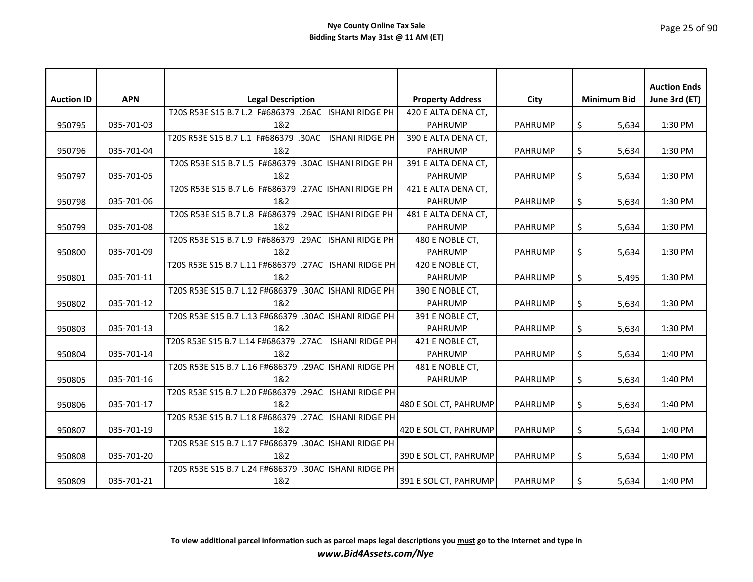# Page 25 of 90

|                   |            |                                                       |                         |                |                    | <b>Auction Ends</b> |
|-------------------|------------|-------------------------------------------------------|-------------------------|----------------|--------------------|---------------------|
| <b>Auction ID</b> | <b>APN</b> | <b>Legal Description</b>                              | <b>Property Address</b> | City           | <b>Minimum Bid</b> | June 3rd (ET)       |
|                   |            | T20S R53E S15 B.7 L.2 F#686379 .26AC ISHANI RIDGE PH  | 420 E ALTA DENA CT,     |                |                    |                     |
| 950795            | 035-701-03 | 1&2                                                   | <b>PAHRUMP</b>          | <b>PAHRUMP</b> | \$<br>5,634        | 1:30 PM             |
|                   |            | T20S R53E S15 B.7 L.1 F#686379 .30AC ISHANI RIDGE PH  | 390 E ALTA DENA CT,     |                |                    |                     |
| 950796            | 035-701-04 | 1&2                                                   | <b>PAHRUMP</b>          | <b>PAHRUMP</b> | \$<br>5.634        | 1:30 PM             |
|                   |            | T20S R53E S15 B.7 L.5 F#686379 .30AC ISHANI RIDGE PH  | 391 E ALTA DENA CT,     |                |                    |                     |
| 950797            | 035-701-05 | 1&2                                                   | <b>PAHRUMP</b>          | <b>PAHRUMP</b> | \$<br>5,634        | 1:30 PM             |
|                   |            | T20S R53E S15 B.7 L.6 F#686379 .27AC ISHANI RIDGE PH  | 421 E ALTA DENA CT,     |                |                    |                     |
| 950798            | 035-701-06 | 1&2                                                   | <b>PAHRUMP</b>          | <b>PAHRUMP</b> | \$<br>5,634        | 1:30 PM             |
|                   |            | T20S R53E S15 B.7 L.8 F#686379 .29AC ISHANI RIDGE PH  | 481 E ALTA DENA CT,     |                |                    |                     |
| 950799            | 035-701-08 | 1&2                                                   | <b>PAHRUMP</b>          | <b>PAHRUMP</b> | \$<br>5,634        | 1:30 PM             |
|                   |            | T20S R53E S15 B.7 L.9 F#686379 .29AC ISHANI RIDGE PH  | 480 E NOBLE CT,         |                |                    |                     |
| 950800            | 035-701-09 | 1&2                                                   | <b>PAHRUMP</b>          | <b>PAHRUMP</b> | \$<br>5,634        | 1:30 PM             |
|                   |            | T20S R53E S15 B.7 L.11 F#686379 .27AC ISHANI RIDGE PH | 420 E NOBLE CT,         |                |                    |                     |
| 950801            | 035-701-11 | 1&2                                                   | <b>PAHRUMP</b>          | <b>PAHRUMP</b> | \$<br>5,495        | 1:30 PM             |
|                   |            | T20S R53E S15 B.7 L.12 F#686379 .30AC ISHANI RIDGE PH | 390 E NOBLE CT,         |                |                    |                     |
| 950802            | 035-701-12 | 1&2                                                   | <b>PAHRUMP</b>          | <b>PAHRUMP</b> | \$<br>5,634        | 1:30 PM             |
|                   |            | T20S R53E S15 B.7 L.13 F#686379 .30AC ISHANI RIDGE PH | 391 E NOBLE CT,         |                |                    |                     |
| 950803            | 035-701-13 | 1&2                                                   | <b>PAHRUMP</b>          | <b>PAHRUMP</b> | \$<br>5,634        | 1:30 PM             |
|                   |            | T20S R53E S15 B.7 L.14 F#686379 .27AC ISHANI RIDGE PH | 421 E NOBLE CT,         |                |                    |                     |
| 950804            | 035-701-14 | 1&2                                                   | <b>PAHRUMP</b>          | <b>PAHRUMP</b> | \$<br>5,634        | 1:40 PM             |
|                   |            | T20S R53E S15 B.7 L.16 F#686379 .29AC ISHANI RIDGE PH | 481 E NOBLE CT,         |                |                    |                     |
| 950805            | 035-701-16 | 1&2                                                   | <b>PAHRUMP</b>          | <b>PAHRUMP</b> | \$<br>5,634        | 1:40 PM             |
|                   |            | T20S R53E S15 B.7 L.20 F#686379 .29AC ISHANI RIDGE PH |                         |                |                    |                     |
| 950806            | 035-701-17 | 1&2                                                   | 480 E SOL CT, PAHRUMP   | <b>PAHRUMP</b> | \$<br>5,634        | 1:40 PM             |
|                   |            | T20S R53E S15 B.7 L.18 F#686379 .27AC ISHANI RIDGE PH |                         |                |                    |                     |
| 950807            | 035-701-19 | 1&2                                                   | 420 E SOL CT, PAHRUMP   | <b>PAHRUMP</b> | \$<br>5,634        | 1:40 PM             |
|                   |            | T20S R53E S15 B.7 L.17 F#686379 .30AC ISHANI RIDGE PH |                         |                |                    |                     |
| 950808            | 035-701-20 | 1&2                                                   | 390 E SOL CT, PAHRUMP   | <b>PAHRUMP</b> | \$<br>5,634        | 1:40 PM             |
|                   |            | T20S R53E S15 B.7 L.24 F#686379 .30AC ISHANI RIDGE PH |                         |                |                    |                     |
| 950809            | 035-701-21 | 1&2                                                   | 391 E SOL CT, PAHRUMP   | <b>PAHRUMP</b> | $\zeta$<br>5,634   | 1:40 PM             |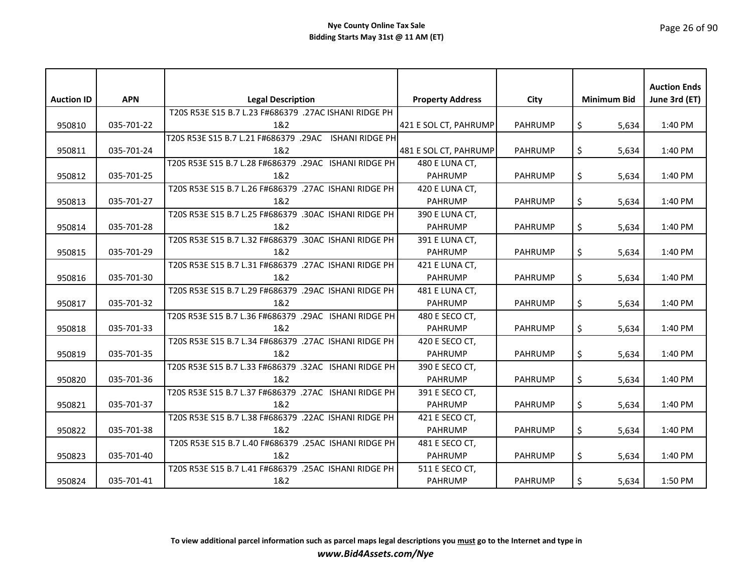| <b>Auction ID</b> | <b>APN</b> | <b>Legal Description</b>                              | <b>Property Address</b> | City           | <b>Minimum Bid</b> | <b>Auction Ends</b><br>June 3rd (ET) |
|-------------------|------------|-------------------------------------------------------|-------------------------|----------------|--------------------|--------------------------------------|
|                   |            | T20S R53E S15 B.7 L.23 F#686379 .27AC ISHANI RIDGE PH |                         |                |                    |                                      |
| 950810            | 035-701-22 | 1&2                                                   | 421 E SOL CT, PAHRUMP   | <b>PAHRUMP</b> | \$<br>5,634        | 1:40 PM                              |
|                   |            | T20S R53E S15 B.7 L.21 F#686379 .29AC ISHANI RIDGE PH |                         |                |                    |                                      |
| 950811            | 035-701-24 | 1&2                                                   | 481 E SOL CT, PAHRUMP   | <b>PAHRUMP</b> | \$<br>5,634        | 1:40 PM                              |
|                   |            | T20S R53E S15 B.7 L.28 F#686379 .29AC ISHANI RIDGE PH | 480 E LUNA CT,          |                |                    |                                      |
| 950812            | 035-701-25 | 1&2                                                   | <b>PAHRUMP</b>          | <b>PAHRUMP</b> | \$<br>5,634        | 1:40 PM                              |
|                   |            | T20S R53E S15 B.7 L.26 F#686379 .27AC ISHANI RIDGE PH | 420 E LUNA CT,          |                |                    |                                      |
| 950813            | 035-701-27 | 1&2                                                   | <b>PAHRUMP</b>          | <b>PAHRUMP</b> | \$<br>5,634        | 1:40 PM                              |
|                   |            | T20S R53E S15 B.7 L.25 F#686379 .30AC ISHANI RIDGE PH | 390 E LUNA CT,          |                |                    |                                      |
| 950814            | 035-701-28 | 1&2                                                   | <b>PAHRUMP</b>          | <b>PAHRUMP</b> | \$<br>5,634        | 1:40 PM                              |
|                   |            | T20S R53E S15 B.7 L.32 F#686379 .30AC ISHANI RIDGE PH | 391 E LUNA CT,          |                |                    |                                      |
| 950815            | 035-701-29 | 1&2                                                   | <b>PAHRUMP</b>          | <b>PAHRUMP</b> | \$<br>5,634        | 1:40 PM                              |
|                   |            | T20S R53E S15 B.7 L.31 F#686379 .27AC ISHANI RIDGE PH | 421 E LUNA CT,          |                |                    |                                      |
| 950816            | 035-701-30 | 1&2                                                   | <b>PAHRUMP</b>          | <b>PAHRUMP</b> | \$<br>5,634        | 1:40 PM                              |
|                   |            | T20S R53E S15 B.7 L.29 F#686379 .29AC ISHANI RIDGE PH | 481 E LUNA CT,          |                |                    |                                      |
| 950817            | 035-701-32 | 1&2                                                   | <b>PAHRUMP</b>          | <b>PAHRUMP</b> | $\zeta$<br>5,634   | 1:40 PM                              |
|                   |            | T20S R53E S15 B.7 L.36 F#686379 .29AC ISHANI RIDGE PH | 480 E SECO CT,          |                |                    |                                      |
| 950818            | 035-701-33 | 1&2                                                   | PAHRUMP                 | <b>PAHRUMP</b> | \$<br>5,634        | 1:40 PM                              |
|                   |            | T20S R53E S15 B.7 L.34 F#686379 .27AC ISHANI RIDGE PH | 420 E SECO CT,          |                |                    |                                      |
| 950819            | 035-701-35 | 1&2                                                   | <b>PAHRUMP</b>          | <b>PAHRUMP</b> | \$<br>5,634        | 1:40 PM                              |
|                   |            | T20S R53E S15 B.7 L.33 F#686379 .32AC ISHANI RIDGE PH | 390 E SECO CT,          |                |                    |                                      |
| 950820            | 035-701-36 | 1&2                                                   | <b>PAHRUMP</b>          | <b>PAHRUMP</b> | \$<br>5,634        | 1:40 PM                              |
|                   |            | T20S R53E S15 B.7 L.37 F#686379 .27AC ISHANI RIDGE PH | 391 E SECO CT,          |                |                    |                                      |
| 950821            | 035-701-37 | 1&2                                                   | <b>PAHRUMP</b>          | <b>PAHRUMP</b> | \$<br>5,634        | 1:40 PM                              |
|                   |            | T20S R53E S15 B.7 L.38 F#686379 .22AC ISHANI RIDGE PH | 421 E SECO CT,          |                |                    |                                      |
| 950822            | 035-701-38 | 1&2                                                   | <b>PAHRUMP</b>          | <b>PAHRUMP</b> | \$<br>5,634        | 1:40 PM                              |
|                   |            | T20S R53E S15 B.7 L.40 F#686379 .25AC ISHANI RIDGE PH | 481 E SECO CT,          |                |                    |                                      |
| 950823            | 035-701-40 | 1&2                                                   | <b>PAHRUMP</b>          | <b>PAHRUMP</b> | \$<br>5.634        | $1:40$ PM                            |
|                   |            | T20S R53E S15 B.7 L.41 F#686379 .25AC ISHANI RIDGE PH | 511 E SECO CT,          |                |                    |                                      |
| 950824            | 035-701-41 | 1&2                                                   | <b>PAHRUMP</b>          | <b>PAHRUMP</b> | \$<br>5,634        | 1:50 PM                              |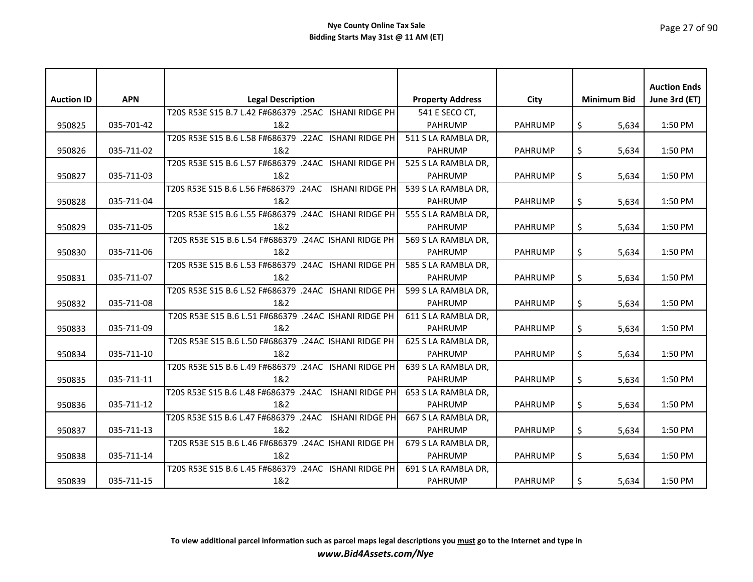# Page 27 of 90

|                   |            |                                                       |                         |                |                    | <b>Auction Ends</b> |
|-------------------|------------|-------------------------------------------------------|-------------------------|----------------|--------------------|---------------------|
| <b>Auction ID</b> | <b>APN</b> | <b>Legal Description</b>                              | <b>Property Address</b> | City           | <b>Minimum Bid</b> | June 3rd (ET)       |
|                   |            | T20S R53E S15 B.7 L.42 F#686379 .25AC ISHANI RIDGE PH | 541 E SECO CT,          |                |                    |                     |
| 950825            | 035-701-42 | 1&2                                                   | <b>PAHRUMP</b>          | <b>PAHRUMP</b> | \$<br>5,634        | 1:50 PM             |
|                   |            | T20S R53E S15 B.6 L.58 F#686379 .22AC ISHANI RIDGE PH | 511 S LA RAMBLA DR,     |                |                    |                     |
| 950826            | 035-711-02 | 1&2                                                   | <b>PAHRUMP</b>          | <b>PAHRUMP</b> | \$<br>5,634        | 1:50 PM             |
|                   |            | T20S R53E S15 B.6 L.57 F#686379 .24AC ISHANI RIDGE PH | 525 S LA RAMBLA DR,     |                |                    |                     |
| 950827            | 035-711-03 | 1&2                                                   | <b>PAHRUMP</b>          | <b>PAHRUMP</b> | \$<br>5,634        | 1:50 PM             |
|                   |            | T20S R53E S15 B.6 L.56 F#686379 .24AC ISHANI RIDGE PH | 539 S LA RAMBLA DR,     |                |                    |                     |
| 950828            | 035-711-04 | 1&2                                                   | <b>PAHRUMP</b>          | <b>PAHRUMP</b> | \$<br>5,634        | 1:50 PM             |
|                   |            | T20S R53E S15 B.6 L.55 F#686379 .24AC ISHANI RIDGE PH | 555 S LA RAMBLA DR,     |                |                    |                     |
| 950829            | 035-711-05 | 1&2                                                   | <b>PAHRUMP</b>          | <b>PAHRUMP</b> | \$<br>5,634        | 1:50 PM             |
|                   |            | T20S R53E S15 B.6 L.54 F#686379 .24AC ISHANI RIDGE PH | 569 S LA RAMBLA DR,     |                |                    |                     |
| 950830            | 035-711-06 | 1&2                                                   | <b>PAHRUMP</b>          | <b>PAHRUMP</b> | \$<br>5,634        | 1:50 PM             |
|                   |            | T20S R53E S15 B.6 L.53 F#686379 .24AC ISHANI RIDGE PH | 585 S LA RAMBLA DR,     |                |                    |                     |
| 950831            | 035-711-07 | 1&2                                                   | <b>PAHRUMP</b>          | <b>PAHRUMP</b> | \$<br>5,634        | 1:50 PM             |
|                   |            | T20S R53E S15 B.6 L.52 F#686379 .24AC ISHANI RIDGE PH | 599 S LA RAMBLA DR,     |                |                    |                     |
| 950832            | 035-711-08 | 1&2                                                   | <b>PAHRUMP</b>          | <b>PAHRUMP</b> | \$<br>5,634        | 1:50 PM             |
|                   |            | T20S R53E S15 B.6 L.51 F#686379 .24AC ISHANI RIDGE PH | 611 S LA RAMBLA DR,     |                |                    |                     |
| 950833            | 035-711-09 | 1&2                                                   | <b>PAHRUMP</b>          | <b>PAHRUMP</b> | \$<br>5,634        | 1:50 PM             |
|                   |            | T20S R53E S15 B.6 L.50 F#686379 .24AC ISHANI RIDGE PH | 625 S LA RAMBLA DR,     |                |                    |                     |
| 950834            | 035-711-10 | 1&2                                                   | <b>PAHRUMP</b>          | <b>PAHRUMP</b> | \$<br>5.634        | 1:50 PM             |
|                   |            | T20S R53E S15 B.6 L.49 F#686379 .24AC ISHANI RIDGE PH | 639 S LA RAMBLA DR,     |                |                    |                     |
| 950835            | 035-711-11 | 1&2                                                   | <b>PAHRUMP</b>          | <b>PAHRUMP</b> | \$<br>5,634        | 1:50 PM             |
|                   |            | T20S R53E S15 B.6 L.48 F#686379 .24AC ISHANI RIDGE PH | 653 S LA RAMBLA DR,     |                |                    |                     |
| 950836            | 035-711-12 | 1&2                                                   | <b>PAHRUMP</b>          | <b>PAHRUMP</b> | \$<br>5,634        | 1:50 PM             |
|                   |            | T20S R53E S15 B.6 L.47 F#686379 .24AC ISHANI RIDGE PH | 667 S LA RAMBLA DR.     |                |                    |                     |
| 950837            | 035-711-13 | 1&2                                                   | <b>PAHRUMP</b>          | <b>PAHRUMP</b> | \$<br>5,634        | 1:50 PM             |
|                   |            | T20S R53E S15 B.6 L.46 F#686379 .24AC ISHANI RIDGE PH | 679 S LA RAMBLA DR,     |                |                    |                     |
| 950838            | 035-711-14 | 1&2                                                   | <b>PAHRUMP</b>          | <b>PAHRUMP</b> | \$<br>5.634        | 1:50 PM             |
|                   |            | T20S R53E S15 B.6 L.45 F#686379 .24AC ISHANI RIDGE PH | 691 S LA RAMBLA DR,     |                |                    |                     |
| 950839            | 035-711-15 | 1&2                                                   | <b>PAHRUMP</b>          | <b>PAHRUMP</b> | \$<br>5,634        | 1:50 PM             |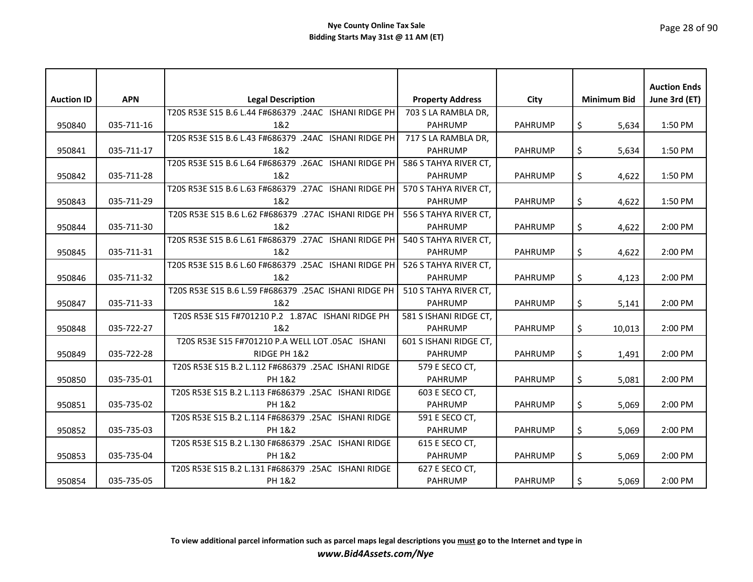|                   |            |                                                       |                         |                |                    | <b>Auction Ends</b> |
|-------------------|------------|-------------------------------------------------------|-------------------------|----------------|--------------------|---------------------|
| <b>Auction ID</b> | <b>APN</b> | <b>Legal Description</b>                              | <b>Property Address</b> | City           | <b>Minimum Bid</b> | June 3rd (ET)       |
|                   |            | T20S R53E S15 B.6 L.44 F#686379 .24AC ISHANI RIDGE PH | 703 S LA RAMBLA DR,     |                |                    |                     |
| 950840            | 035-711-16 | 1&2                                                   | <b>PAHRUMP</b>          | <b>PAHRUMP</b> | \$<br>5,634        | 1:50 PM             |
|                   |            | T20S R53E S15 B.6 L.43 F#686379 .24AC ISHANI RIDGE PH | 717 S LA RAMBLA DR,     |                |                    |                     |
| 950841            | 035-711-17 | 1&2                                                   | <b>PAHRUMP</b>          | <b>PAHRUMP</b> | \$<br>5,634        | 1:50 PM             |
|                   |            | T20S R53E S15 B.6 L.64 F#686379 .26AC ISHANI RIDGE PH | 586 S TAHYA RIVER CT,   |                |                    |                     |
| 950842            | 035-711-28 | 1&2                                                   | <b>PAHRUMP</b>          | <b>PAHRUMP</b> | \$<br>4,622        | 1:50 PM             |
|                   |            | T20S R53E S15 B.6 L.63 F#686379 .27AC ISHANI RIDGE PH | 570 S TAHYA RIVER CT,   |                |                    |                     |
| 950843            | 035-711-29 | 1&2                                                   | <b>PAHRUMP</b>          | <b>PAHRUMP</b> | \$<br>4,622        | 1:50 PM             |
|                   |            | T20S R53E S15 B.6 L.62 F#686379 .27AC ISHANI RIDGE PH | 556 S TAHYA RIVER CT,   |                |                    |                     |
| 950844            | 035-711-30 | 1&2                                                   | <b>PAHRUMP</b>          | <b>PAHRUMP</b> | \$<br>4,622        | 2:00 PM             |
|                   |            | T20S R53E S15 B.6 L.61 F#686379 .27AC ISHANI RIDGE PH | 540 S TAHYA RIVER CT,   |                |                    |                     |
| 950845            | 035-711-31 | 1&2                                                   | <b>PAHRUMP</b>          | <b>PAHRUMP</b> | \$<br>4,622        | 2:00 PM             |
|                   |            | T20S R53E S15 B.6 L.60 F#686379 .25AC ISHANI RIDGE PH | 526 S TAHYA RIVER CT,   |                |                    |                     |
| 950846            | 035-711-32 | 1&2                                                   | <b>PAHRUMP</b>          | <b>PAHRUMP</b> | \$<br>4,123        | 2:00 PM             |
|                   |            | T20S R53E S15 B.6 L.59 F#686379 .25AC ISHANI RIDGE PH | 510 S TAHYA RIVER CT,   |                |                    |                     |
| 950847            | 035-711-33 | 1&2                                                   | <b>PAHRUMP</b>          | <b>PAHRUMP</b> | \$<br>5,141        | 2:00 PM             |
|                   |            | T20S R53E S15 F#701210 P.2 1.87AC ISHANI RIDGE PH     | 581 S ISHANI RIDGE CT,  |                |                    |                     |
| 950848            | 035-722-27 | 1&2                                                   | <b>PAHRUMP</b>          | <b>PAHRUMP</b> | \$<br>10,013       | 2:00 PM             |
|                   |            | T20S R53E S15 F#701210 P.A WELL LOT .05AC ISHANI      | 601 S ISHANI RIDGE CT,  |                |                    |                     |
| 950849            | 035-722-28 | RIDGE PH 1&2                                          | <b>PAHRUMP</b>          | <b>PAHRUMP</b> | \$<br>1,491        | 2:00 PM             |
|                   |            | T20S R53E S15 B.2 L.112 F#686379 .25AC ISHANI RIDGE   | 579 E SECO CT,          |                |                    |                     |
| 950850            | 035-735-01 | PH 1&2                                                | <b>PAHRUMP</b>          | <b>PAHRUMP</b> | \$<br>5,081        | 2:00 PM             |
|                   |            | T20S R53E S15 B.2 L.113 F#686379 .25AC ISHANI RIDGE   | 603 E SECO CT,          |                |                    |                     |
| 950851            | 035-735-02 | PH 1&2                                                | <b>PAHRUMP</b>          | <b>PAHRUMP</b> | \$<br>5,069        | 2:00 PM             |
|                   |            | T20S R53E S15 B.2 L.114 F#686379 .25AC ISHANI RIDGE   | 591 E SECO CT,          |                |                    |                     |
| 950852            | 035-735-03 | PH 1&2                                                | <b>PAHRUMP</b>          | <b>PAHRUMP</b> | \$<br>5,069        | 2:00 PM             |
|                   |            | T20S R53E S15 B.2 L.130 F#686379 .25AC ISHANI RIDGE   | 615 E SECO CT,          |                |                    |                     |
| 950853            | 035-735-04 | PH 1&2                                                | <b>PAHRUMP</b>          | <b>PAHRUMP</b> | \$<br>5.069        | $2:00 \, \text{PM}$ |
|                   |            | T20S R53E S15 B.2 L.131 F#686379 .25AC ISHANI RIDGE   | 627 E SECO CT,          |                |                    |                     |
| 950854            | 035-735-05 | PH 1&2                                                | <b>PAHRUMP</b>          | <b>PAHRUMP</b> | \$<br>5,069        | 2:00 PM             |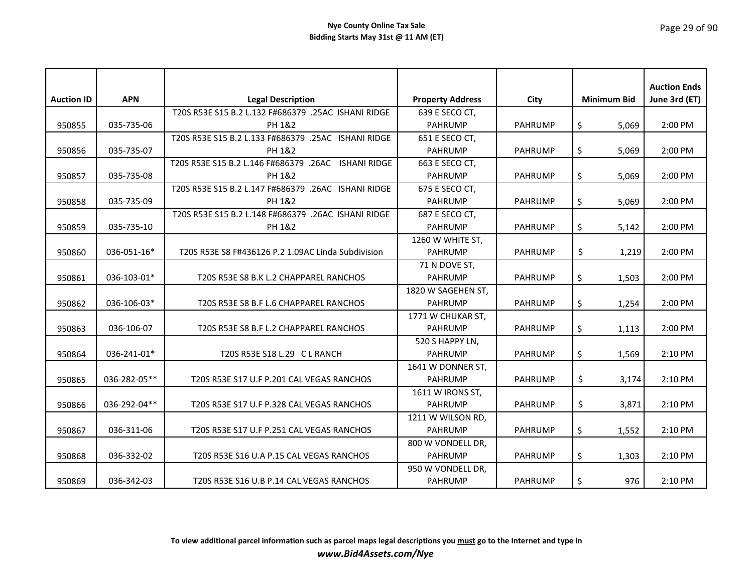| <b>Auction ID</b> | <b>APN</b>   | <b>Legal Description</b>                            | <b>Property Address</b> | City           | <b>Minimum Bid</b> | <b>Auction Ends</b><br>June 3rd (ET) |
|-------------------|--------------|-----------------------------------------------------|-------------------------|----------------|--------------------|--------------------------------------|
|                   |              | T20S R53E S15 B.2 L.132 F#686379 .25AC ISHANI RIDGE | 639 E SECO CT,          |                |                    |                                      |
| 950855            | 035-735-06   | PH 1&2                                              | <b>PAHRUMP</b>          | <b>PAHRUMP</b> | \$<br>5,069        | 2:00 PM                              |
|                   |              | T20S R53E S15 B.2 L.133 F#686379 .25AC ISHANI RIDGE | 651 E SECO CT,          |                |                    |                                      |
| 950856            | 035-735-07   | PH 1&2                                              | <b>PAHRUMP</b>          | <b>PAHRUMP</b> | \$<br>5,069        | 2:00 PM                              |
|                   |              | T20S R53E S15 B.2 L.146 F#686379 .26AC ISHANI RIDGE | 663 E SECO CT,          |                |                    |                                      |
| 950857            | 035-735-08   | PH 1&2                                              | <b>PAHRUMP</b>          | <b>PAHRUMP</b> | \$<br>5,069        | 2:00 PM                              |
|                   |              | T20S R53E S15 B.2 L.147 F#686379 .26AC ISHANI RIDGE | 675 E SECO CT,          |                |                    |                                      |
| 950858            | 035-735-09   | PH 1&2                                              | <b>PAHRUMP</b>          | <b>PAHRUMP</b> | \$<br>5,069        | 2:00 PM                              |
|                   |              | T20S R53E S15 B.2 L.148 F#686379 .26AC ISHANI RIDGE | 687 E SECO CT,          |                |                    |                                      |
| 950859            | 035-735-10   | PH 1&2                                              | <b>PAHRUMP</b>          | <b>PAHRUMP</b> | \$<br>5,142        | 2:00 PM                              |
|                   |              |                                                     | 1260 W WHITE ST,        |                |                    |                                      |
| 950860            | 036-051-16*  | T20S R53E S8 F#436126 P.2 1.09AC Linda Subdivision  | <b>PAHRUMP</b>          | <b>PAHRUMP</b> | \$<br>1,219        | 2:00 PM                              |
|                   |              |                                                     | 71 N DOVE ST,           |                |                    |                                      |
| 950861            | 036-103-01*  | T20S R53E S8 B.K L.2 CHAPPAREL RANCHOS              | <b>PAHRUMP</b>          | <b>PAHRUMP</b> | \$<br>1,503        | 2:00 PM                              |
|                   |              |                                                     | 1820 W SAGEHEN ST,      |                |                    |                                      |
| 950862            | 036-106-03*  | T20S R53E S8 B.F L.6 CHAPPAREL RANCHOS              | <b>PAHRUMP</b>          | <b>PAHRUMP</b> | \$<br>1,254        | 2:00 PM                              |
|                   |              |                                                     | 1771 W CHUKAR ST,       |                |                    |                                      |
| 950863            | 036-106-07   | T20S R53E S8 B.F L.2 CHAPPAREL RANCHOS              | <b>PAHRUMP</b>          | <b>PAHRUMP</b> | \$<br>1,113        | 2:00 PM                              |
|                   |              |                                                     | 520 S HAPPY LN,         |                |                    |                                      |
| 950864            | 036-241-01*  | T20S R53E S18 L.29 C L RANCH                        | <b>PAHRUMP</b>          | <b>PAHRUMP</b> | \$<br>1,569        | 2:10 PM                              |
|                   |              |                                                     | 1641 W DONNER ST,       |                |                    |                                      |
| 950865            | 036-282-05** | T20S R53E S17 U.F P.201 CAL VEGAS RANCHOS           | <b>PAHRUMP</b>          | <b>PAHRUMP</b> | \$<br>3,174        | 2:10 PM                              |
|                   |              |                                                     | 1611 W IRONS ST,        |                |                    |                                      |
| 950866            | 036-292-04** | T20S R53E S17 U.F P.328 CAL VEGAS RANCHOS           | <b>PAHRUMP</b>          | <b>PAHRUMP</b> | \$<br>3,871        | 2:10 PM                              |
|                   |              |                                                     | 1211 W WILSON RD,       |                |                    |                                      |
| 950867            | 036-311-06   | T20S R53E S17 U.F P.251 CAL VEGAS RANCHOS           | <b>PAHRUMP</b>          | <b>PAHRUMP</b> | \$<br>1,552        | 2:10 PM                              |
|                   |              |                                                     | 800 W VONDELL DR,       |                |                    |                                      |
| 950868            | 036-332-02   | T20S R53E S16 U.A P.15 CAL VEGAS RANCHOS            | <b>PAHRUMP</b>          | <b>PAHRUMP</b> | \$<br>1,303        | 2:10 PM                              |
|                   |              |                                                     | 950 W VONDELL DR,       |                |                    |                                      |
| 950869            | 036-342-03   | T20S R53E S16 U.B P.14 CAL VEGAS RANCHOS            | <b>PAHRUMP</b>          | <b>PAHRUMP</b> | \$<br>976          | 2:10 PM                              |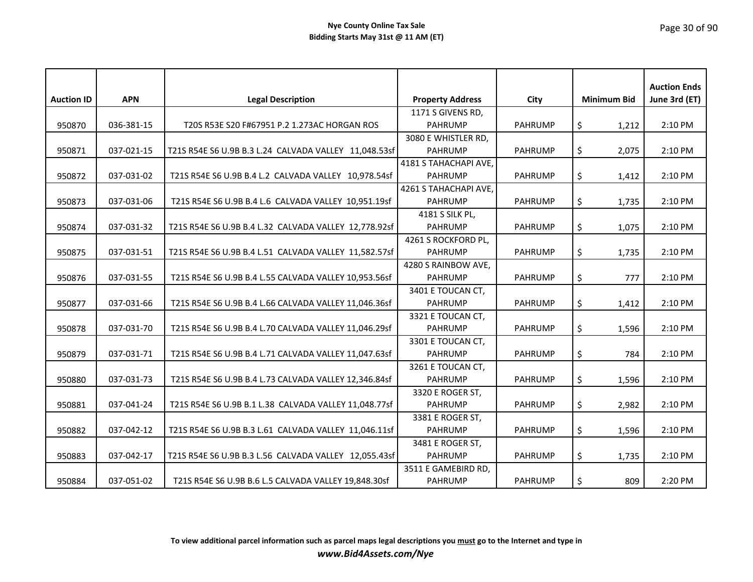| <b>Auction ID</b> | <b>APN</b> | <b>Legal Description</b>                              | <b>Property Address</b> | City           | <b>Minimum Bid</b> | <b>Auction Ends</b><br>June 3rd (ET) |
|-------------------|------------|-------------------------------------------------------|-------------------------|----------------|--------------------|--------------------------------------|
|                   |            |                                                       | 1171 S GIVENS RD,       |                |                    |                                      |
| 950870            | 036-381-15 | T20S R53E S20 F#67951 P.2 1.273AC HORGAN ROS          | <b>PAHRUMP</b>          | <b>PAHRUMP</b> | \$<br>1,212        | 2:10 PM                              |
|                   |            |                                                       | 3080 E WHISTLER RD,     |                |                    |                                      |
| 950871            | 037-021-15 | T21S R54E S6 U.9B B.3 L.24 CALVADA VALLEY 11,048.53sf | <b>PAHRUMP</b>          | <b>PAHRUMP</b> | \$<br>2,075        | 2:10 PM                              |
|                   |            |                                                       | 4181 S TAHACHAPI AVE,   |                |                    |                                      |
| 950872            | 037-031-02 | T21S R54E S6 U.9B B.4 L.2 CALVADA VALLEY 10,978.54sf  | <b>PAHRUMP</b>          | <b>PAHRUMP</b> | \$<br>1,412        | 2:10 PM                              |
|                   |            |                                                       | 4261 S TAHACHAPI AVE,   |                |                    |                                      |
| 950873            | 037-031-06 | T21S R54E S6 U.9B B.4 L.6 CALVADA VALLEY 10,951.19sf  | <b>PAHRUMP</b>          | <b>PAHRUMP</b> | \$<br>1,735        | 2:10 PM                              |
|                   |            |                                                       | 4181 S SILK PL,         |                |                    |                                      |
| 950874            | 037-031-32 | T21S R54E S6 U.9B B.4 L.32 CALVADA VALLEY 12,778.92sf | <b>PAHRUMP</b>          | <b>PAHRUMP</b> | \$<br>1,075        | 2:10 PM                              |
|                   |            |                                                       | 4261 S ROCKFORD PL,     |                |                    |                                      |
| 950875            | 037-031-51 | T21S R54E S6 U.9B B.4 L.51 CALVADA VALLEY 11,582.57sf | <b>PAHRUMP</b>          | <b>PAHRUMP</b> | \$<br>1,735        | 2:10 PM                              |
|                   |            |                                                       | 4280 S RAINBOW AVE,     |                |                    |                                      |
| 950876            | 037-031-55 | T21S R54E S6 U.9B B.4 L.55 CALVADA VALLEY 10,953.56sf | <b>PAHRUMP</b>          | <b>PAHRUMP</b> | \$<br>777          | 2:10 PM                              |
|                   |            |                                                       | 3401 E TOUCAN CT,       |                |                    |                                      |
| 950877            | 037-031-66 | T21S R54E S6 U.9B B.4 L.66 CALVADA VALLEY 11,046.36sf | <b>PAHRUMP</b>          | <b>PAHRUMP</b> | \$<br>1,412        | 2:10 PM                              |
|                   |            |                                                       | 3321 E TOUCAN CT,       |                |                    |                                      |
| 950878            | 037-031-70 | T21S R54E S6 U.9B B.4 L.70 CALVADA VALLEY 11,046.29sf | <b>PAHRUMP</b>          | <b>PAHRUMP</b> | \$<br>1,596        | 2:10 PM                              |
|                   |            |                                                       | 3301 E TOUCAN CT,       |                |                    |                                      |
| 950879            | 037-031-71 | T21S R54E S6 U.9B B.4 L.71 CALVADA VALLEY 11,047.63sf | <b>PAHRUMP</b>          | <b>PAHRUMP</b> | \$<br>784          | 2:10 PM                              |
|                   |            |                                                       | 3261 E TOUCAN CT,       |                |                    |                                      |
| 950880            | 037-031-73 | T21S R54E S6 U.9B B.4 L.73 CALVADA VALLEY 12,346.84sf | <b>PAHRUMP</b>          | <b>PAHRUMP</b> | \$<br>1,596        | 2:10 PM                              |
|                   |            |                                                       | 3320 E ROGER ST,        |                |                    |                                      |
| 950881            | 037-041-24 | T21S R54E S6 U.9B B.1 L.38 CALVADA VALLEY 11,048.77sf | <b>PAHRUMP</b>          | <b>PAHRUMP</b> | \$<br>2,982        | 2:10 PM                              |
|                   |            |                                                       | 3381 E ROGER ST,        |                |                    |                                      |
| 950882            | 037-042-12 | T21S R54E S6 U.9B B.3 L.61 CALVADA VALLEY 11,046.11sf | <b>PAHRUMP</b>          | <b>PAHRUMP</b> | \$<br>1,596        | 2:10 PM                              |
|                   |            |                                                       | 3481 E ROGER ST,        |                |                    |                                      |
| 950883            | 037-042-17 | T21S R54E S6 U.9B B.3 L.56 CALVADA VALLEY 12,055.43sf | <b>PAHRUMP</b>          | <b>PAHRUMP</b> | \$<br>1,735        | 2:10 PM                              |
|                   |            |                                                       | 3511 E GAMEBIRD RD,     |                |                    |                                      |
| 950884            | 037-051-02 | T21S R54E S6 U.9B B.6 L.5 CALVADA VALLEY 19,848.30sf  | PAHRUMP                 | <b>PAHRUMP</b> | \$<br>809          | 2:20 PM                              |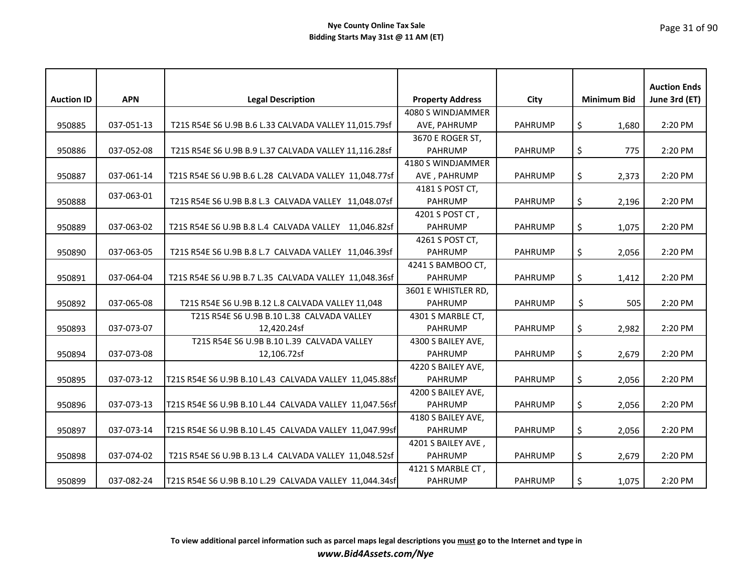| <b>Auction ID</b> | <b>APN</b> | <b>Legal Description</b>                               | <b>Property Address</b> | City           | <b>Minimum Bid</b> | <b>Auction Ends</b><br>June 3rd (ET) |
|-------------------|------------|--------------------------------------------------------|-------------------------|----------------|--------------------|--------------------------------------|
|                   |            |                                                        | 4080 S WINDJAMMER       |                |                    |                                      |
|                   |            |                                                        |                         |                |                    |                                      |
| 950885            | 037-051-13 | T21S R54E S6 U.9B B.6 L.33 CALVADA VALLEY 11,015.79sf  | AVE, PAHRUMP            | <b>PAHRUMP</b> | \$<br>1,680        | 2:20 PM                              |
|                   |            |                                                        | 3670 E ROGER ST,        |                |                    |                                      |
| 950886            | 037-052-08 | T21S R54E S6 U.9B B.9 L.37 CALVADA VALLEY 11,116.28sf  | <b>PAHRUMP</b>          | <b>PAHRUMP</b> | \$<br>775          | 2:20 PM                              |
|                   |            |                                                        | 4180 S WINDJAMMER       |                |                    |                                      |
| 950887            | 037-061-14 | T21S R54E S6 U.9B B.6 L.28 CALVADA VALLEY 11,048.77sf  | AVE, PAHRUMP            | <b>PAHRUMP</b> | \$<br>2,373        | 2:20 PM                              |
|                   | 037-063-01 |                                                        | 4181 S POST CT,         |                |                    |                                      |
| 950888            |            | T21S R54E S6 U.9B B.8 L.3 CALVADA VALLEY 11,048.07sf   | <b>PAHRUMP</b>          | <b>PAHRUMP</b> | \$<br>2,196        | 2:20 PM                              |
|                   |            |                                                        | 4201 S POST CT,         |                |                    |                                      |
| 950889            | 037-063-02 | T21S R54E S6 U.9B B.8 L.4 CALVADA VALLEY 11,046.82sf   | <b>PAHRUMP</b>          | <b>PAHRUMP</b> | \$<br>1,075        | 2:20 PM                              |
|                   |            |                                                        | 4261 S POST CT,         |                |                    |                                      |
| 950890            | 037-063-05 | T21S R54E S6 U.9B B.8 L.7 CALVADA VALLEY 11,046.39sf   | <b>PAHRUMP</b>          | <b>PAHRUMP</b> | \$<br>2,056        | 2:20 PM                              |
|                   |            |                                                        | 4241 S BAMBOO CT,       |                |                    |                                      |
| 950891            | 037-064-04 | T21S R54E S6 U.9B B.7 L.35 CALVADA VALLEY 11,048.36sf  | <b>PAHRUMP</b>          | <b>PAHRUMP</b> | \$<br>1,412        | 2:20 PM                              |
|                   |            |                                                        | 3601 E WHISTLER RD,     |                |                    |                                      |
| 950892            | 037-065-08 | T21S R54E S6 U.9B B.12 L.8 CALVADA VALLEY 11,048       | <b>PAHRUMP</b>          | <b>PAHRUMP</b> | \$<br>505          | 2:20 PM                              |
|                   |            | T21S R54E S6 U.9B B.10 L.38 CALVADA VALLEY             | 4301 S MARBLE CT,       |                |                    |                                      |
| 950893            | 037-073-07 | 12,420.24sf                                            | <b>PAHRUMP</b>          | <b>PAHRUMP</b> | \$<br>2,982        | 2:20 PM                              |
|                   |            | T21S R54E S6 U.9B B.10 L.39 CALVADA VALLEY             | 4300 S BAILEY AVE,      |                |                    |                                      |
| 950894            | 037-073-08 | 12,106.72sf                                            | <b>PAHRUMP</b>          | <b>PAHRUMP</b> | \$<br>2,679        | 2:20 PM                              |
|                   |            |                                                        | 4220 S BAILEY AVE,      |                |                    |                                      |
| 950895            | 037-073-12 | T21S R54E S6 U.9B B.10 L.43 CALVADA VALLEY 11,045.88sf | <b>PAHRUMP</b>          | <b>PAHRUMP</b> | \$<br>2,056        | 2:20 PM                              |
|                   |            |                                                        | 4200 S BAILEY AVE,      |                |                    |                                      |
| 950896            | 037-073-13 | T21S R54E S6 U.9B B.10 L.44 CALVADA VALLEY 11,047.56sf | <b>PAHRUMP</b>          | <b>PAHRUMP</b> | \$<br>2,056        | 2:20 PM                              |
|                   |            |                                                        | 4180 S BAILEY AVE,      |                |                    |                                      |
| 950897            | 037-073-14 | T21S R54E S6 U.9B B.10 L.45 CALVADA VALLEY 11,047.99sf | <b>PAHRUMP</b>          | <b>PAHRUMP</b> | \$<br>2,056        | 2:20 PM                              |
|                   |            |                                                        | 4201 S BAILEY AVE,      |                |                    |                                      |
| 950898            | 037-074-02 | T21S R54E S6 U.9B B.13 L.4 CALVADA VALLEY 11,048.52sf  | <b>PAHRUMP</b>          | <b>PAHRUMP</b> | \$<br>2,679        | 2:20 PM                              |
|                   |            |                                                        | 4121 S MARBLE CT,       |                |                    |                                      |
| 950899            | 037-082-24 | T21S R54E S6 U.9B B.10 L.29 CALVADA VALLEY 11,044.34sf | <b>PAHRUMP</b>          | <b>PAHRUMP</b> | \$<br>1,075        | 2:20 PM                              |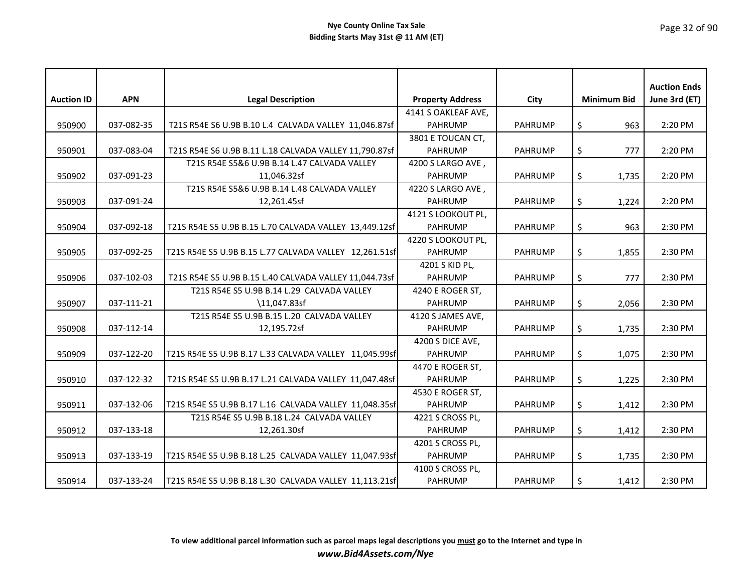|                   |            |                                                        |                         |                |                    | <b>Auction Ends</b> |
|-------------------|------------|--------------------------------------------------------|-------------------------|----------------|--------------------|---------------------|
| <b>Auction ID</b> | <b>APN</b> | <b>Legal Description</b>                               | <b>Property Address</b> | City           | <b>Minimum Bid</b> | June 3rd (ET)       |
|                   |            |                                                        | 4141 S OAKLEAF AVE,     |                |                    |                     |
| 950900            | 037-082-35 | T21S R54E S6 U.9B B.10 L.4 CALVADA VALLEY 11,046.87sf  | <b>PAHRUMP</b>          | <b>PAHRUMP</b> | \$<br>963          | 2:20 PM             |
|                   |            |                                                        | 3801 E TOUCAN CT,       |                |                    |                     |
| 950901            | 037-083-04 | T21S R54E S6 U.9B B.11 L.18 CALVADA VALLEY 11,790.87sf | <b>PAHRUMP</b>          | <b>PAHRUMP</b> | \$<br>777          | 2:20 PM             |
|                   |            | T21S R54E S5&6 U.9B B.14 L.47 CALVADA VALLEY           | 4200 S LARGO AVE,       |                |                    |                     |
| 950902            | 037-091-23 | 11,046.32sf                                            | <b>PAHRUMP</b>          | <b>PAHRUMP</b> | \$<br>1,735        | 2:20 PM             |
|                   |            | T21S R54E S5&6 U.9B B.14 L.48 CALVADA VALLEY           | 4220 S LARGO AVE,       |                |                    |                     |
| 950903            | 037-091-24 | 12,261.45sf                                            | <b>PAHRUMP</b>          | <b>PAHRUMP</b> | \$<br>1,224        | 2:20 PM             |
|                   |            |                                                        | 4121 S LOOKOUT PL,      |                |                    |                     |
| 950904            | 037-092-18 | T21S R54E S5 U.9B B.15 L.70 CALVADA VALLEY 13,449.12sf | <b>PAHRUMP</b>          | <b>PAHRUMP</b> | \$<br>963          | 2:30 PM             |
|                   |            |                                                        | 4220 S LOOKOUT PL,      |                |                    |                     |
| 950905            | 037-092-25 | T21S R54E S5 U.9B B.15 L.77 CALVADA VALLEY 12,261.51sf | <b>PAHRUMP</b>          | <b>PAHRUMP</b> | \$<br>1,855        | 2:30 PM             |
|                   |            |                                                        | 4201 S KID PL,          |                |                    |                     |
| 950906            | 037-102-03 | T21S R54E S5 U.9B B.15 L.40 CALVADA VALLEY 11,044.73sf | <b>PAHRUMP</b>          | <b>PAHRUMP</b> | \$<br>777          | 2:30 PM             |
|                   |            | T21S R54E S5 U.9B B.14 L.29 CALVADA VALLEY             | 4240 E ROGER ST,        |                |                    |                     |
| 950907            | 037-111-21 | \11,047.83sf                                           | <b>PAHRUMP</b>          | <b>PAHRUMP</b> | \$<br>2,056        | 2:30 PM             |
|                   |            | T21S R54E S5 U.9B B.15 L.20 CALVADA VALLEY             | 4120 S JAMES AVE,       |                |                    |                     |
| 950908            | 037-112-14 | 12,195.72sf                                            | <b>PAHRUMP</b>          | <b>PAHRUMP</b> | \$<br>1,735        | 2:30 PM             |
|                   |            |                                                        | 4200 S DICE AVE,        |                |                    |                     |
| 950909            | 037-122-20 | T21S R54E S5 U.9B B.17 L.33 CALVADA VALLEY 11,045.99sf | <b>PAHRUMP</b>          | <b>PAHRUMP</b> | \$<br>1,075        | 2:30 PM             |
|                   |            |                                                        | 4470 E ROGER ST,        |                |                    |                     |
| 950910            | 037-122-32 | T21S R54E S5 U.9B B.17 L.21 CALVADA VALLEY 11,047.48sf | <b>PAHRUMP</b>          | <b>PAHRUMP</b> | \$<br>1,225        | 2:30 PM             |
|                   |            |                                                        | 4530 E ROGER ST,        |                |                    |                     |
| 950911            | 037-132-06 | T21S R54E S5 U.9B B.17 L.16 CALVADA VALLEY 11,048.35sf | <b>PAHRUMP</b>          | <b>PAHRUMP</b> | \$<br>1,412        | 2:30 PM             |
|                   |            | T21S R54E S5 U.9B B.18 L.24 CALVADA VALLEY             | 4221 S CROSS PL,        |                |                    |                     |
| 950912            | 037-133-18 | 12,261.30sf                                            | <b>PAHRUMP</b>          | <b>PAHRUMP</b> | \$<br>1,412        | 2:30 PM             |
|                   |            |                                                        | 4201 S CROSS PL,        |                |                    |                     |
| 950913            | 037-133-19 | T21S R54E S5 U.9B B.18 L.25 CALVADA VALLEY 11,047.93sf | <b>PAHRUMP</b>          | <b>PAHRUMP</b> | \$<br>1,735        | 2:30 PM             |
|                   |            |                                                        | 4100 S CROSS PL,        |                |                    |                     |
| 950914            | 037-133-24 | T21S R54E S5 U.9B B.18 L.30 CALVADA VALLEY 11,113.21sf | <b>PAHRUMP</b>          | <b>PAHRUMP</b> | \$<br>1,412        | 2:30 PM             |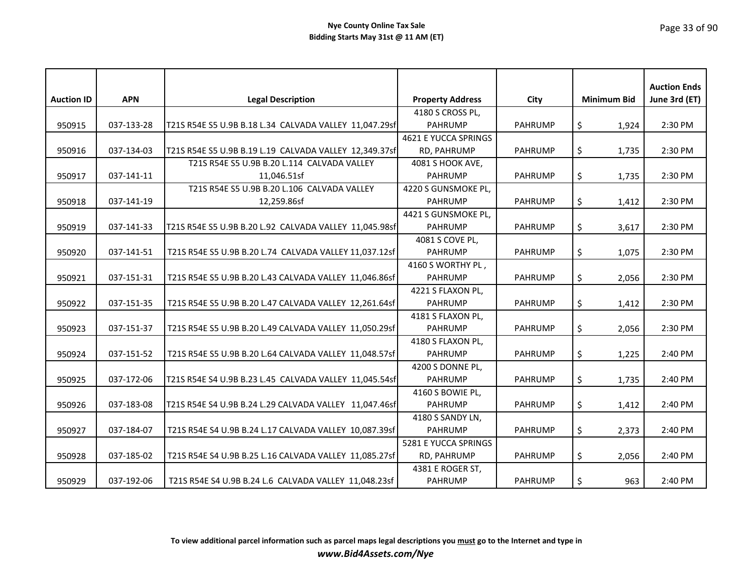| <b>Auction ID</b> | <b>APN</b> | <b>Legal Description</b>                               | <b>Property Address</b> | City           | <b>Minimum Bid</b> | <b>Auction Ends</b><br>June 3rd (ET) |
|-------------------|------------|--------------------------------------------------------|-------------------------|----------------|--------------------|--------------------------------------|
|                   |            |                                                        |                         |                |                    |                                      |
|                   |            |                                                        | 4180 S CROSS PL,        |                |                    |                                      |
| 950915            | 037-133-28 | T21S R54E S5 U.9B B.18 L.34 CALVADA VALLEY 11,047.29sf | <b>PAHRUMP</b>          | <b>PAHRUMP</b> | \$<br>1,924        | 2:30 PM                              |
|                   |            |                                                        | 4621 E YUCCA SPRINGS    |                |                    |                                      |
| 950916            | 037-134-03 | T21S R54E S5 U.9B B.19 L.19 CALVADA VALLEY 12,349.37sf | RD, PAHRUMP             | <b>PAHRUMP</b> | \$<br>1,735        | 2:30 PM                              |
|                   |            | T21S R54E S5 U.9B B.20 L.114 CALVADA VALLEY            | 4081 S HOOK AVE,        |                |                    |                                      |
| 950917            | 037-141-11 | 11,046.51sf                                            | <b>PAHRUMP</b>          | <b>PAHRUMP</b> | \$<br>1,735        | 2:30 PM                              |
|                   |            | T21S R54E S5 U.9B B.20 L.106 CALVADA VALLEY            | 4220 S GUNSMOKE PL,     |                |                    |                                      |
| 950918            | 037-141-19 | 12,259.86sf                                            | PAHRUMP                 | <b>PAHRUMP</b> | \$<br>1,412        | 2:30 PM                              |
|                   |            |                                                        | 4421 S GUNSMOKE PL,     |                |                    |                                      |
| 950919            | 037-141-33 | T21S R54E S5 U.9B B.20 L.92 CALVADA VALLEY 11,045.98sf | <b>PAHRUMP</b>          | <b>PAHRUMP</b> | \$<br>3,617        | 2:30 PM                              |
|                   |            |                                                        | 4081 S COVE PL,         |                |                    |                                      |
| 950920            | 037-141-51 | T21S R54E S5 U.9B B.20 L.74 CALVADA VALLEY 11,037.12sf | <b>PAHRUMP</b>          | <b>PAHRUMP</b> | \$<br>1,075        | 2:30 PM                              |
|                   |            |                                                        | 4160 S WORTHY PL,       |                |                    |                                      |
| 950921            | 037-151-31 | T21S R54E S5 U.9B B.20 L.43 CALVADA VALLEY 11,046.86sf | <b>PAHRUMP</b>          | <b>PAHRUMP</b> | \$<br>2,056        | 2:30 PM                              |
|                   |            |                                                        | 4221 S FLAXON PL,       |                |                    |                                      |
| 950922            | 037-151-35 | T21S R54E S5 U.9B B.20 L.47 CALVADA VALLEY 12,261.64sf | <b>PAHRUMP</b>          | <b>PAHRUMP</b> | \$<br>1,412        | 2:30 PM                              |
|                   |            |                                                        | 4181 S FLAXON PL,       |                |                    |                                      |
| 950923            | 037-151-37 | T21S R54E S5 U.9B B.20 L.49 CALVADA VALLEY 11,050.29sf | <b>PAHRUMP</b>          | <b>PAHRUMP</b> | \$<br>2,056        | 2:30 PM                              |
|                   |            |                                                        | 4180 S FLAXON PL,       |                |                    |                                      |
| 950924            | 037-151-52 | T21S R54E S5 U.9B B.20 L.64 CALVADA VALLEY 11,048.57sf | <b>PAHRUMP</b>          | <b>PAHRUMP</b> | \$<br>1,225        | 2:40 PM                              |
|                   |            |                                                        | 4200 S DONNE PL,        |                |                    |                                      |
| 950925            | 037-172-06 | T21S R54E S4 U.9B B.23 L.45 CALVADA VALLEY 11,045.54sf | <b>PAHRUMP</b>          | <b>PAHRUMP</b> | \$<br>1,735        | 2:40 PM                              |
|                   |            |                                                        | 4160 S BOWIE PL,        |                |                    |                                      |
| 950926            | 037-183-08 | T21S R54E S4 U.9B B.24 L.29 CALVADA VALLEY 11,047.46sf | <b>PAHRUMP</b>          | <b>PAHRUMP</b> | \$<br>1,412        | 2:40 PM                              |
|                   |            |                                                        | 4180 S SANDY LN,        |                |                    |                                      |
| 950927            | 037-184-07 | T21S R54E S4 U.9B B.24 L.17 CALVADA VALLEY 10,087.39sf | <b>PAHRUMP</b>          | <b>PAHRUMP</b> | \$<br>2,373        | 2:40 PM                              |
|                   |            |                                                        | 5281 E YUCCA SPRINGS    |                |                    |                                      |
| 950928            | 037-185-02 | T21S R54E S4 U.9B B.25 L.16 CALVADA VALLEY 11,085.27sf | RD, PAHRUMP             | <b>PAHRUMP</b> | \$<br>2,056        | 2:40 PM                              |
|                   |            |                                                        | 4381 E ROGER ST,        |                |                    |                                      |
| 950929            | 037-192-06 | T21S R54E S4 U.9B B.24 L.6 CALVADA VALLEY 11,048.23sf  | <b>PAHRUMP</b>          | <b>PAHRUMP</b> | \$<br>963          | 2:40 PM                              |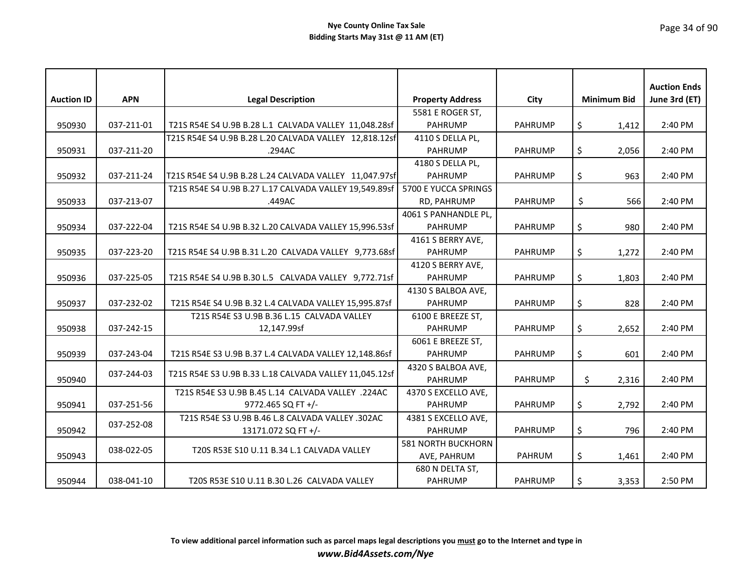| <b>Auction ID</b> | <b>APN</b> | <b>Legal Description</b>                               | <b>Property Address</b>   | City           | <b>Minimum Bid</b> | <b>Auction Ends</b><br>June 3rd (ET) |
|-------------------|------------|--------------------------------------------------------|---------------------------|----------------|--------------------|--------------------------------------|
|                   |            |                                                        | 5581 E ROGER ST,          |                |                    |                                      |
| 950930            | 037-211-01 | T21S R54E S4 U.9B B.28 L.1 CALVADA VALLEY 11,048.28sf  | <b>PAHRUMP</b>            | <b>PAHRUMP</b> | \$<br>1,412        | 2:40 PM                              |
|                   |            | T21S R54E S4 U.9B B.28 L.20 CALVADA VALLEY 12,818.12sf | 4110 S DELLA PL,          |                |                    |                                      |
| 950931            | 037-211-20 | .294AC                                                 | <b>PAHRUMP</b>            | <b>PAHRUMP</b> | \$<br>2,056        | 2:40 PM                              |
|                   |            |                                                        | 4180 S DELLA PL,          |                |                    |                                      |
| 950932            | 037-211-24 | T21S R54E S4 U.9B B.28 L.24 CALVADA VALLEY 11,047.97sf | <b>PAHRUMP</b>            | <b>PAHRUMP</b> | \$<br>963          | 2:40 PM                              |
|                   |            | T21S R54E S4 U.9B B.27 L.17 CALVADA VALLEY 19,549.89sf | 5700 E YUCCA SPRINGS      |                |                    |                                      |
| 950933            | 037-213-07 | .449AC                                                 | RD, PAHRUMP               | <b>PAHRUMP</b> | \$<br>566          | 2:40 PM                              |
|                   |            |                                                        | 4061 S PANHANDLE PL,      |                |                    |                                      |
| 950934            | 037-222-04 | T21S R54E S4 U.9B B.32 L.20 CALVADA VALLEY 15,996.53sf | <b>PAHRUMP</b>            | <b>PAHRUMP</b> | \$<br>980          | 2:40 PM                              |
|                   |            |                                                        | 4161 S BERRY AVE,         |                |                    |                                      |
| 950935            | 037-223-20 | T21S R54E S4 U.9B B.31 L.20 CALVADA VALLEY 9,773.68sf  | <b>PAHRUMP</b>            | <b>PAHRUMP</b> | \$<br>1,272        | 2:40 PM                              |
|                   |            |                                                        | 4120 S BERRY AVE,         |                |                    |                                      |
| 950936            | 037-225-05 | T21S R54E S4 U.9B B.30 L.5 CALVADA VALLEY 9,772.71sf   | <b>PAHRUMP</b>            | <b>PAHRUMP</b> | \$<br>1,803        | 2:40 PM                              |
|                   |            |                                                        | 4130 S BALBOA AVE,        |                |                    |                                      |
| 950937            | 037-232-02 | T21S R54E S4 U.9B B.32 L.4 CALVADA VALLEY 15,995.87sf  | <b>PAHRUMP</b>            | <b>PAHRUMP</b> | \$<br>828          | 2:40 PM                              |
|                   |            | T21S R54E S3 U.9B B.36 L.15 CALVADA VALLEY             | 6100 E BREEZE ST,         |                |                    |                                      |
| 950938            | 037-242-15 | 12,147.99sf                                            | <b>PAHRUMP</b>            | <b>PAHRUMP</b> | \$<br>2,652        | 2:40 PM                              |
|                   |            |                                                        | 6061 E BREEZE ST,         |                |                    |                                      |
| 950939            | 037-243-04 | T21S R54E S3 U.9B B.37 L.4 CALVADA VALLEY 12,148.86sf  | <b>PAHRUMP</b>            | <b>PAHRUMP</b> | \$<br>601          | 2:40 PM                              |
|                   |            | T21S R54E S3 U.9B B.33 L.18 CALVADA VALLEY 11,045.12sf | 4320 S BALBOA AVE,        |                |                    |                                      |
| 950940            | 037-244-03 |                                                        | <b>PAHRUMP</b>            | <b>PAHRUMP</b> | \$<br>2,316        | 2:40 PM                              |
|                   |            | T21S R54E S3 U.9B B.45 L.14 CALVADA VALLEY .224AC      | 4370 S EXCELLO AVE,       |                |                    |                                      |
| 950941            | 037-251-56 | 9772.465 SQ FT +/-                                     | <b>PAHRUMP</b>            | <b>PAHRUMP</b> | \$<br>2,792        | 2:40 PM                              |
|                   | 037-252-08 | T21S R54E S3 U.9B B.46 L.8 CALVADA VALLEY .302AC       | 4381 S EXCELLO AVE,       |                |                    |                                      |
| 950942            |            | 13171.072 SQ FT +/-                                    | <b>PAHRUMP</b>            | <b>PAHRUMP</b> | \$<br>796          | 2:40 PM                              |
|                   |            |                                                        | <b>581 NORTH BUCKHORN</b> |                |                    |                                      |
| 950943            | 038-022-05 | T20S R53E S10 U.11 B.34 L.1 CALVADA VALLEY             | AVE, PAHRUM               | <b>PAHRUM</b>  | \$<br>1,461        | 2:40 PM                              |
|                   |            |                                                        | 680 N DELTA ST,           |                |                    |                                      |
| 950944            | 038-041-10 | T20S R53E S10 U.11 B.30 L.26 CALVADA VALLEY            | <b>PAHRUMP</b>            | <b>PAHRUMP</b> | \$<br>3,353        | 2:50 PM                              |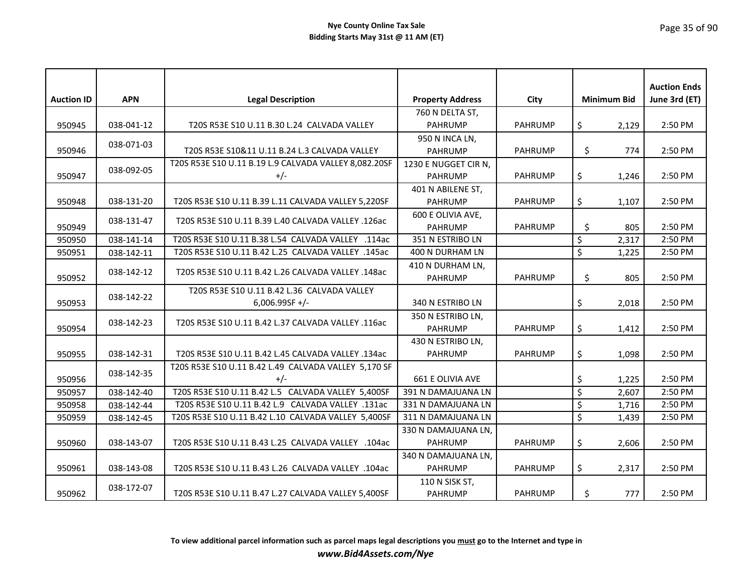| <b>Auction ID</b> | <b>APN</b> | <b>Legal Description</b>                              | <b>Property Address</b>             | City           | <b>Minimum Bid</b>       |       | <b>Auction Ends</b><br>June 3rd (ET) |
|-------------------|------------|-------------------------------------------------------|-------------------------------------|----------------|--------------------------|-------|--------------------------------------|
|                   |            |                                                       |                                     |                |                          |       |                                      |
|                   |            |                                                       | 760 N DELTA ST,                     |                |                          |       |                                      |
| 950945            | 038-041-12 | T20S R53E S10 U.11 B.30 L.24 CALVADA VALLEY           | <b>PAHRUMP</b>                      | <b>PAHRUMP</b> | \$                       | 2,129 | 2:50 PM                              |
| 950946            | 038-071-03 | T20S R53E S10&11 U.11 B.24 L.3 CALVADA VALLEY         | 950 N INCA LN,<br><b>PAHRUMP</b>    | <b>PAHRUMP</b> | \$                       | 774   | 2:50 PM                              |
|                   |            | T20S R53E S10 U.11 B.19 L.9 CALVADA VALLEY 8,082.20SF | 1230 E NUGGET CIR N,                |                |                          |       |                                      |
| 950947            | 038-092-05 | $+/-$                                                 | <b>PAHRUMP</b>                      | <b>PAHRUMP</b> | \$                       | 1,246 | 2:50 PM                              |
|                   |            |                                                       | 401 N ABILENE ST,                   |                |                          |       |                                      |
| 950948            | 038-131-20 | T20S R53E S10 U.11 B.39 L.11 CALVADA VALLEY 5,220SF   | <b>PAHRUMP</b>                      | <b>PAHRUMP</b> | \$                       | 1,107 | 2:50 PM                              |
| 950949            | 038-131-47 | T20S R53E S10 U.11 B.39 L.40 CALVADA VALLEY .126ac    | 600 E OLIVIA AVE,<br><b>PAHRUMP</b> | <b>PAHRUMP</b> | \$                       | 805   | 2:50 PM                              |
| 950950            | 038-141-14 | T20S R53E S10 U.11 B.38 L.54 CALVADA VALLEY .114ac    | 351 N ESTRIBO LN                    |                | \$                       | 2,317 | 2:50 PM                              |
| 950951            |            | T20S R53E S10 U.11 B.42 L.25 CALVADA VALLEY .145ac    | 400 N DURHAM LN                     |                | \$                       | 1,225 | 2:50 PM                              |
|                   | 038-142-11 |                                                       |                                     |                |                          |       |                                      |
| 950952            | 038-142-12 | T20S R53E S10 U.11 B.42 L.26 CALVADA VALLEY .148ac    | 410 N DURHAM LN,<br>PAHRUMP         | <b>PAHRUMP</b> | \$                       | 805   | 2:50 PM                              |
|                   |            | T20S R53E S10 U.11 B.42 L.36 CALVADA VALLEY           |                                     |                |                          |       |                                      |
| 950953            | 038-142-22 | $6,006.99SF +/-$                                      | 340 N ESTRIBO LN                    |                | \$                       | 2,018 | 2:50 PM                              |
|                   |            |                                                       | 350 N ESTRIBO LN,                   |                |                          |       |                                      |
| 950954            | 038-142-23 | T20S R53E S10 U.11 B.42 L.37 CALVADA VALLEY .116ac    | <b>PAHRUMP</b>                      | <b>PAHRUMP</b> | \$                       | 1,412 | 2:50 PM                              |
|                   |            |                                                       | 430 N ESTRIBO LN,                   |                |                          |       |                                      |
| 950955            | 038-142-31 | T20S R53E S10 U.11 B.42 L.45 CALVADA VALLEY .134ac    | <b>PAHRUMP</b>                      | <b>PAHRUMP</b> | \$                       | 1,098 | 2:50 PM                              |
|                   |            | T20S R53E S10 U.11 B.42 L.49 CALVADA VALLEY 5,170 SF  |                                     |                |                          |       |                                      |
| 950956            | 038-142-35 | $+/-$                                                 | 661 E OLIVIA AVE                    |                | \$                       | 1,225 | 2:50 PM                              |
| 950957            | 038-142-40 | T20S R53E S10 U.11 B.42 L.5 CALVADA VALLEY 5,400SF    | 391 N DAMAJUANA LN                  |                | \$                       | 2,607 | 2:50 PM                              |
| 950958            | 038-142-44 | T20S R53E S10 U.11 B.42 L.9 CALVADA VALLEY .131ac     | 331 N DAMAJUANA LN                  |                | $\overline{\mathcal{S}}$ | 1,716 | 2:50 PM                              |
| 950959            | 038-142-45 | T20S R53E S10 U.11 B.42 L.10 CALVADA VALLEY 5,400SF   | 311 N DAMAJUANA LN                  |                | \$                       | 1,439 | 2:50 PM                              |
|                   |            |                                                       | 330 N DAMAJUANA LN,                 |                |                          |       |                                      |
| 950960            | 038-143-07 | T20S R53E S10 U.11 B.43 L.25 CALVADA VALLEY .104ac    | <b>PAHRUMP</b>                      | <b>PAHRUMP</b> | \$                       | 2,606 | 2:50 PM                              |
|                   |            |                                                       | 340 N DAMAJUANA LN,                 |                |                          |       |                                      |
| 950961            | 038-143-08 | T20S R53E S10 U.11 B.43 L.26 CALVADA VALLEY .104ac    | <b>PAHRUMP</b>                      | <b>PAHRUMP</b> | \$                       | 2,317 | 2:50 PM                              |
|                   | 038-172-07 |                                                       | 110 N SISK ST,                      |                |                          |       |                                      |
| 950962            |            | T20S R53E S10 U.11 B.47 L.27 CALVADA VALLEY 5,400SF   | <b>PAHRUMP</b>                      | <b>PAHRUMP</b> | \$                       | 777   | 2:50 PM                              |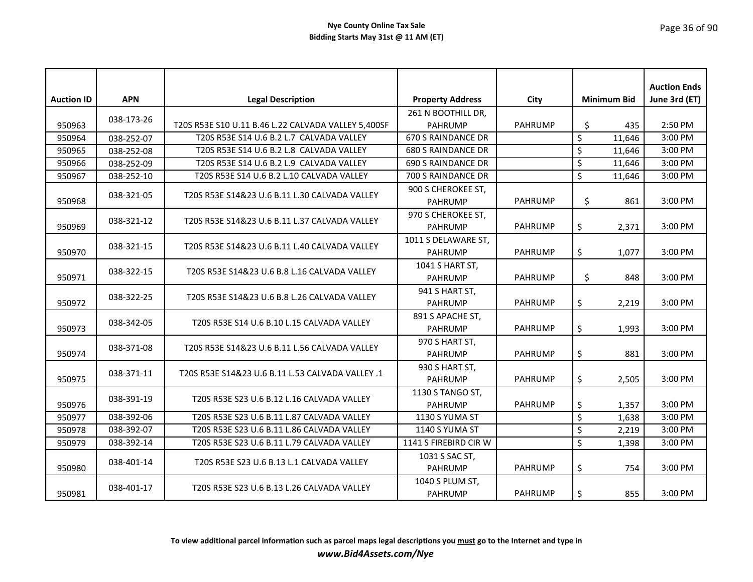| <b>Auction ID</b> | <b>APN</b> | <b>Legal Description</b>                            | <b>Property Address</b>               | City           | <b>Minimum Bid</b>                | <b>Auction Ends</b><br>June 3rd (ET) |
|-------------------|------------|-----------------------------------------------------|---------------------------------------|----------------|-----------------------------------|--------------------------------------|
|                   |            |                                                     | 261 N BOOTHILL DR,                    |                |                                   |                                      |
| 950963            | 038-173-26 | T20S R53E S10 U.11 B.46 L.22 CALVADA VALLEY 5,400SF | <b>PAHRUMP</b>                        | <b>PAHRUMP</b> | \$<br>435                         | 2:50 PM                              |
| 950964            | 038-252-07 | T20S R53E S14 U.6 B.2 L.7 CALVADA VALLEY            | 670 S RAINDANCE DR                    |                | \$<br>11,646                      | 3:00 PM                              |
| 950965            | 038-252-08 | T20S R53E S14 U.6 B.2 L.8 CALVADA VALLEY            | <b>680 S RAINDANCE DR</b>             |                | \$<br>11,646                      | 3:00 PM                              |
| 950966            | 038-252-09 | T20S R53E S14 U.6 B.2 L.9 CALVADA VALLEY            | <b>690 S RAINDANCE DR</b>             |                | \$<br>11,646                      | 3:00 PM                              |
| 950967            | 038-252-10 | T20S R53E S14 U.6 B.2 L.10 CALVADA VALLEY           | 700 S RAINDANCE DR                    |                | \$<br>11,646                      | 3:00 PM                              |
| 950968            | 038-321-05 | T20S R53E S14&23 U.6 B.11 L.30 CALVADA VALLEY       | 900 S CHEROKEE ST,<br>PAHRUMP         | <b>PAHRUMP</b> | \$<br>861                         | 3:00 PM                              |
| 950969            | 038-321-12 | T20S R53E S14&23 U.6 B.11 L.37 CALVADA VALLEY       | 970 S CHEROKEE ST,<br><b>PAHRUMP</b>  | <b>PAHRUMP</b> | \$<br>2,371                       | 3:00 PM                              |
| 950970            | 038-321-15 | T20S R53E S14&23 U.6 B.11 L.40 CALVADA VALLEY       | 1011 S DELAWARE ST,<br><b>PAHRUMP</b> | <b>PAHRUMP</b> | \$<br>1,077                       | 3:00 PM                              |
| 950971            | 038-322-15 | T20S R53E S14&23 U.6 B.8 L.16 CALVADA VALLEY        | 1041 S HART ST,<br><b>PAHRUMP</b>     | <b>PAHRUMP</b> | \$<br>848                         | 3:00 PM                              |
| 950972            | 038-322-25 | T20S R53E S14&23 U.6 B.8 L.26 CALVADA VALLEY        | 941 S HART ST,<br><b>PAHRUMP</b>      | <b>PAHRUMP</b> | \$<br>2,219                       | 3:00 PM                              |
| 950973            | 038-342-05 | T20S R53E S14 U.6 B.10 L.15 CALVADA VALLEY          | 891 S APACHE ST,<br><b>PAHRUMP</b>    | <b>PAHRUMP</b> | \$<br>1,993                       | 3:00 PM                              |
| 950974            | 038-371-08 | T20S R53E S14&23 U.6 B.11 L.56 CALVADA VALLEY       | 970 S HART ST,<br><b>PAHRUMP</b>      | <b>PAHRUMP</b> | \$<br>881                         | 3:00 PM                              |
| 950975            | 038-371-11 | T20S R53E S14&23 U.6 B.11 L.53 CALVADA VALLEY .1    | 930 S HART ST,<br><b>PAHRUMP</b>      | <b>PAHRUMP</b> | \$<br>2,505                       | 3:00 PM                              |
| 950976            | 038-391-19 | T20S R53E S23 U.6 B.12 L.16 CALVADA VALLEY          | 1130 S TANGO ST,<br><b>PAHRUMP</b>    | <b>PAHRUMP</b> | \$<br>1,357                       | 3:00 PM                              |
| 950977            | 038-392-06 | T20S R53E S23 U.6 B.11 L.87 CALVADA VALLEY          | 1130 S YUMA ST                        |                | $\overline{\mathcal{S}}$<br>1,638 | 3:00 PM                              |
| 950978            | 038-392-07 | T20S R53E S23 U.6 B.11 L.86 CALVADA VALLEY          | 1140 S YUMA ST                        |                | $\overline{\mathcal{S}}$<br>2,219 | 3:00 PM                              |
| 950979            | 038-392-14 | T20S R53E S23 U.6 B.11 L.79 CALVADA VALLEY          | 1141 S FIREBIRD CIR W                 |                | \$<br>1,398                       | 3:00 PM                              |
| 950980            | 038-401-14 | T20S R53E S23 U.6 B.13 L.1 CALVADA VALLEY           | 1031 S SAC ST,<br><b>PAHRUMP</b>      | <b>PAHRUMP</b> | \$<br>754                         | 3:00 PM                              |
| 950981            | 038-401-17 | T20S R53E S23 U.6 B.13 L.26 CALVADA VALLEY          | 1040 S PLUM ST,<br><b>PAHRUMP</b>     | <b>PAHRUMP</b> | \$<br>855                         | 3:00 PM                              |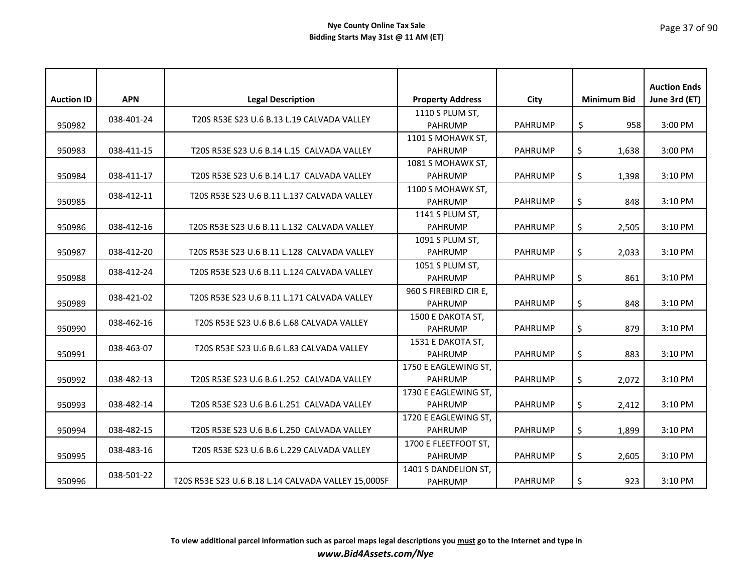|                   |            |                                                     |                         |                |                    | <b>Auction Ends</b> |
|-------------------|------------|-----------------------------------------------------|-------------------------|----------------|--------------------|---------------------|
| <b>Auction ID</b> | <b>APN</b> | <b>Legal Description</b>                            | <b>Property Address</b> | City           | <b>Minimum Bid</b> | June 3rd (ET)       |
|                   | 038-401-24 | T20S R53E S23 U.6 B.13 L.19 CALVADA VALLEY          | 1110 S PLUM ST,         |                |                    |                     |
| 950982            |            |                                                     | <b>PAHRUMP</b>          | <b>PAHRUMP</b> | \$<br>958          | 3:00 PM             |
|                   |            |                                                     | 1101 S MOHAWK ST,       |                |                    |                     |
| 950983            | 038-411-15 | T20S R53E S23 U.6 B.14 L.15 CALVADA VALLEY          | <b>PAHRUMP</b>          | <b>PAHRUMP</b> | \$<br>1,638        | 3:00 PM             |
|                   |            |                                                     | 1081 S MOHAWK ST,       |                |                    |                     |
| 950984            | 038-411-17 | T20S R53E S23 U.6 B.14 L.17 CALVADA VALLEY          | <b>PAHRUMP</b>          | <b>PAHRUMP</b> | \$<br>1,398        | 3:10 PM             |
|                   | 038-412-11 | T20S R53E S23 U.6 B.11 L.137 CALVADA VALLEY         | 1100 S MOHAWK ST,       |                |                    |                     |
| 950985            |            |                                                     | <b>PAHRUMP</b>          | <b>PAHRUMP</b> | \$<br>848          | 3:10 PM             |
|                   |            |                                                     | 1141 S PLUM ST,         |                |                    |                     |
| 950986            | 038-412-16 | T20S R53E S23 U.6 B.11 L.132 CALVADA VALLEY         | <b>PAHRUMP</b>          | <b>PAHRUMP</b> | \$<br>2,505        | 3:10 PM             |
|                   |            |                                                     | 1091 S PLUM ST,         |                |                    |                     |
| 950987            | 038-412-20 | T20S R53E S23 U.6 B.11 L.128 CALVADA VALLEY         | <b>PAHRUMP</b>          | <b>PAHRUMP</b> | \$<br>2,033        | 3:10 PM             |
|                   |            |                                                     | 1051 S PLUM ST,         |                |                    |                     |
| 950988            | 038-412-24 | T20S R53E S23 U.6 B.11 L.124 CALVADA VALLEY         | <b>PAHRUMP</b>          | <b>PAHRUMP</b> | \$<br>861          | 3:10 PM             |
|                   |            |                                                     | 960 S FIREBIRD CIR E,   |                |                    |                     |
| 950989            | 038-421-02 | T20S R53E S23 U.6 B.11 L.171 CALVADA VALLEY         | <b>PAHRUMP</b>          | <b>PAHRUMP</b> | \$<br>848          | 3:10 PM             |
|                   |            |                                                     | 1500 E DAKOTA ST,       |                |                    |                     |
| 950990            | 038-462-16 | T20S R53E S23 U.6 B.6 L.68 CALVADA VALLEY           | <b>PAHRUMP</b>          | <b>PAHRUMP</b> | \$<br>879          | 3:10 PM             |
|                   |            |                                                     | 1531 E DAKOTA ST,       |                |                    |                     |
| 950991            | 038-463-07 | T20S R53E S23 U.6 B.6 L.83 CALVADA VALLEY           | <b>PAHRUMP</b>          | <b>PAHRUMP</b> | \$<br>883          | 3:10 PM             |
|                   |            |                                                     | 1750 E EAGLEWING ST,    |                |                    |                     |
| 950992            | 038-482-13 | T20S R53E S23 U.6 B.6 L.252 CALVADA VALLEY          | <b>PAHRUMP</b>          | <b>PAHRUMP</b> | \$<br>2,072        | 3:10 PM             |
|                   |            |                                                     | 1730 E EAGLEWING ST,    |                |                    |                     |
| 950993            | 038-482-14 | T20S R53E S23 U.6 B.6 L.251 CALVADA VALLEY          | <b>PAHRUMP</b>          | <b>PAHRUMP</b> | \$<br>2,412        | 3:10 PM             |
|                   |            |                                                     | 1720 E EAGLEWING ST,    |                |                    |                     |
| 950994            | 038-482-15 | T20S R53E S23 U.6 B.6 L.250 CALVADA VALLEY          | <b>PAHRUMP</b>          | <b>PAHRUMP</b> | \$<br>1,899        | 3:10 PM             |
|                   |            |                                                     | 1700 E FLEETFOOT ST,    |                |                    |                     |
| 950995            | 038-483-16 | T20S R53E S23 U.6 B.6 L.229 CALVADA VALLEY          | <b>PAHRUMP</b>          | <b>PAHRUMP</b> | \$<br>2,605        | 3:10 PM             |
|                   |            |                                                     | 1401 S DANDELION ST,    |                |                    |                     |
| 950996            | 038-501-22 | T20S R53E S23 U.6 B.18 L.14 CALVADA VALLEY 15,000SF | <b>PAHRUMP</b>          | <b>PAHRUMP</b> | \$<br>923          | 3:10 PM             |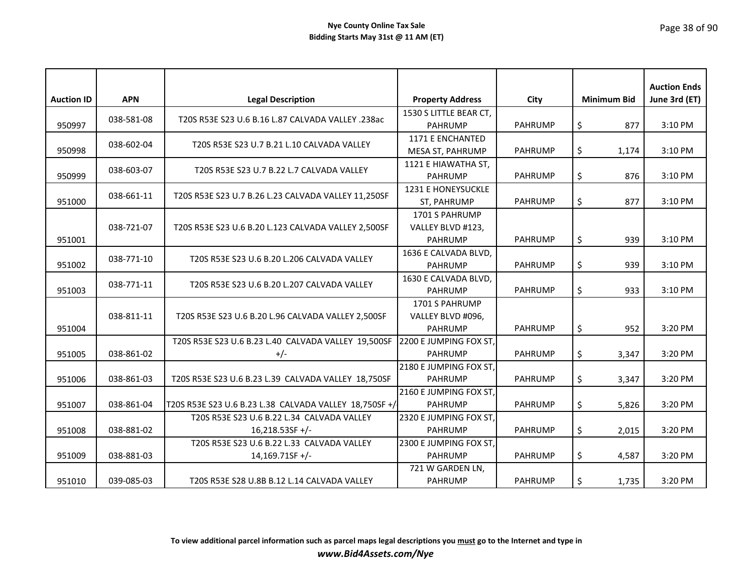| <b>Auction ID</b> | <b>APN</b> | <b>Legal Description</b>                                         | <b>Property Address</b>                               | City           | <b>Minimum Bid</b> | <b>Auction Ends</b><br>June 3rd (ET) |
|-------------------|------------|------------------------------------------------------------------|-------------------------------------------------------|----------------|--------------------|--------------------------------------|
| 950997            | 038-581-08 | T20S R53E S23 U.6 B.16 L.87 CALVADA VALLEY .238ac                | 1530 S LITTLE BEAR CT,<br><b>PAHRUMP</b>              | <b>PAHRUMP</b> | \$<br>877          | 3:10 PM                              |
| 950998            | 038-602-04 | T20S R53E S23 U.7 B.21 L.10 CALVADA VALLEY                       | 1171 E ENCHANTED<br>MESA ST, PAHRUMP                  | <b>PAHRUMP</b> | \$<br>1,174        | 3:10 PM                              |
| 950999            | 038-603-07 | T20S R53E S23 U.7 B.22 L.7 CALVADA VALLEY                        | 1121 E HIAWATHA ST,<br><b>PAHRUMP</b>                 | <b>PAHRUMP</b> | \$<br>876          | 3:10 PM                              |
| 951000            | 038-661-11 | T20S R53E S23 U.7 B.26 L.23 CALVADA VALLEY 11,250SF              | 1231 E HONEYSUCKLE<br>ST, PAHRUMP                     | <b>PAHRUMP</b> | \$<br>877          | 3:10 PM                              |
| 951001            | 038-721-07 | T20S R53E S23 U.6 B.20 L.123 CALVADA VALLEY 2,500SF              | 1701 S PAHRUMP<br>VALLEY BLVD #123,<br><b>PAHRUMP</b> | <b>PAHRUMP</b> | \$<br>939          | 3:10 PM                              |
| 951002            | 038-771-10 | T20S R53E S23 U.6 B.20 L.206 CALVADA VALLEY                      | 1636 E CALVADA BLVD,<br><b>PAHRUMP</b>                | <b>PAHRUMP</b> | \$<br>939          | 3:10 PM                              |
| 951003            | 038-771-11 | T20S R53E S23 U.6 B.20 L.207 CALVADA VALLEY                      | 1630 E CALVADA BLVD,<br><b>PAHRUMP</b>                | <b>PAHRUMP</b> | \$<br>933          | 3:10 PM                              |
| 951004            | 038-811-11 | T20S R53E S23 U.6 B.20 L.96 CALVADA VALLEY 2,500SF               | 1701 S PAHRUMP<br>VALLEY BLVD #096,<br><b>PAHRUMP</b> | <b>PAHRUMP</b> | \$<br>952          | 3:20 PM                              |
| 951005            | 038-861-02 | T20S R53E S23 U.6 B.23 L.40 CALVADA VALLEY 19,500SF<br>$+/-$     | 2200 E JUMPING FOX ST,<br><b>PAHRUMP</b>              | <b>PAHRUMP</b> | \$<br>3,347        | 3:20 PM                              |
| 951006            | 038-861-03 | T20S R53E S23 U.6 B.23 L.39 CALVADA VALLEY 18,750SF              | 2180 E JUMPING FOX ST,<br><b>PAHRUMP</b>              | <b>PAHRUMP</b> | \$<br>3,347        | 3:20 PM                              |
| 951007            | 038-861-04 | T20S R53E S23 U.6 B.23 L.38 CALVADA VALLEY 18,750SF +/           | 2160 E JUMPING FOX ST,<br><b>PAHRUMP</b>              | <b>PAHRUMP</b> | \$<br>5,826        | 3:20 PM                              |
| 951008            | 038-881-02 | T20S R53E S23 U.6 B.22 L.34 CALVADA VALLEY<br>$16,218.53SF +/-$  | 2320 E JUMPING FOX ST,<br><b>PAHRUMP</b>              | <b>PAHRUMP</b> | \$<br>2,015        | 3:20 PM                              |
| 951009            | 038-881-03 | T20S R53E S23 U.6 B.22 L.33 CALVADA VALLEY<br>$14,169.71$ SF +/- | 2300 E JUMPING FOX ST,<br><b>PAHRUMP</b>              | <b>PAHRUMP</b> | \$<br>4,587        | 3:20 PM                              |
| 951010            | 039-085-03 | T20S R53E S28 U.8B B.12 L.14 CALVADA VALLEY                      | 721 W GARDEN LN,<br><b>PAHRUMP</b>                    | <b>PAHRUMP</b> | \$<br>1,735        | 3:20 PM                              |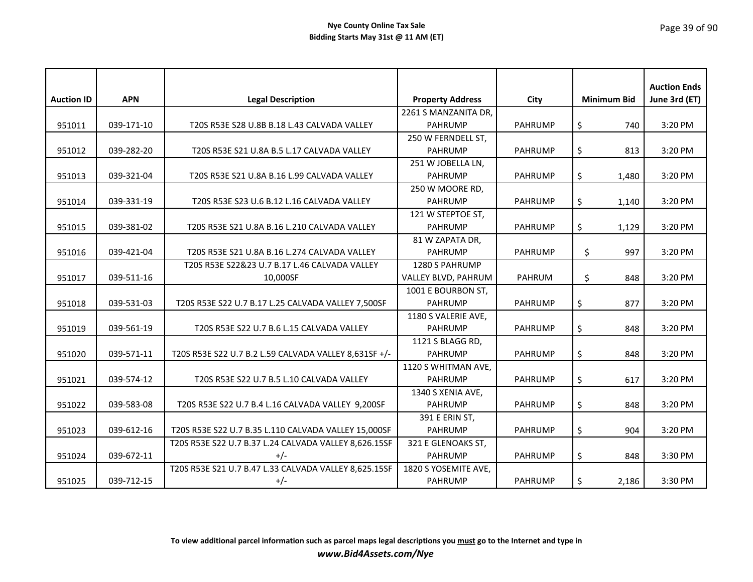|                   |            |                                                       |                         |                |                    | <b>Auction Ends</b> |
|-------------------|------------|-------------------------------------------------------|-------------------------|----------------|--------------------|---------------------|
| <b>Auction ID</b> | <b>APN</b> | <b>Legal Description</b>                              | <b>Property Address</b> | City           | <b>Minimum Bid</b> | June 3rd (ET)       |
|                   |            |                                                       | 2261 S MANZANITA DR,    |                |                    |                     |
| 951011            | 039-171-10 | T20S R53E S28 U.8B B.18 L.43 CALVADA VALLEY           | <b>PAHRUMP</b>          | <b>PAHRUMP</b> | \$<br>740          | 3:20 PM             |
|                   |            |                                                       | 250 W FERNDELL ST,      |                |                    |                     |
| 951012            | 039-282-20 | T20S R53E S21 U.8A B.5 L.17 CALVADA VALLEY            | <b>PAHRUMP</b>          | <b>PAHRUMP</b> | \$<br>813          | 3:20 PM             |
|                   |            |                                                       | 251 W JOBELLA LN,       |                |                    |                     |
| 951013            | 039-321-04 | T20S R53E S21 U.8A B.16 L.99 CALVADA VALLEY           | <b>PAHRUMP</b>          | <b>PAHRUMP</b> | \$<br>1,480        | 3:20 PM             |
|                   |            |                                                       | 250 W MOORE RD,         |                |                    |                     |
| 951014            | 039-331-19 | T20S R53E S23 U.6 B.12 L.16 CALVADA VALLEY            | PAHRUMP                 | <b>PAHRUMP</b> | \$<br>1,140        | 3:20 PM             |
|                   |            |                                                       | 121 W STEPTOE ST,       |                |                    |                     |
| 951015            | 039-381-02 | T20S R53E S21 U.8A B.16 L.210 CALVADA VALLEY          | <b>PAHRUMP</b>          | <b>PAHRUMP</b> | \$<br>1,129        | 3:20 PM             |
|                   |            |                                                       | 81 W ZAPATA DR,         |                |                    |                     |
| 951016            | 039-421-04 | T20S R53E S21 U.8A B.16 L.274 CALVADA VALLEY          | <b>PAHRUMP</b>          | <b>PAHRUMP</b> | \$<br>997          | 3:20 PM             |
|                   |            | T20S R53E S22&23 U.7 B.17 L.46 CALVADA VALLEY         | 1280 S PAHRUMP          |                |                    |                     |
| 951017            | 039-511-16 | 10,000SF                                              | VALLEY BLVD, PAHRUM     | <b>PAHRUM</b>  | \$<br>848          | 3:20 PM             |
|                   |            |                                                       | 1001 E BOURBON ST,      |                |                    |                     |
| 951018            | 039-531-03 | T20S R53E S22 U.7 B.17 L.25 CALVADA VALLEY 7,500SF    | <b>PAHRUMP</b>          | <b>PAHRUMP</b> | \$<br>877          | 3:20 PM             |
|                   |            |                                                       | 1180 S VALERIE AVE,     |                |                    |                     |
| 951019            | 039-561-19 | T20S R53E S22 U.7 B.6 L.15 CALVADA VALLEY             | <b>PAHRUMP</b>          | <b>PAHRUMP</b> | \$<br>848          | 3:20 PM             |
|                   |            |                                                       | 1121 S BLAGG RD,        |                |                    |                     |
| 951020            | 039-571-11 | T20S R53E S22 U.7 B.2 L.59 CALVADA VALLEY 8,631SF +/- | <b>PAHRUMP</b>          | <b>PAHRUMP</b> | \$<br>848          | 3:20 PM             |
|                   |            |                                                       | 1120 S WHITMAN AVE,     |                |                    |                     |
| 951021            | 039-574-12 | T20S R53E S22 U.7 B.5 L.10 CALVADA VALLEY             | <b>PAHRUMP</b>          | PAHRUMP        | \$<br>617          | 3:20 PM             |
|                   |            |                                                       | 1340 S XENIA AVE,       |                |                    |                     |
| 951022            | 039-583-08 | T20S R53E S22 U.7 B.4 L.16 CALVADA VALLEY 9,200SF     | <b>PAHRUMP</b>          | <b>PAHRUMP</b> | \$<br>848          | 3:20 PM             |
|                   |            |                                                       | 391 E ERIN ST,          |                |                    |                     |
| 951023            | 039-612-16 | T20S R53E S22 U.7 B.35 L.110 CALVADA VALLEY 15,000SF  | <b>PAHRUMP</b>          | <b>PAHRUMP</b> | \$<br>904          | 3:20 PM             |
|                   |            | T20S R53E S22 U.7 B.37 L.24 CALVADA VALLEY 8,626.15SF | 321 E GLENOAKS ST,      |                |                    |                     |
| 951024            | 039-672-11 | $+/-$                                                 | <b>PAHRUMP</b>          | <b>PAHRUMP</b> | \$<br>848          | 3:30 PM             |
|                   |            | T20S R53E S21 U.7 B.47 L.33 CALVADA VALLEY 8,625.15SF | 1820 S YOSEMITE AVE,    |                |                    |                     |
| 951025            | 039-712-15 | $+/-$                                                 | <b>PAHRUMP</b>          | <b>PAHRUMP</b> | \$<br>2,186        | 3:30 PM             |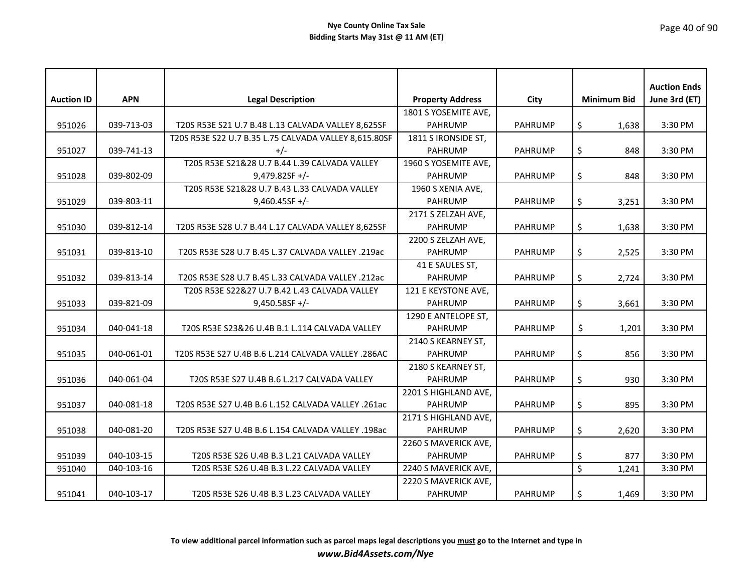| <b>Auction ID</b> | <b>APN</b> | <b>Legal Description</b>                              | <b>Property Address</b> | City           | <b>Minimum Bid</b>                | <b>Auction Ends</b><br>June 3rd (ET) |
|-------------------|------------|-------------------------------------------------------|-------------------------|----------------|-----------------------------------|--------------------------------------|
|                   |            |                                                       | 1801 S YOSEMITE AVE,    |                |                                   |                                      |
| 951026            | 039-713-03 | T20S R53E S21 U.7 B.48 L.13 CALVADA VALLEY 8,625SF    | <b>PAHRUMP</b>          | PAHRUMP        | \$<br>1,638                       | 3:30 PM                              |
|                   |            | T20S R53E S22 U.7 B.35 L.75 CALVADA VALLEY 8,615.80SF | 1811 S IRONSIDE ST,     |                |                                   |                                      |
| 951027            | 039-741-13 | $+/-$                                                 | <b>PAHRUMP</b>          | <b>PAHRUMP</b> | \$<br>848                         | 3:30 PM                              |
|                   |            | T20S R53E S21&28 U.7 B.44 L.39 CALVADA VALLEY         | 1960 S YOSEMITE AVE,    |                |                                   |                                      |
| 951028            | 039-802-09 | $9,479.82$ SF +/-                                     | <b>PAHRUMP</b>          | <b>PAHRUMP</b> | \$<br>848                         | 3:30 PM                              |
|                   |            | T20S R53E S21&28 U.7 B.43 L.33 CALVADA VALLEY         | 1960 S XENIA AVE,       |                |                                   |                                      |
| 951029            | 039-803-11 | $9,460.45$ SF +/-                                     | <b>PAHRUMP</b>          | <b>PAHRUMP</b> | \$<br>3,251                       | 3:30 PM                              |
|                   |            |                                                       | 2171 S ZELZAH AVE,      |                |                                   |                                      |
| 951030            | 039-812-14 | T20S R53E S28 U.7 B.44 L.17 CALVADA VALLEY 8,625SF    | <b>PAHRUMP</b>          | <b>PAHRUMP</b> | \$<br>1,638                       | 3:30 PM                              |
|                   |            |                                                       | 2200 S ZELZAH AVE,      |                |                                   |                                      |
| 951031            | 039-813-10 | T20S R53E S28 U.7 B.45 L.37 CALVADA VALLEY .219ac     | <b>PAHRUMP</b>          | <b>PAHRUMP</b> | \$<br>2,525                       | 3:30 PM                              |
|                   |            |                                                       | 41 E SAULES ST,         |                |                                   |                                      |
| 951032            | 039-813-14 | T20S R53E S28 U.7 B.45 L.33 CALVADA VALLEY .212ac     | <b>PAHRUMP</b>          | <b>PAHRUMP</b> | \$<br>2,724                       | 3:30 PM                              |
|                   |            | T20S R53E S22&27 U.7 B.42 L.43 CALVADA VALLEY         | 121 E KEYSTONE AVE,     |                |                                   |                                      |
| 951033            | 039-821-09 | $9,450.58$ SF +/-                                     | <b>PAHRUMP</b>          | <b>PAHRUMP</b> | \$<br>3,661                       | 3:30 PM                              |
|                   |            |                                                       | 1290 E ANTELOPE ST,     |                |                                   |                                      |
| 951034            | 040-041-18 | T20S R53E S23&26 U.4B B.1 L.114 CALVADA VALLEY        | <b>PAHRUMP</b>          | <b>PAHRUMP</b> | \$<br>1,201                       | 3:30 PM                              |
|                   |            |                                                       | 2140 S KEARNEY ST,      |                |                                   |                                      |
| 951035            | 040-061-01 | T20S R53E S27 U.4B B.6 L.214 CALVADA VALLEY .286AC    | <b>PAHRUMP</b>          | <b>PAHRUMP</b> | \$<br>856                         | 3:30 PM                              |
|                   |            |                                                       | 2180 S KEARNEY ST,      |                |                                   |                                      |
| 951036            | 040-061-04 | T20S R53E S27 U.4B B.6 L.217 CALVADA VALLEY           | <b>PAHRUMP</b>          | <b>PAHRUMP</b> | \$<br>930                         | 3:30 PM                              |
|                   |            |                                                       | 2201 S HIGHLAND AVE,    |                |                                   |                                      |
| 951037            | 040-081-18 | T20S R53E S27 U.4B B.6 L.152 CALVADA VALLEY .261ac    | <b>PAHRUMP</b>          | <b>PAHRUMP</b> | \$<br>895                         | 3:30 PM                              |
|                   |            |                                                       | 2171 S HIGHLAND AVE,    |                |                                   |                                      |
| 951038            | 040-081-20 | T20S R53E S27 U.4B B.6 L.154 CALVADA VALLEY .198ac    | PAHRUMP                 | <b>PAHRUMP</b> | \$<br>2,620                       | 3:30 PM                              |
|                   |            |                                                       | 2260 S MAVERICK AVE,    |                |                                   |                                      |
| 951039            | 040-103-15 | T20S R53E S26 U.4B B.3 L.21 CALVADA VALLEY            | <b>PAHRUMP</b>          | <b>PAHRUMP</b> | \$<br>877                         | 3:30 PM                              |
| 951040            | 040-103-16 | T20S R53E S26 U.4B B.3 L.22 CALVADA VALLEY            | 2240 S MAVERICK AVE,    |                | $\overline{\mathcal{S}}$<br>1,241 | 3:30 PM                              |
|                   |            |                                                       | 2220 S MAVERICK AVE,    |                |                                   |                                      |
| 951041            | 040-103-17 | T20S R53E S26 U.4B B.3 L.23 CALVADA VALLEY            | <b>PAHRUMP</b>          | <b>PAHRUMP</b> | \$<br>1,469                       | 3:30 PM                              |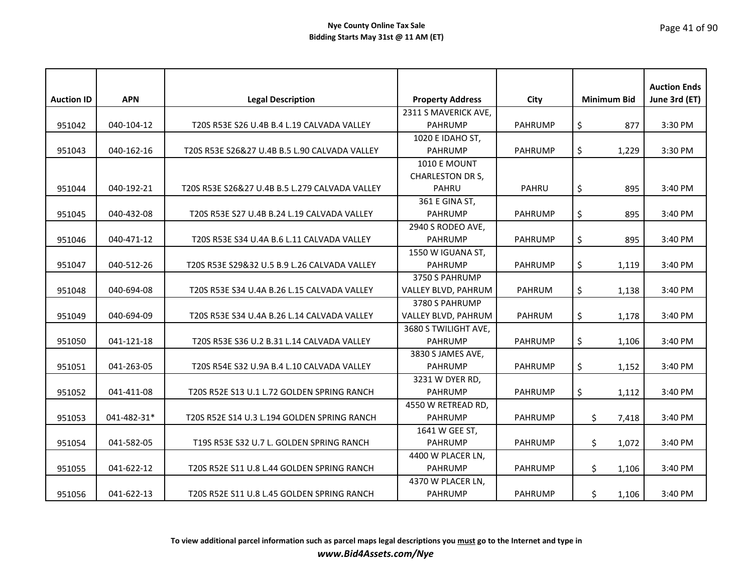| <b>Auction ID</b> | <b>APN</b>  | <b>Legal Description</b>                       | <b>Property Address</b> | City           | <b>Minimum Bid</b> |       | <b>Auction Ends</b><br>June 3rd (ET) |
|-------------------|-------------|------------------------------------------------|-------------------------|----------------|--------------------|-------|--------------------------------------|
|                   |             |                                                | 2311 S MAVERICK AVE,    |                |                    |       |                                      |
| 951042            | 040-104-12  | T20S R53E S26 U.4B B.4 L.19 CALVADA VALLEY     | <b>PAHRUMP</b>          | PAHRUMP        | \$                 | 877   | 3:30 PM                              |
|                   |             |                                                | 1020 E IDAHO ST,        |                |                    |       |                                      |
| 951043            | 040-162-16  | T20S R53E S26&27 U.4B B.5 L.90 CALVADA VALLEY  | <b>PAHRUMP</b>          | <b>PAHRUMP</b> | \$                 | 1,229 | 3:30 PM                              |
|                   |             |                                                | <b>1010 E MOUNT</b>     |                |                    |       |                                      |
|                   |             |                                                | <b>CHARLESTON DR S,</b> |                |                    |       |                                      |
| 951044            | 040-192-21  | T20S R53E S26&27 U.4B B.5 L.279 CALVADA VALLEY | PAHRU                   | <b>PAHRU</b>   | \$                 | 895   | 3:40 PM                              |
|                   |             |                                                | 361 E GINA ST,          |                |                    |       |                                      |
| 951045            | 040-432-08  | T20S R53E S27 U.4B B.24 L.19 CALVADA VALLEY    | <b>PAHRUMP</b>          | <b>PAHRUMP</b> | \$                 | 895   | 3:40 PM                              |
|                   |             |                                                | 2940 S RODEO AVE,       |                |                    |       |                                      |
| 951046            | 040-471-12  | T20S R53E S34 U.4A B.6 L.11 CALVADA VALLEY     | <b>PAHRUMP</b>          | <b>PAHRUMP</b> | \$                 | 895   | 3:40 PM                              |
|                   |             |                                                | 1550 W IGUANA ST,       |                |                    |       |                                      |
| 951047            | 040-512-26  | T20S R53E S29&32 U.5 B.9 L.26 CALVADA VALLEY   | <b>PAHRUMP</b>          | <b>PAHRUMP</b> | \$                 | 1,119 | 3:40 PM                              |
|                   |             |                                                | 3750 S PAHRUMP          |                |                    |       |                                      |
| 951048            | 040-694-08  | T20S R53E S34 U.4A B.26 L.15 CALVADA VALLEY    | VALLEY BLVD, PAHRUM     | <b>PAHRUM</b>  | \$                 | 1,138 | 3:40 PM                              |
|                   |             |                                                | 3780 S PAHRUMP          |                |                    |       |                                      |
| 951049            | 040-694-09  | T20S R53E S34 U.4A B.26 L.14 CALVADA VALLEY    | VALLEY BLVD, PAHRUM     | PAHRUM         | \$                 | 1,178 | 3:40 PM                              |
|                   |             |                                                | 3680 S TWILIGHT AVE,    |                |                    |       |                                      |
| 951050            | 041-121-18  | T20S R53E S36 U.2 B.31 L.14 CALVADA VALLEY     | <b>PAHRUMP</b>          | <b>PAHRUMP</b> | \$                 | 1,106 | 3:40 PM                              |
|                   |             |                                                | 3830 S JAMES AVE,       |                |                    |       |                                      |
| 951051            | 041-263-05  | T20S R54E S32 U.9A B.4 L.10 CALVADA VALLEY     | <b>PAHRUMP</b>          | <b>PAHRUMP</b> | \$                 | 1,152 | 3:40 PM                              |
|                   |             |                                                | 3231 W DYER RD,         |                |                    |       |                                      |
| 951052            | 041-411-08  | T20S R52E S13 U.1 L.72 GOLDEN SPRING RANCH     | <b>PAHRUMP</b>          | <b>PAHRUMP</b> | \$                 | 1,112 | 3:40 PM                              |
|                   |             |                                                | 4550 W RETREAD RD,      |                |                    |       |                                      |
| 951053            | 041-482-31* | T20S R52E S14 U.3 L.194 GOLDEN SPRING RANCH    | <b>PAHRUMP</b>          | <b>PAHRUMP</b> | \$                 | 7,418 | 3:40 PM                              |
|                   |             |                                                | 1641 W GEE ST,          |                |                    |       |                                      |
| 951054            | 041-582-05  | T19S R53E S32 U.7 L. GOLDEN SPRING RANCH       | <b>PAHRUMP</b>          | <b>PAHRUMP</b> | \$.                | 1,072 | 3:40 PM                              |
|                   |             |                                                | 4400 W PLACER LN,       |                |                    |       |                                      |
| 951055            | 041-622-12  | T20S R52E S11 U.8 L.44 GOLDEN SPRING RANCH     | <b>PAHRUMP</b>          | <b>PAHRUMP</b> | \$                 | 1,106 | 3:40 PM                              |
|                   |             |                                                | 4370 W PLACER LN,       |                |                    |       |                                      |
| 951056            | 041-622-13  | T20S R52E S11 U.8 L.45 GOLDEN SPRING RANCH     | <b>PAHRUMP</b>          | <b>PAHRUMP</b> | \$.                | 1,106 | 3:40 PM                              |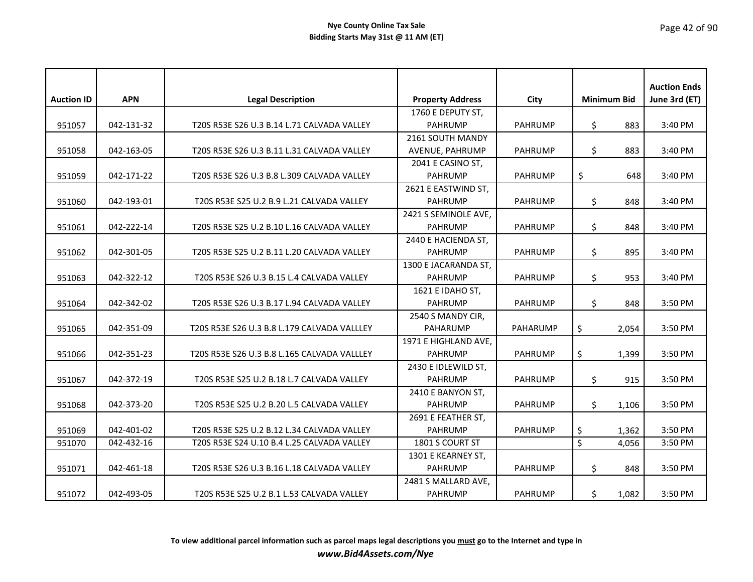| <b>Auction ID</b> | <b>APN</b> | <b>Legal Description</b>                    | <b>Property Address</b> | City            |     | <b>Minimum Bid</b> | <b>Auction Ends</b><br>June 3rd (ET) |
|-------------------|------------|---------------------------------------------|-------------------------|-----------------|-----|--------------------|--------------------------------------|
|                   |            |                                             | 1760 E DEPUTY ST,       |                 |     |                    |                                      |
| 951057            | 042-131-32 | T20S R53E S26 U.3 B.14 L.71 CALVADA VALLEY  | <b>PAHRUMP</b>          | PAHRUMP         | \$  | 883                | 3:40 PM                              |
|                   |            |                                             | 2161 SOUTH MANDY        |                 |     |                    |                                      |
| 951058            | 042-163-05 | T20S R53E S26 U.3 B.11 L.31 CALVADA VALLEY  | AVENUE, PAHRUMP         | <b>PAHRUMP</b>  | \$  | 883                | 3:40 PM                              |
|                   |            |                                             | 2041 E CASINO ST,       |                 |     |                    |                                      |
| 951059            | 042-171-22 | T20S R53E S26 U.3 B.8 L.309 CALVADA VALLEY  | <b>PAHRUMP</b>          | <b>PAHRUMP</b>  | \$  | 648                | 3:40 PM                              |
|                   |            |                                             | 2621 E EASTWIND ST,     |                 |     |                    |                                      |
| 951060            | 042-193-01 | T20S R53E S25 U.2 B.9 L.21 CALVADA VALLEY   | <b>PAHRUMP</b>          | <b>PAHRUMP</b>  | \$  | 848                | 3:40 PM                              |
|                   |            |                                             | 2421 S SEMINOLE AVE,    |                 |     |                    |                                      |
| 951061            | 042-222-14 | T20S R53E S25 U.2 B.10 L.16 CALVADA VALLEY  | <b>PAHRUMP</b>          | <b>PAHRUMP</b>  | \$  | 848                | 3:40 PM                              |
|                   |            |                                             | 2440 E HACIENDA ST,     |                 |     |                    |                                      |
| 951062            | 042-301-05 | T20S R53E S25 U.2 B.11 L.20 CALVADA VALLEY  | <b>PAHRUMP</b>          | <b>PAHRUMP</b>  | \$  | 895                | 3:40 PM                              |
|                   |            |                                             | 1300 E JACARANDA ST,    |                 |     |                    |                                      |
| 951063            | 042-322-12 | T20S R53E S26 U.3 B.15 L.4 CALVADA VALLEY   | <b>PAHRUMP</b>          | <b>PAHRUMP</b>  | \$  | 953                | 3:40 PM                              |
|                   |            |                                             | 1621 E IDAHO ST,        |                 |     |                    |                                      |
| 951064            | 042-342-02 | T20S R53E S26 U.3 B.17 L.94 CALVADA VALLEY  | <b>PAHRUMP</b>          | <b>PAHRUMP</b>  | \$  | 848                | 3:50 PM                              |
|                   |            |                                             | 2540 S MANDY CIR,       |                 |     |                    |                                      |
| 951065            | 042-351-09 | T20S R53E S26 U.3 B.8 L.179 CALVADA VALLLEY | <b>PAHARUMP</b>         | <b>PAHARUMP</b> | \$  | 2,054              | 3:50 PM                              |
|                   |            |                                             | 1971 E HIGHLAND AVE,    |                 |     |                    |                                      |
| 951066            | 042-351-23 | T20S R53E S26 U.3 B.8 L.165 CALVADA VALLLEY | <b>PAHRUMP</b>          | <b>PAHRUMP</b>  | \$  | 1,399              | 3:50 PM                              |
|                   |            |                                             | 2430 E IDLEWILD ST,     |                 |     |                    |                                      |
| 951067            | 042-372-19 | T20S R53E S25 U.2 B.18 L.7 CALVADA VALLEY   | <b>PAHRUMP</b>          | <b>PAHRUMP</b>  | \$. | 915                | 3:50 PM                              |
|                   |            |                                             | 2410 E BANYON ST,       |                 |     |                    |                                      |
| 951068            | 042-373-20 | T20S R53E S25 U.2 B.20 L.5 CALVADA VALLEY   | <b>PAHRUMP</b>          | <b>PAHRUMP</b>  | \$  | 1,106              | 3:50 PM                              |
|                   |            |                                             | 2691 E FEATHER ST,      |                 |     |                    |                                      |
| 951069            | 042-401-02 | T20S R53E S25 U.2 B.12 L.34 CALVADA VALLEY  | <b>PAHRUMP</b>          | <b>PAHRUMP</b>  | \$  | 1,362              | 3:50 PM                              |
| 951070            | 042-432-16 | T20S R53E S24 U.10 B.4 L.25 CALVADA VALLEY  | 1801 S COURT ST         |                 | \$  | 4,056              | 3:50 PM                              |
|                   |            |                                             | 1301 E KEARNEY ST,      |                 |     |                    |                                      |
| 951071            | 042-461-18 | T20S R53E S26 U.3 B.16 L.18 CALVADA VALLEY  | <b>PAHRUMP</b>          | <b>PAHRUMP</b>  | \$  | 848                | 3:50 PM                              |
|                   |            |                                             | 2481 S MALLARD AVE,     |                 |     |                    |                                      |
| 951072            | 042-493-05 | T20S R53E S25 U.2 B.1 L.53 CALVADA VALLEY   | <b>PAHRUMP</b>          | <b>PAHRUMP</b>  | \$. | 1,082              | 3:50 PM                              |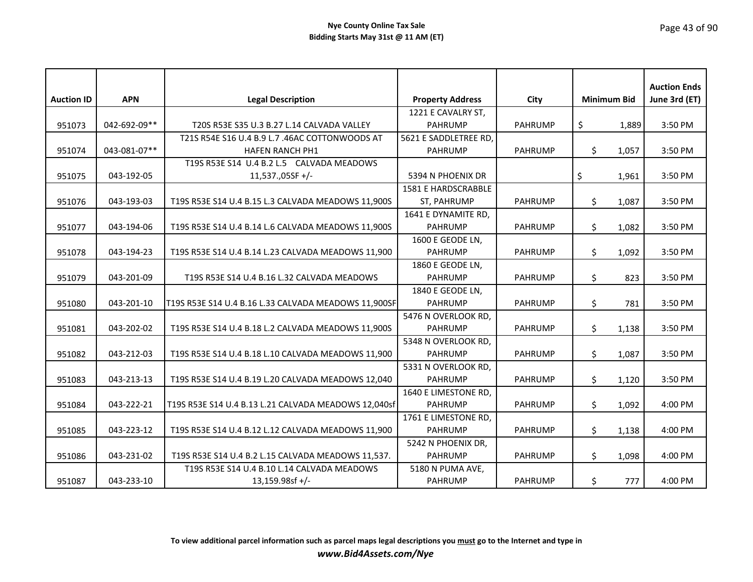| <b>Auction ID</b> | <b>APN</b>   | <b>Legal Description</b>                             | <b>Property Address</b> | City           |     | <b>Minimum Bid</b> | <b>Auction Ends</b><br>June 3rd (ET) |
|-------------------|--------------|------------------------------------------------------|-------------------------|----------------|-----|--------------------|--------------------------------------|
|                   |              |                                                      | 1221 E CAVALRY ST,      |                |     |                    |                                      |
| 951073            | 042-692-09** | T20S R53E S35 U.3 B.27 L.14 CALVADA VALLEY           | <b>PAHRUMP</b>          | <b>PAHRUMP</b> | \$  | 1,889              | 3:50 PM                              |
|                   |              | T21S R54E S16 U.4 B.9 L.7 .46AC COTTONWOODS AT       | 5621 E SADDLETREE RD,   |                |     |                    |                                      |
| 951074            | 043-081-07** | <b>HAFEN RANCH PH1</b>                               | <b>PAHRUMP</b>          | PAHRUMP        | \$. | 1,057              | 3:50 PM                              |
|                   |              | T19S R53E S14 U.4 B.2 L.5 CALVADA MEADOWS            |                         |                |     |                    |                                      |
| 951075            | 043-192-05   | 11,537.,05SF +/-                                     | 5394 N PHOENIX DR       |                | \$  | 1,961              | 3:50 PM                              |
|                   |              |                                                      | 1581 E HARDSCRABBLE     |                |     |                    |                                      |
| 951076            | 043-193-03   | T19S R53E S14 U.4 B.15 L.3 CALVADA MEADOWS 11,900S   | ST, PAHRUMP             | PAHRUMP        | \$. | 1,087              | 3:50 PM                              |
|                   |              |                                                      | 1641 E DYNAMITE RD,     |                |     |                    |                                      |
| 951077            | 043-194-06   | T19S R53E S14 U.4 B.14 L.6 CALVADA MEADOWS 11,900S   | <b>PAHRUMP</b>          | PAHRUMP        | \$  | 1,082              | 3:50 PM                              |
|                   |              |                                                      | 1600 E GEODE LN,        |                |     |                    |                                      |
| 951078            | 043-194-23   | T19S R53E S14 U.4 B.14 L.23 CALVADA MEADOWS 11,900   | <b>PAHRUMP</b>          | <b>PAHRUMP</b> | \$  | 1,092              | 3:50 PM                              |
|                   |              |                                                      | 1860 E GEODE LN,        |                |     |                    |                                      |
| 951079            | 043-201-09   | T19S R53E S14 U.4 B.16 L.32 CALVADA MEADOWS          | <b>PAHRUMP</b>          | <b>PAHRUMP</b> | \$  | 823                | 3:50 PM                              |
|                   |              |                                                      | 1840 E GEODE LN,        |                |     |                    |                                      |
| 951080            | 043-201-10   | T19S R53E S14 U.4 B.16 L.33 CALVADA MEADOWS 11,900SF | <b>PAHRUMP</b>          | PAHRUMP        | \$  | 781                | 3:50 PM                              |
|                   |              |                                                      | 5476 N OVERLOOK RD,     |                |     |                    |                                      |
| 951081            | 043-202-02   | T19S R53E S14 U.4 B.18 L.2 CALVADA MEADOWS 11,900S   | <b>PAHRUMP</b>          | <b>PAHRUMP</b> | \$  | 1,138              | 3:50 PM                              |
|                   |              |                                                      | 5348 N OVERLOOK RD,     |                |     |                    |                                      |
| 951082            | 043-212-03   | T19S R53E S14 U.4 B.18 L.10 CALVADA MEADOWS 11,900   | <b>PAHRUMP</b>          | PAHRUMP        | \$. | 1,087              | 3:50 PM                              |
|                   |              |                                                      | 5331 N OVERLOOK RD,     |                |     |                    |                                      |
| 951083            | 043-213-13   | T19S R53E S14 U.4 B.19 L.20 CALVADA MEADOWS 12,040   | <b>PAHRUMP</b>          | PAHRUMP        | \$  | 1,120              | 3:50 PM                              |
|                   |              |                                                      | 1640 E LIMESTONE RD,    |                |     |                    |                                      |
| 951084            | 043-222-21   | T19S R53E S14 U.4 B.13 L.21 CALVADA MEADOWS 12,040sf | <b>PAHRUMP</b>          | PAHRUMP        | \$  | 1,092              | 4:00 PM                              |
|                   |              |                                                      | 1761 E LIMESTONE RD,    |                |     |                    |                                      |
| 951085            | 043-223-12   | T19S R53E S14 U.4 B.12 L.12 CALVADA MEADOWS 11,900   | <b>PAHRUMP</b>          | PAHRUMP        | \$  | 1,138              | 4:00 PM                              |
|                   |              |                                                      | 5242 N PHOENIX DR,      |                |     |                    |                                      |
| 951086            | 043-231-02   | T19S R53E S14 U.4 B.2 L.15 CALVADA MEADOWS 11,537.   | <b>PAHRUMP</b>          | <b>PAHRUMP</b> | \$  | 1,098              | 4:00 PM                              |
|                   |              | T19S R53E S14 U.4 B.10 L.14 CALVADA MEADOWS          | 5180 N PUMA AVE,        |                |     |                    |                                      |
| 951087            | 043-233-10   | $13,159.98$ sf +/-                                   | <b>PAHRUMP</b>          | <b>PAHRUMP</b> | \$  | 777                | 4:00 PM                              |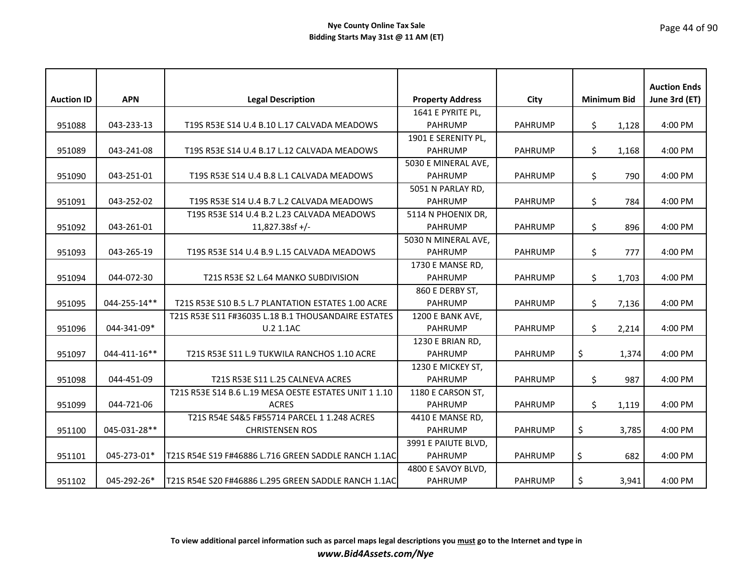| <b>Auction ID</b> | <b>APN</b>   | <b>Legal Description</b>                              | <b>Property Address</b> | City           | <b>Minimum Bid</b> | <b>Auction Ends</b><br>June 3rd (ET) |
|-------------------|--------------|-------------------------------------------------------|-------------------------|----------------|--------------------|--------------------------------------|
|                   |              |                                                       | 1641 E PYRITE PL,       |                |                    |                                      |
| 951088            | 043-233-13   | T19S R53E S14 U.4 B.10 L.17 CALVADA MEADOWS           | <b>PAHRUMP</b>          | <b>PAHRUMP</b> | \$<br>1,128        | 4:00 PM                              |
|                   |              |                                                       | 1901 E SERENITY PL,     |                |                    |                                      |
| 951089            | 043-241-08   | T19S R53E S14 U.4 B.17 L.12 CALVADA MEADOWS           | <b>PAHRUMP</b>          | <b>PAHRUMP</b> | \$<br>1,168        | 4:00 PM                              |
|                   |              |                                                       | 5030 E MINERAL AVE,     |                |                    |                                      |
| 951090            | 043-251-01   | T19S R53E S14 U.4 B.8 L.1 CALVADA MEADOWS             | <b>PAHRUMP</b>          | <b>PAHRUMP</b> | \$<br>790          | 4:00 PM                              |
|                   |              |                                                       | 5051 N PARLAY RD,       |                |                    |                                      |
| 951091            | 043-252-02   | T19S R53E S14 U.4 B.7 L.2 CALVADA MEADOWS             | <b>PAHRUMP</b>          | <b>PAHRUMP</b> | \$<br>784          | 4:00 PM                              |
|                   |              | T19S R53E S14 U.4 B.2 L.23 CALVADA MEADOWS            | 5114 N PHOENIX DR,      |                |                    |                                      |
| 951092            | 043-261-01   | $11,827.38$ sf +/-                                    | <b>PAHRUMP</b>          | <b>PAHRUMP</b> | \$<br>896          | 4:00 PM                              |
|                   |              |                                                       | 5030 N MINERAL AVE,     |                |                    |                                      |
| 951093            | 043-265-19   | T19S R53E S14 U.4 B.9 L.15 CALVADA MEADOWS            | <b>PAHRUMP</b>          | <b>PAHRUMP</b> | \$<br>777          | 4:00 PM                              |
|                   |              |                                                       | 1730 E MANSE RD,        |                |                    |                                      |
| 951094            | 044-072-30   | T21S R53E S2 L.64 MANKO SUBDIVISION                   | <b>PAHRUMP</b>          | <b>PAHRUMP</b> | \$<br>1,703        | 4:00 PM                              |
|                   |              |                                                       | 860 E DERBY ST,         |                |                    |                                      |
| 951095            | 044-255-14** | T21S R53E S10 B.5 L.7 PLANTATION ESTATES 1.00 ACRE    | <b>PAHRUMP</b>          | <b>PAHRUMP</b> | \$<br>7,136        | 4:00 PM                              |
|                   |              | T21S R53E S11 F#36035 L.18 B.1 THOUSANDAIRE ESTATES   | 1200 E BANK AVE,        |                |                    |                                      |
| 951096            | 044-341-09*  | U.2 1.1AC                                             | <b>PAHRUMP</b>          | <b>PAHRUMP</b> | \$<br>2,214        | 4:00 PM                              |
|                   |              |                                                       | 1230 E BRIAN RD,        |                |                    |                                      |
| 951097            | 044-411-16** | T21S R53E S11 L.9 TUKWILA RANCHOS 1.10 ACRE           | <b>PAHRUMP</b>          | <b>PAHRUMP</b> | \$<br>1,374        | 4:00 PM                              |
|                   |              |                                                       | 1230 E MICKEY ST,       |                |                    |                                      |
| 951098            | 044-451-09   | T21S R53E S11 L.25 CALNEVA ACRES                      | <b>PAHRUMP</b>          | <b>PAHRUMP</b> | \$<br>987          | 4:00 PM                              |
|                   |              | T21S R53E S14 B.6 L.19 MESA OESTE ESTATES UNIT 1 1.10 | 1180 E CARSON ST,       |                |                    |                                      |
| 951099            | 044-721-06   | <b>ACRES</b>                                          | <b>PAHRUMP</b>          | <b>PAHRUMP</b> | \$<br>1,119        | 4:00 PM                              |
|                   |              | T21S R54E S4&5 F#55714 PARCEL 1 1.248 ACRES           | 4410 E MANSE RD,        |                |                    |                                      |
| 951100            | 045-031-28** | <b>CHRISTENSEN ROS</b>                                | <b>PAHRUMP</b>          | <b>PAHRUMP</b> | \$<br>3,785        | 4:00 PM                              |
|                   |              |                                                       | 3991 E PAIUTE BLVD,     |                |                    |                                      |
| 951101            | 045-273-01*  | T21S R54E S19 F#46886 L.716 GREEN SADDLE RANCH 1.1AC  | <b>PAHRUMP</b>          | <b>PAHRUMP</b> | \$<br>682          | 4:00 PM                              |
|                   |              |                                                       | 4800 E SAVOY BLVD,      |                |                    |                                      |
| 951102            | 045-292-26*  | T21S R54E S20 F#46886 L.295 GREEN SADDLE RANCH 1.1AC  | <b>PAHRUMP</b>          | <b>PAHRUMP</b> | \$<br>3,941        | 4:00 PM                              |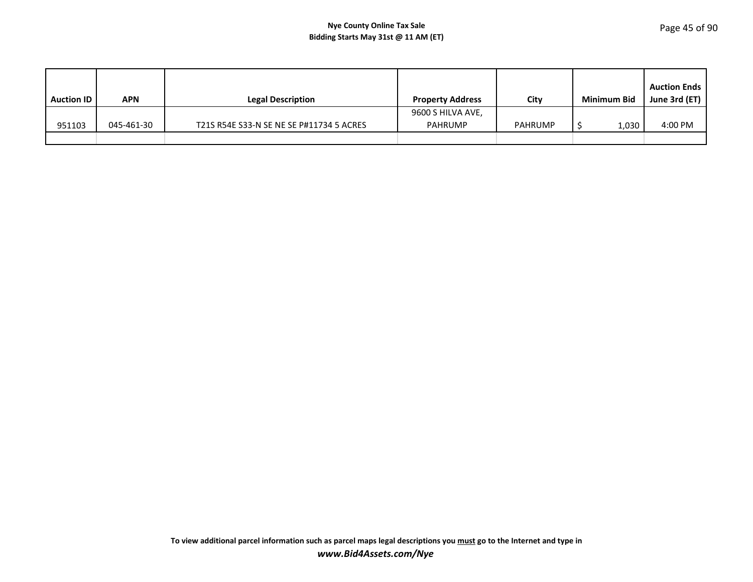| <b>Auction ID</b> | APN        | <b>Legal Description</b>                 | <b>Property Address</b> | City           | <b>Minimum Bid</b> | <b>Auction Ends</b><br>June 3rd (ET) $\vert$ |
|-------------------|------------|------------------------------------------|-------------------------|----------------|--------------------|----------------------------------------------|
|                   |            |                                          | 9600 S HILVA AVE,       |                |                    |                                              |
| 951103            | 045-461-30 | T21S R54E S33-N SE NE SE P#11734 5 ACRES | <b>PAHRUMP</b>          | <b>PAHRUMP</b> | 1,030              | 4:00 PM                                      |
|                   |            |                                          |                         |                |                    |                                              |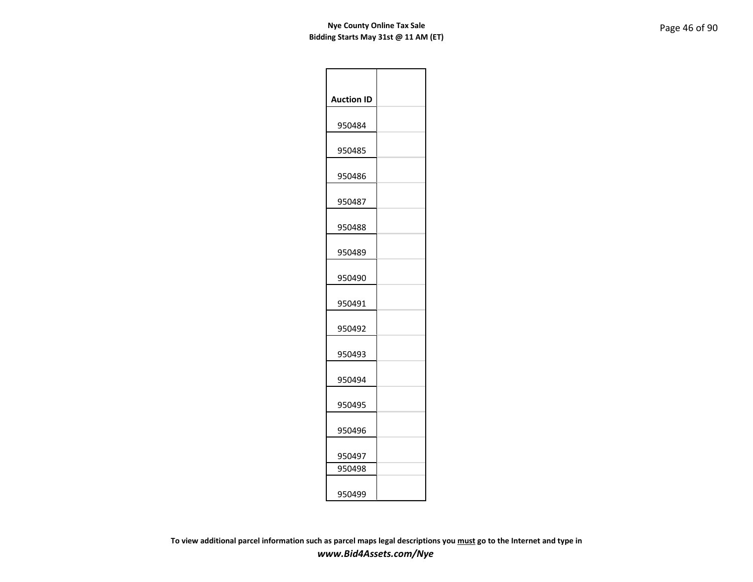| <b>Auction ID</b> |  |
|-------------------|--|
| 950484            |  |
| 950485            |  |
| 950486            |  |
| 950487            |  |
| 950488            |  |
| 950489            |  |
| 950490            |  |
| 950491            |  |
| 950492            |  |
| 950493            |  |
| 950494            |  |
| 950495            |  |
| 950496            |  |
| 950497            |  |
| 950498            |  |
| 950499            |  |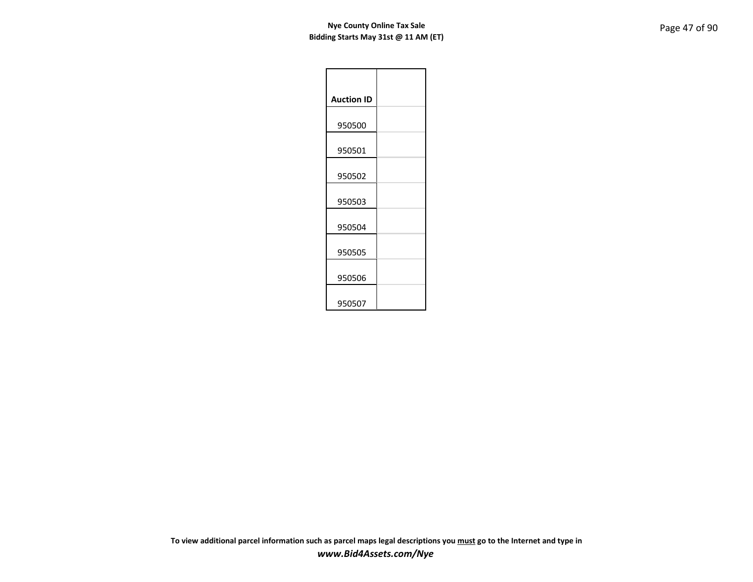| <b>Auction ID</b> |  |
|-------------------|--|
| 950500            |  |
| 950501            |  |
| 950502            |  |
| 950503            |  |
| 950504            |  |
| 950505            |  |
| 950506            |  |
| 950507            |  |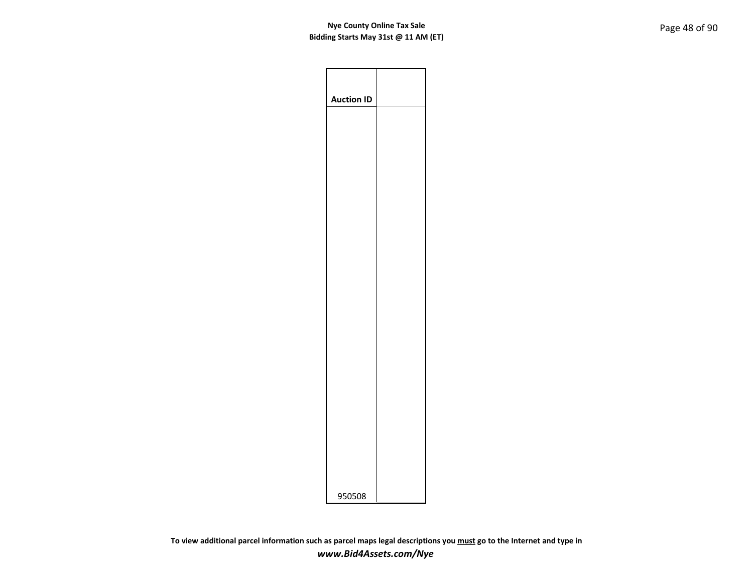| <b>Auction ID</b> |  |
|-------------------|--|
|                   |  |
|                   |  |
|                   |  |
|                   |  |
|                   |  |
|                   |  |
|                   |  |
|                   |  |
|                   |  |
|                   |  |
|                   |  |
| 950508            |  |
|                   |  |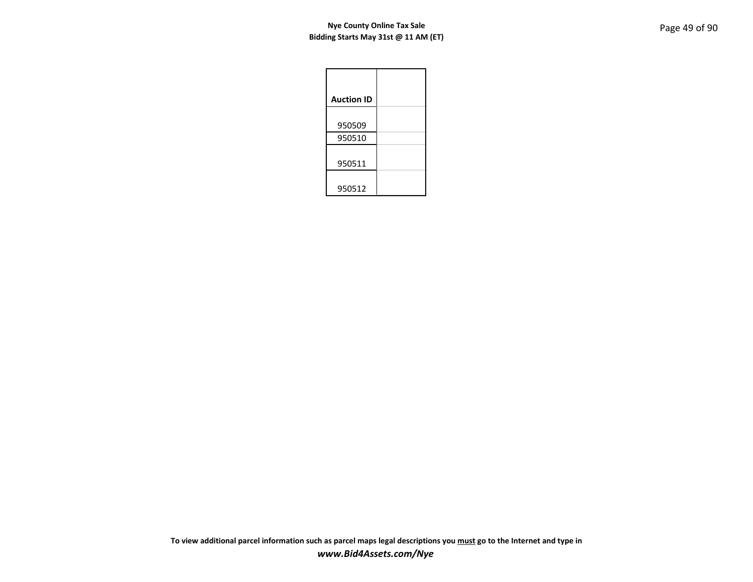| <b>Auction ID</b> |
|-------------------|
| 950509            |
| 950510            |
| 950511            |
| 950512            |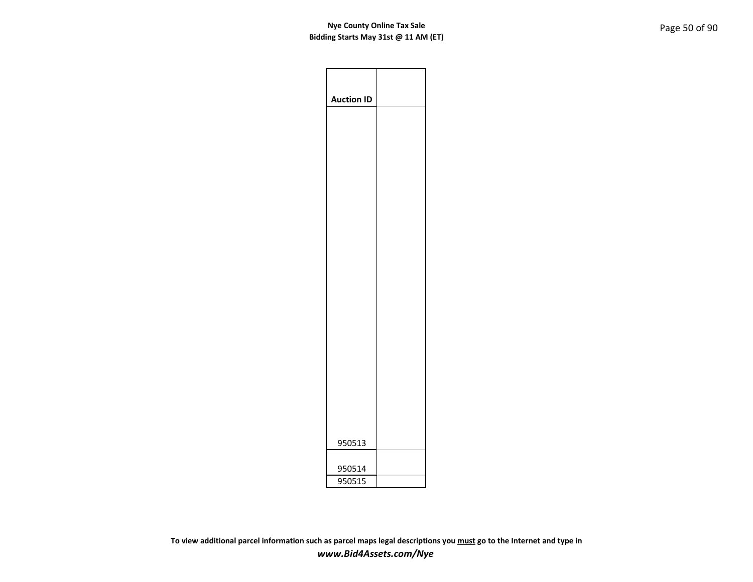| <b>Auction ID</b> |  |
|-------------------|--|
|                   |  |
|                   |  |
|                   |  |
|                   |  |
|                   |  |
|                   |  |
|                   |  |
|                   |  |
|                   |  |
|                   |  |
|                   |  |
|                   |  |
|                   |  |
|                   |  |
|                   |  |
|                   |  |
|                   |  |
|                   |  |
|                   |  |
|                   |  |
|                   |  |
| 950513            |  |
|                   |  |
| 950514            |  |
| 950515            |  |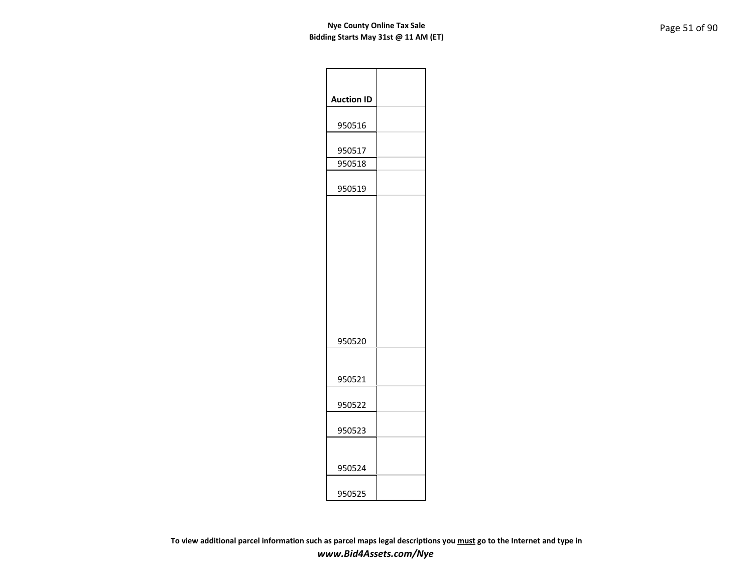| <b>Auction ID</b> |  |
|-------------------|--|
| 950516            |  |
| 950517            |  |
| 950518            |  |
| 950519            |  |
| 950520            |  |
| 950521            |  |
| 950522            |  |
| 950523            |  |
| 950524            |  |
| 950525            |  |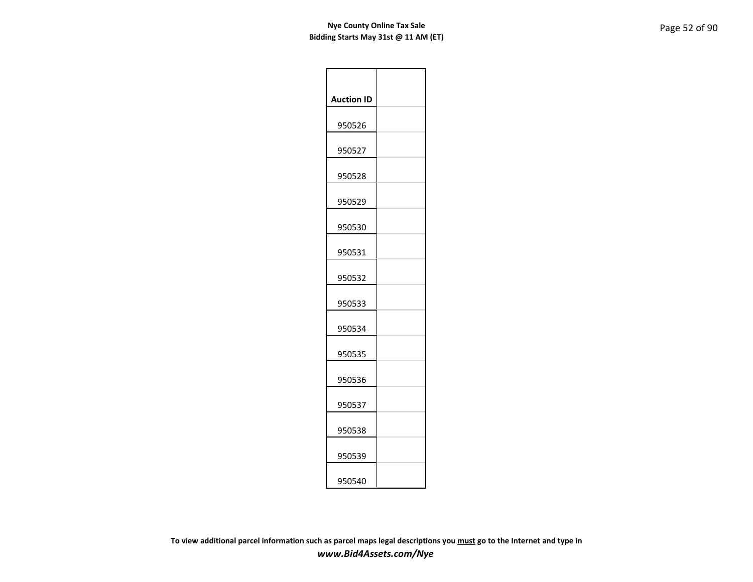| <b>Auction ID</b> |  |
|-------------------|--|
| 950526            |  |
| 950527            |  |
| 950528            |  |
| 950529            |  |
| 950530            |  |
| 950531            |  |
| 950532            |  |
| 950533            |  |
| 950534            |  |
| 950535            |  |
| 950536            |  |
| 950537            |  |
| 950538            |  |
| 950539            |  |
| 950540            |  |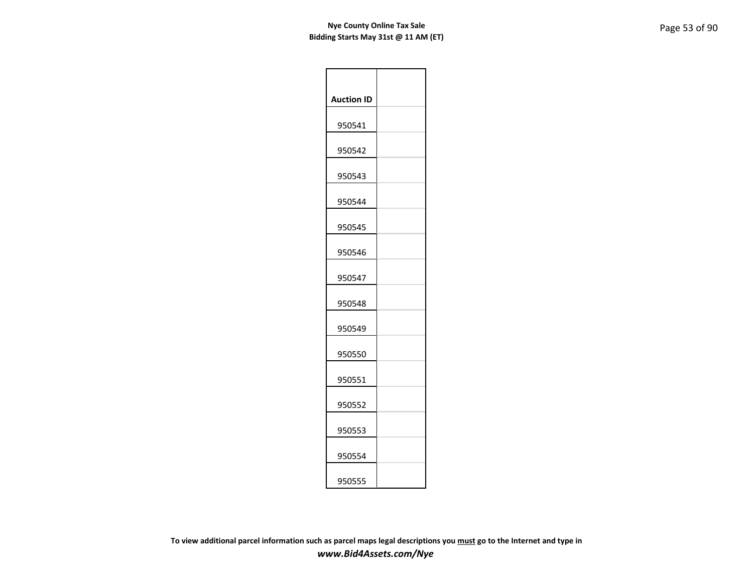| <b>Auction ID</b> |  |
|-------------------|--|
| 950541            |  |
| 950542            |  |
| 950543            |  |
| 950544            |  |
| 950545            |  |
| 950546            |  |
| 950547            |  |
| 950548            |  |
| 950549            |  |
| 950550            |  |
| 950551            |  |
| 950552            |  |
| 950553            |  |
| 950554            |  |
| 950555            |  |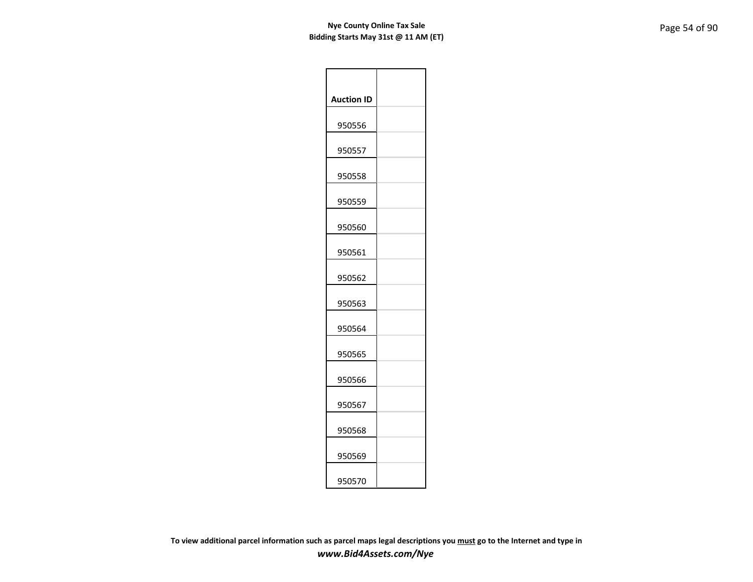| <b>Auction ID</b> |  |
|-------------------|--|
| 950556            |  |
| 950557            |  |
| 950558            |  |
| 950559            |  |
| 950560            |  |
| 950561            |  |
| 950562            |  |
| 950563            |  |
| 950564            |  |
| 950565            |  |
| 950566            |  |
| 950567            |  |
| 950568            |  |
| 950569            |  |
| 950570            |  |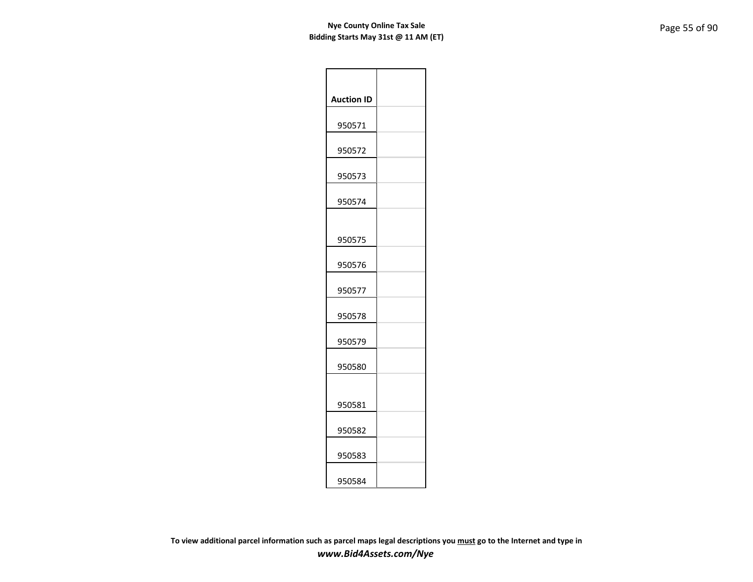| <b>Auction ID</b> |  |
|-------------------|--|
| 950571            |  |
| 950572            |  |
| 950573            |  |
| 950574            |  |
|                   |  |
| 950575            |  |
| 950576            |  |
| 950577            |  |
| 950578            |  |
| 950579            |  |
| 950580            |  |
|                   |  |
| 950581            |  |
| 950582            |  |
| 950583            |  |
| 950584            |  |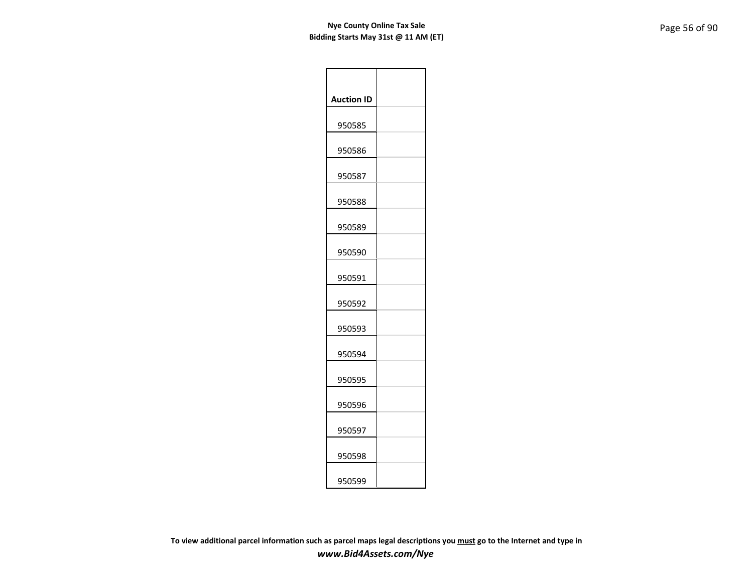| <b>Auction ID</b> |  |
|-------------------|--|
| 950585            |  |
| 950586            |  |
| 950587            |  |
| 950588            |  |
| 950589            |  |
| 950590            |  |
| 950591            |  |
| 950592            |  |
| 950593            |  |
| 950594            |  |
| 950595            |  |
| 950596            |  |
| 950597            |  |
| 950598            |  |
| 950599            |  |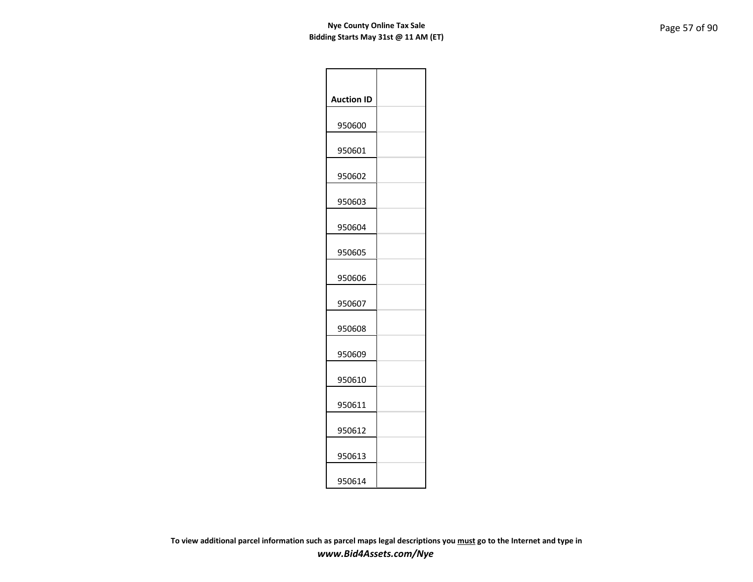| <b>Auction ID</b> |  |
|-------------------|--|
| 950600            |  |
| 950601            |  |
| 950602            |  |
| 950603            |  |
| 950604            |  |
| 950605            |  |
| 950606            |  |
| 950607            |  |
| 950608            |  |
| 950609            |  |
| 950610            |  |
| 950611            |  |
| 950612            |  |
| 950613            |  |
| 950614            |  |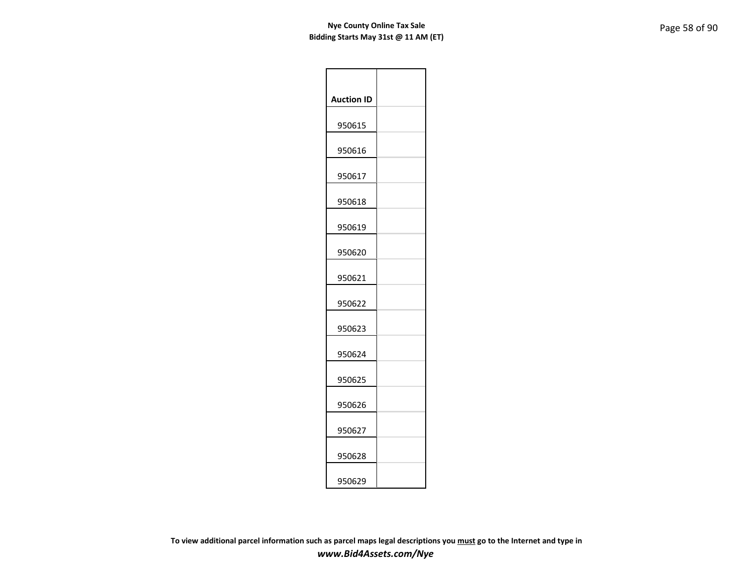| <b>Auction ID</b> |  |
|-------------------|--|
| 950615            |  |
| 950616            |  |
| 950617            |  |
| 950618            |  |
| 950619            |  |
| 950620            |  |
| 950621            |  |
| 950622            |  |
| 950623            |  |
| 950624            |  |
| 950625            |  |
| 950626            |  |
| 950627            |  |
| 950628            |  |
| 950629            |  |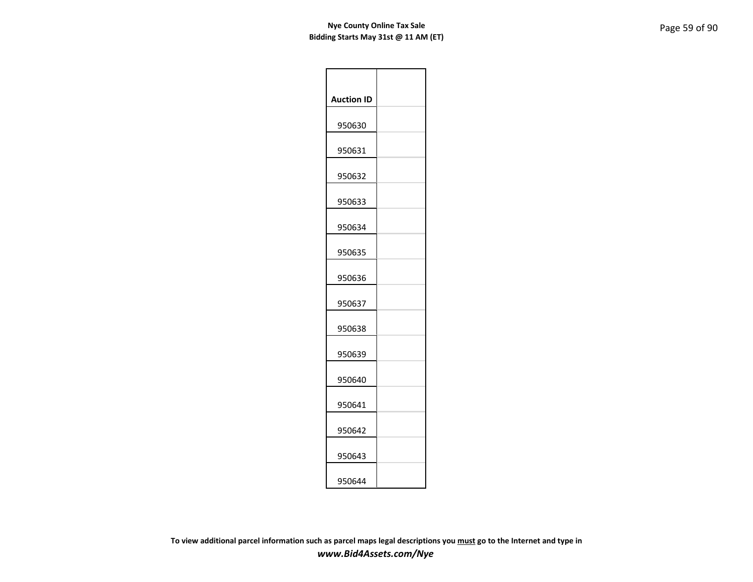| <b>Auction ID</b> |  |
|-------------------|--|
| 950630            |  |
| 950631            |  |
| 950632            |  |
| 950633            |  |
| 950634            |  |
| 950635            |  |
| 950636            |  |
| 950637            |  |
| 950638            |  |
| 950639            |  |
| 950640            |  |
| 950641            |  |
| 950642            |  |
| 950643            |  |
| 950644            |  |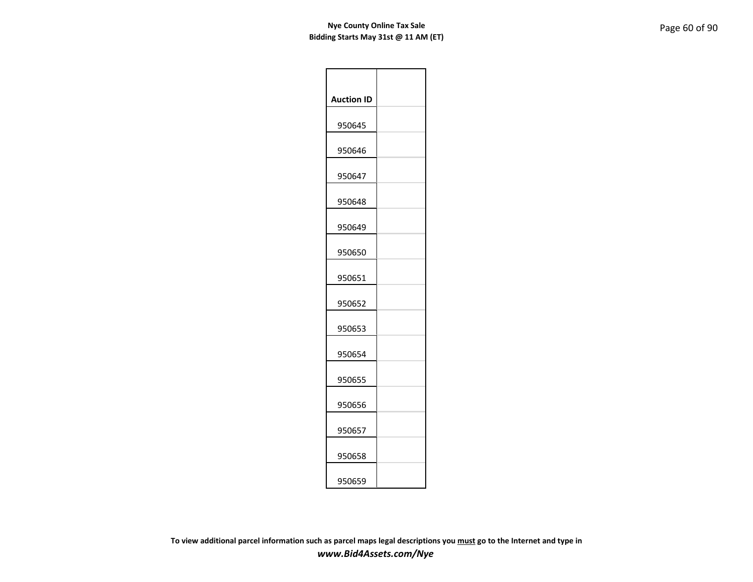| <b>Auction ID</b> |  |
|-------------------|--|
| 950645            |  |
| 950646            |  |
| 950647            |  |
| 950648            |  |
| 950649            |  |
| 950650            |  |
| 950651            |  |
| 950652            |  |
| 950653            |  |
| 950654            |  |
| 950655            |  |
| 950656            |  |
| 950657            |  |
| 950658            |  |
| 950659            |  |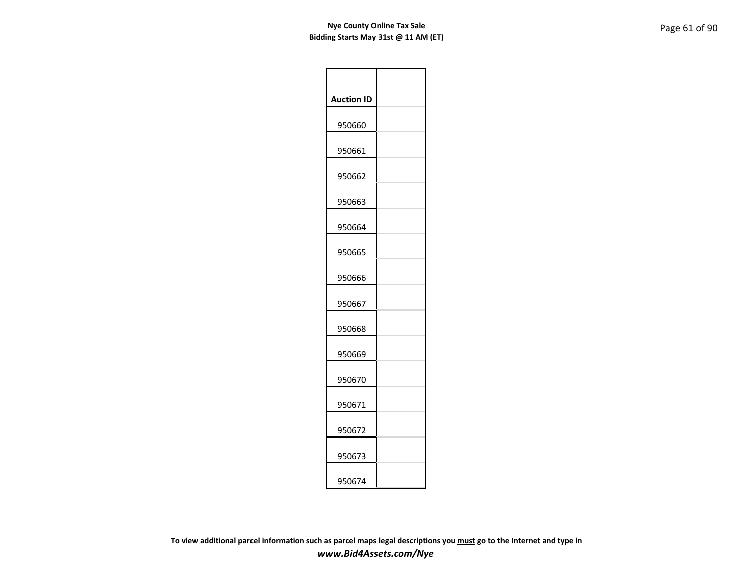| <b>Auction ID</b> |  |
|-------------------|--|
| 950660            |  |
| 950661            |  |
| 950662            |  |
| 950663            |  |
| 950664            |  |
| 950665            |  |
| 950666            |  |
| 950667            |  |
| 950668            |  |
| 950669            |  |
| 950670            |  |
| 950671            |  |
| 950672            |  |
| 950673            |  |
| 950674            |  |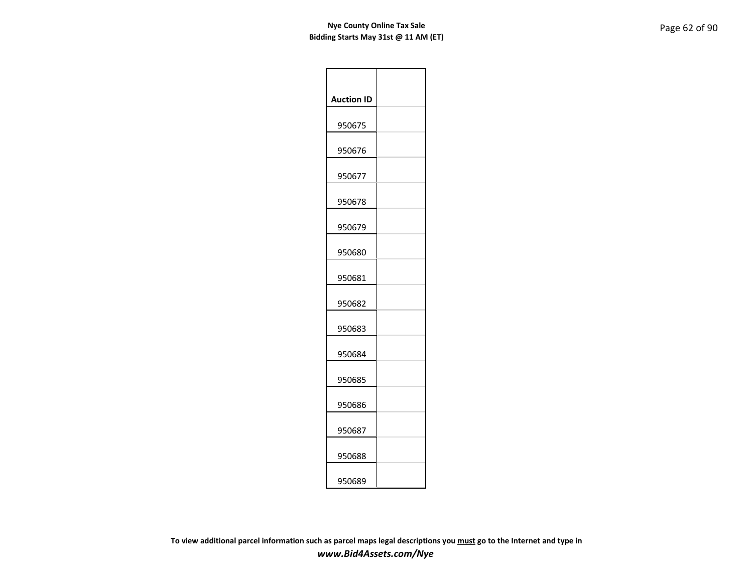| <b>Auction ID</b> |  |
|-------------------|--|
| 950675            |  |
| 950676            |  |
| 950677            |  |
| 950678            |  |
| 950679            |  |
| 950680            |  |
| 950681            |  |
| 950682            |  |
| 950683            |  |
| 950684            |  |
| 950685            |  |
| 950686            |  |
| 950687            |  |
| 950688            |  |
| 950689            |  |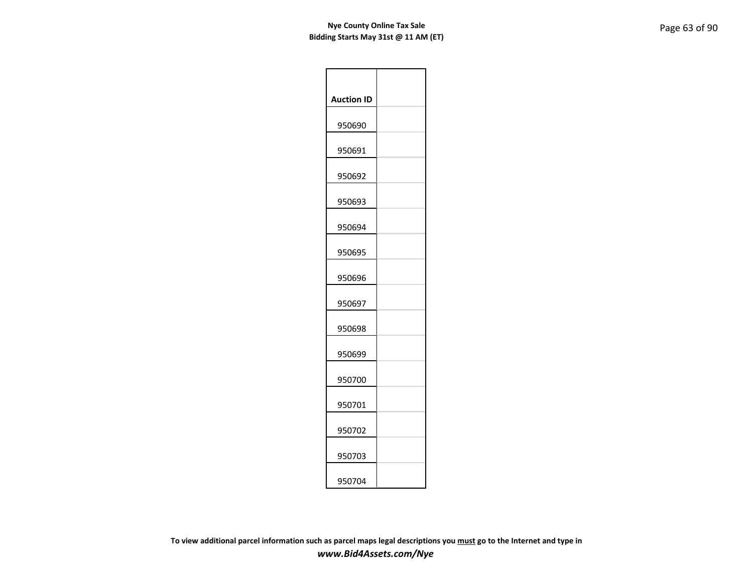| <b>Auction ID</b> |  |
|-------------------|--|
| 950690            |  |
| 950691            |  |
| 950692            |  |
| 950693            |  |
| 950694            |  |
| 950695            |  |
| 950696            |  |
| 950697            |  |
| 950698            |  |
| 950699            |  |
| 950700            |  |
| 950701            |  |
| 950702            |  |
| 950703            |  |
| 950704            |  |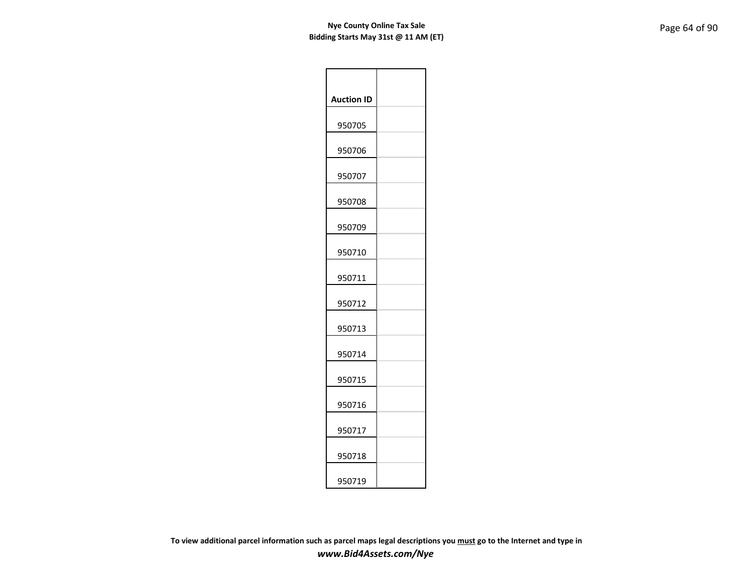| <b>Auction ID</b> |  |
|-------------------|--|
| 950705            |  |
| 950706            |  |
| 950707            |  |
| 950708            |  |
| 950709            |  |
| 950710            |  |
| 950711            |  |
| 950712            |  |
| 950713            |  |
| 950714            |  |
| 950715            |  |
| 950716            |  |
| 950717            |  |
| 950718            |  |
| 950719            |  |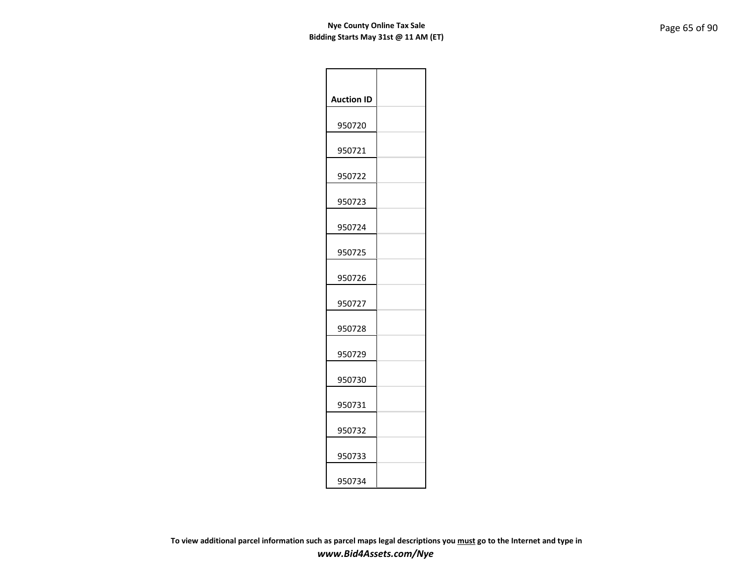| <b>Auction ID</b> |  |
|-------------------|--|
| 950720            |  |
| 950721            |  |
| 950722            |  |
| 950723            |  |
| 950724            |  |
| 950725            |  |
| 950726            |  |
| 950727            |  |
| 950728            |  |
| 950729            |  |
| 950730            |  |
| 950731            |  |
| 950732            |  |
| 950733            |  |
| 950734            |  |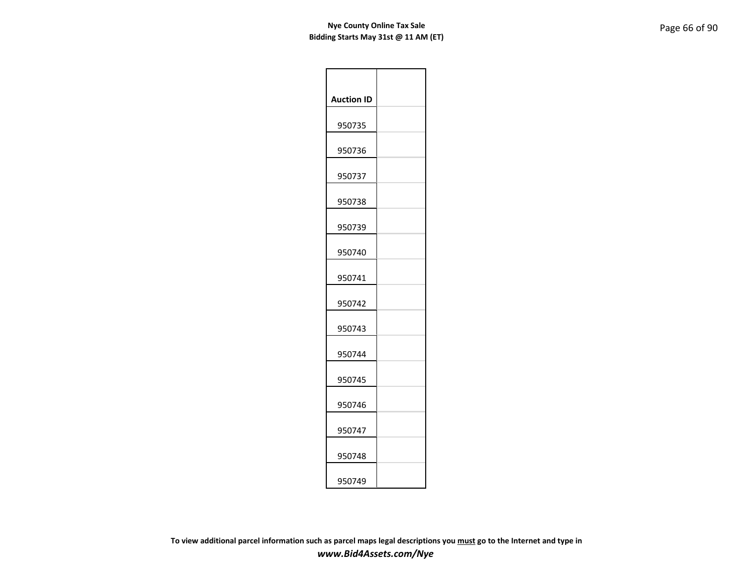| <b>Auction ID</b> |  |
|-------------------|--|
| 950735            |  |
| 950736            |  |
| 950737            |  |
| 950738            |  |
| 950739            |  |
| 950740            |  |
| 950741            |  |
| 950742            |  |
| 950743            |  |
| 950744            |  |
| 950745            |  |
| 950746            |  |
| 950747            |  |
| 950748            |  |
| 950749            |  |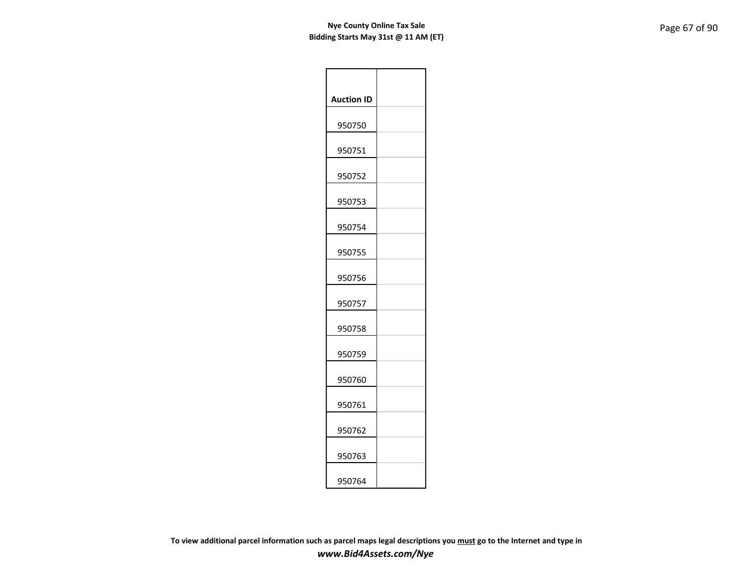| <b>Auction ID</b> |  |
|-------------------|--|
| 950750            |  |
| 950751            |  |
| 950752            |  |
| 950753            |  |
| 950754            |  |
| 950755            |  |
| 950756            |  |
| 950757            |  |
| 950758            |  |
| 950759            |  |
| 950760            |  |
| 950761            |  |
| 950762            |  |
| 950763            |  |
| 950764            |  |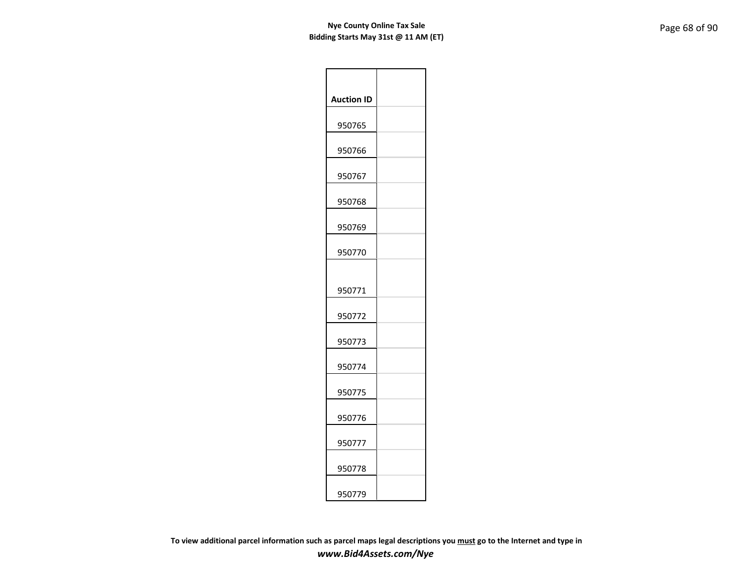| <b>Auction ID</b> |  |
|-------------------|--|
| 950765            |  |
| 950766            |  |
| 950767            |  |
| 950768            |  |
| 950769            |  |
| 950770            |  |
|                   |  |
| 950771            |  |
| 950772            |  |
| 950773            |  |
| 950774            |  |
| 950775            |  |
| 950776            |  |
| 950777            |  |
| 950778            |  |
| 950779            |  |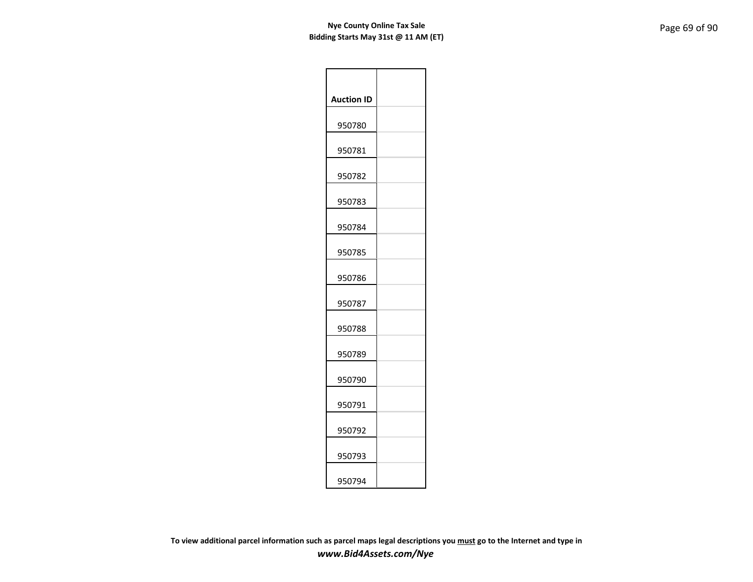| <b>Auction ID</b> |  |
|-------------------|--|
| 950780            |  |
| 950781            |  |
| 950782            |  |
| 950783            |  |
| 950784            |  |
| 950785            |  |
| 950786            |  |
| 950787            |  |
| 950788            |  |
| 950789            |  |
| 950790            |  |
| 950791            |  |
| 950792            |  |
| 950793            |  |
| 950794            |  |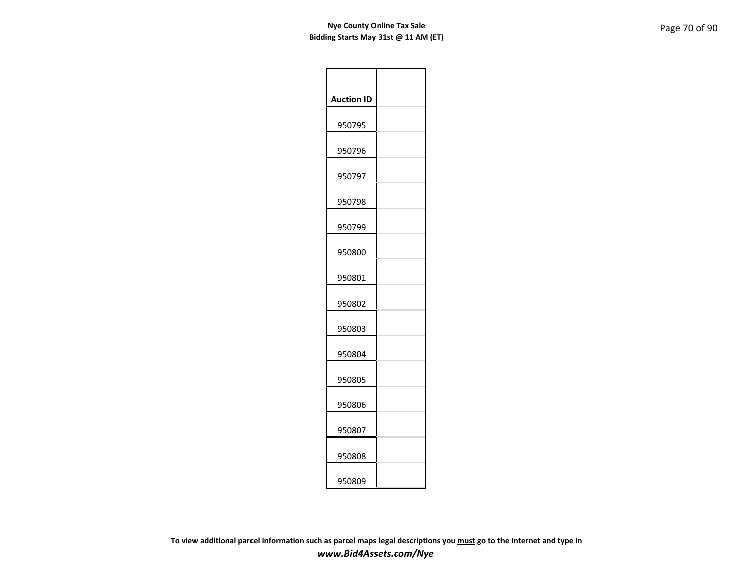| <b>Auction ID</b> |  |
|-------------------|--|
| 950795            |  |
| 950796            |  |
| 950797            |  |
| 950798            |  |
| 950799            |  |
| 950800            |  |
| 950801            |  |
| 950802            |  |
| 950803            |  |
| 950804            |  |
| 950805            |  |
| 950806            |  |
| 950807            |  |
| 950808            |  |
| 950809            |  |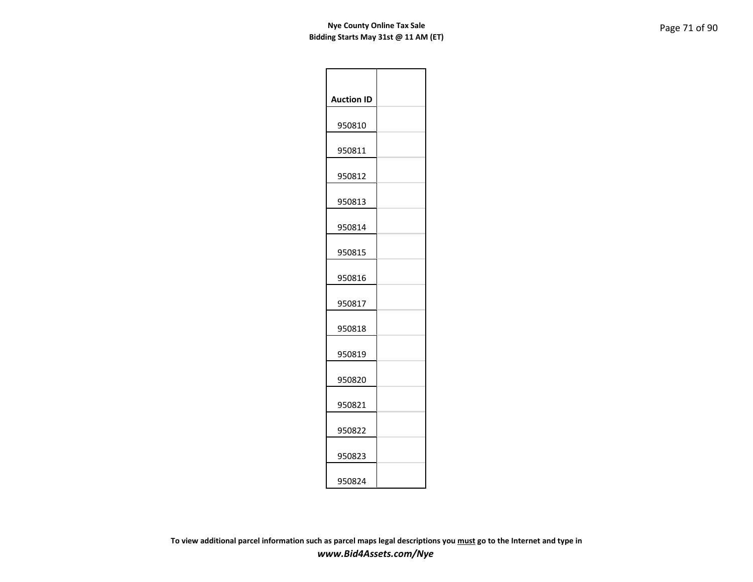| <b>Auction ID</b> |  |
|-------------------|--|
| 950810            |  |
| 950811            |  |
| 950812            |  |
| 950813            |  |
| 950814            |  |
| 950815            |  |
| 950816            |  |
| 950817            |  |
| 950818            |  |
| 950819            |  |
| 950820            |  |
| 950821            |  |
| 950822            |  |
| 950823            |  |
| 950824            |  |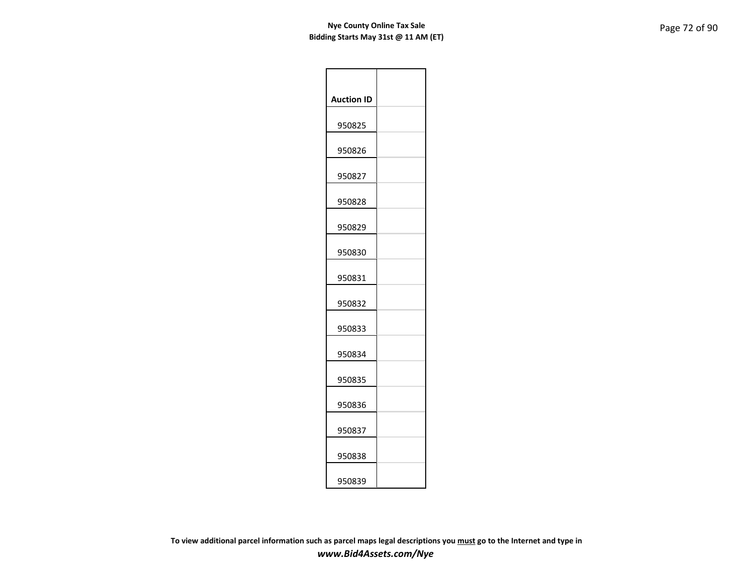| <b>Auction ID</b> |  |
|-------------------|--|
| 950825            |  |
| 950826            |  |
| 950827            |  |
| 950828            |  |
| 950829            |  |
| 950830            |  |
| 950831            |  |
| 950832            |  |
| 950833            |  |
| 950834            |  |
| 950835            |  |
| 950836            |  |
| 950837            |  |
| 950838            |  |
| 950839            |  |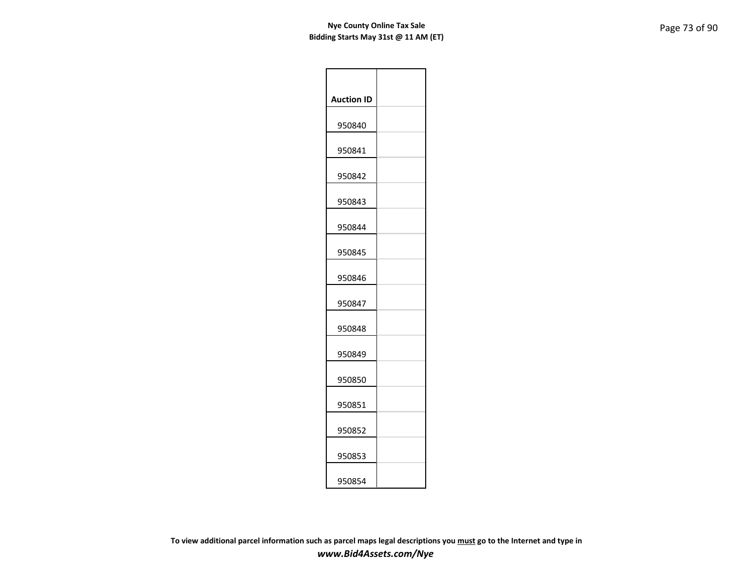| <b>Auction ID</b> |  |
|-------------------|--|
| 950840            |  |
| 950841            |  |
| 950842            |  |
| 950843            |  |
| 950844            |  |
| 950845            |  |
| 950846            |  |
| 950847            |  |
| 950848            |  |
| 950849            |  |
| 950850            |  |
| 950851            |  |
| 950852            |  |
| 950853            |  |
| 950854            |  |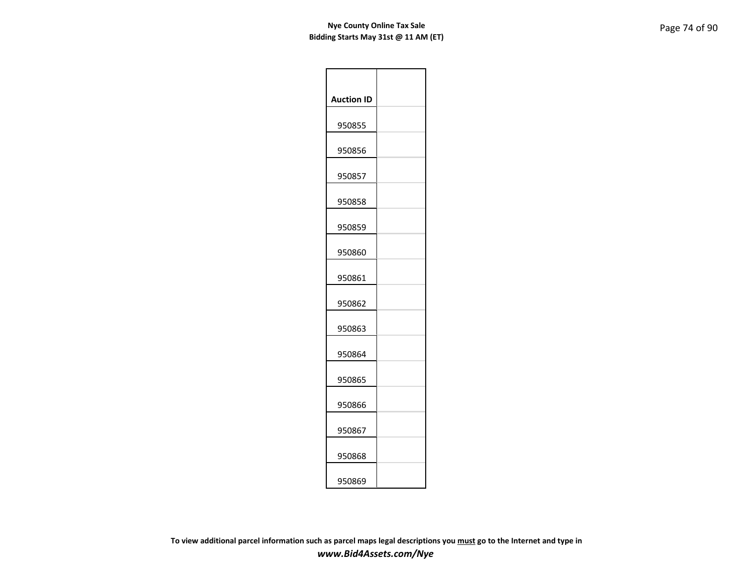| <b>Auction ID</b> |  |
|-------------------|--|
| 950855            |  |
| 950856            |  |
| 950857            |  |
| 950858            |  |
| 950859            |  |
| 950860            |  |
| 950861            |  |
| 950862            |  |
| 950863            |  |
| 950864            |  |
| 950865            |  |
| 950866            |  |
| 950867            |  |
| 950868            |  |
| 950869            |  |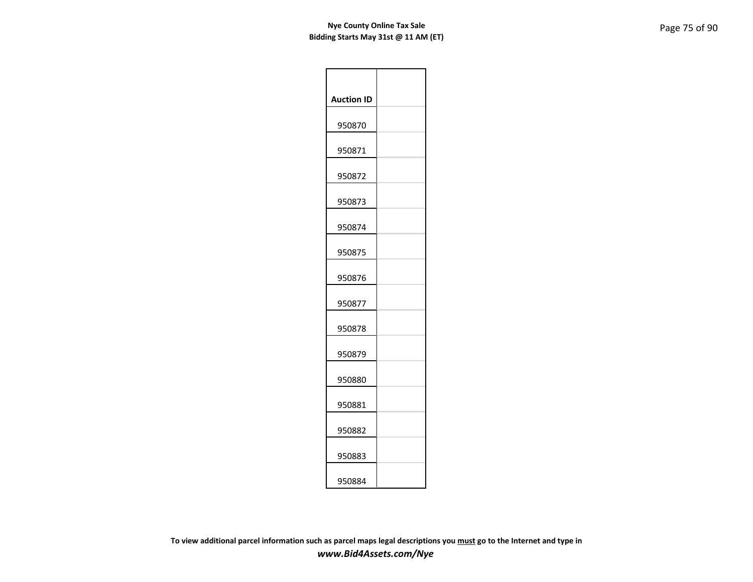| <b>Auction ID</b> |  |
|-------------------|--|
| 950870            |  |
| 950871            |  |
| 950872            |  |
| 950873            |  |
| 950874            |  |
| 950875            |  |
| 950876            |  |
| 950877            |  |
| 950878            |  |
| 950879            |  |
| 950880            |  |
| 950881            |  |
| 950882            |  |
| 950883            |  |
| 950884            |  |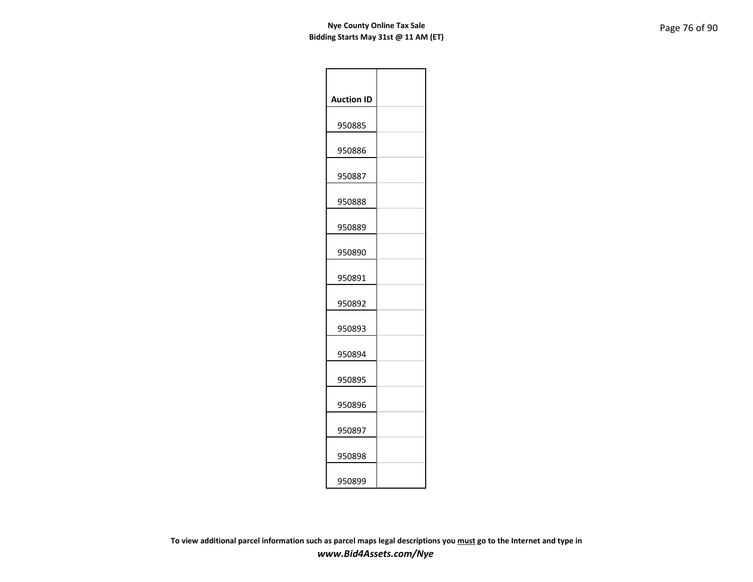| <b>Auction ID</b> |  |
|-------------------|--|
| 950885            |  |
| 950886            |  |
| 950887            |  |
| 950888            |  |
| 950889            |  |
| 950890            |  |
| 950891            |  |
| 950892            |  |
| 950893            |  |
| 950894            |  |
| 950895            |  |
| 950896            |  |
| 950897            |  |
| 950898            |  |
| 950899            |  |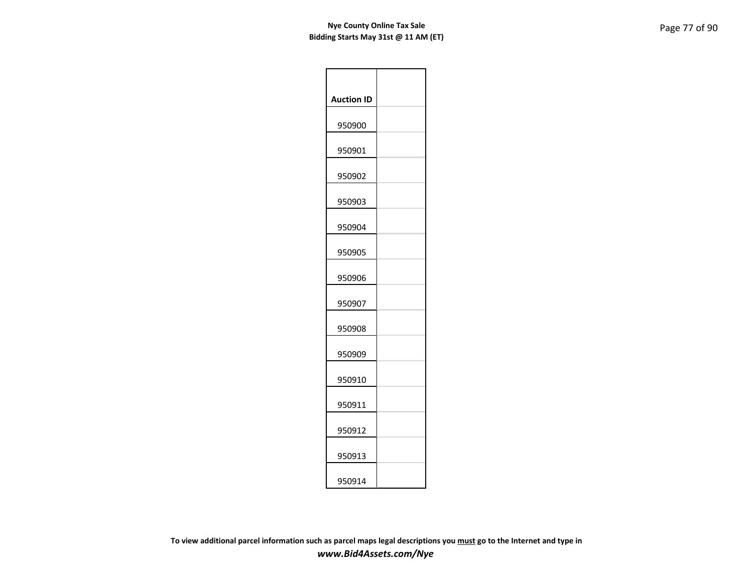| <b>Auction ID</b> |  |
|-------------------|--|
| 950900            |  |
| 950901            |  |
| 950902            |  |
| 950903            |  |
| 950904            |  |
| 950905            |  |
| 950906            |  |
| 950907            |  |
| 950908            |  |
| 950909            |  |
| 950910            |  |
| 950911            |  |
| 950912            |  |
| 950913            |  |
| 950914            |  |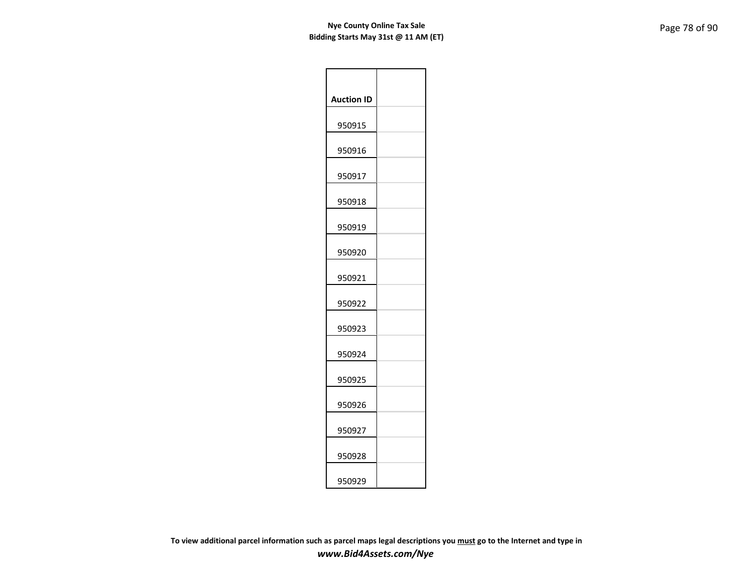| <b>Auction ID</b> |  |
|-------------------|--|
| 950915            |  |
| 950916            |  |
| 950917            |  |
| 950918            |  |
| 950919            |  |
| 950920            |  |
| 950921            |  |
| 950922            |  |
| 950923            |  |
| 950924            |  |
| 950925            |  |
| 950926            |  |
| 950927            |  |
| 950928            |  |
| 950929            |  |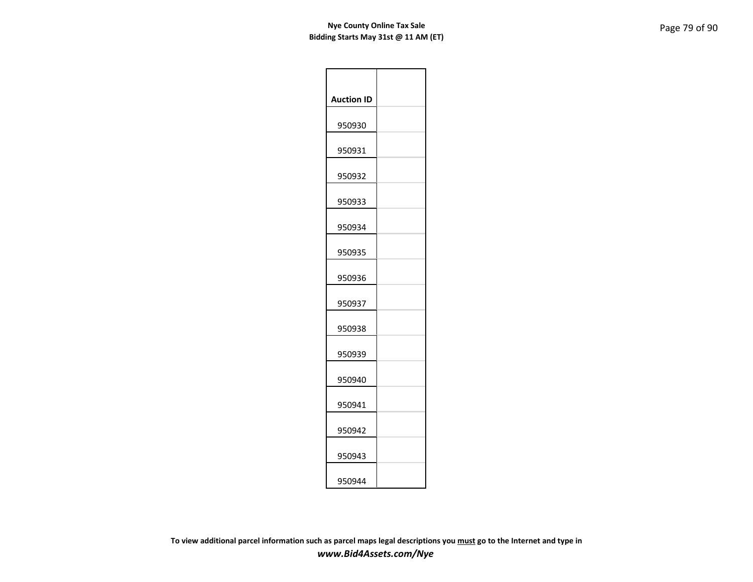| <b>Auction ID</b> |  |
|-------------------|--|
| 950930            |  |
| 950931            |  |
| 950932            |  |
| 950933            |  |
| 950934            |  |
| 950935            |  |
| 950936            |  |
| 950937            |  |
| 950938            |  |
| 950939            |  |
| 950940            |  |
| 950941            |  |
| 950942            |  |
| 950943            |  |
| 950944            |  |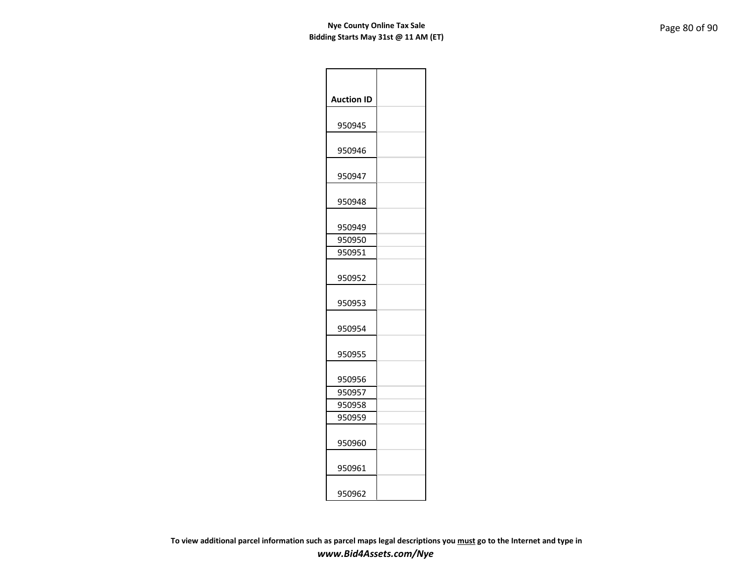| <b>Auction ID</b> |  |
|-------------------|--|
| 950945            |  |
| 950946            |  |
| 950947            |  |
| 950948            |  |
| 950949            |  |
| 950950            |  |
| 950951            |  |
| 950952            |  |
| 950953            |  |
| 950954            |  |
| 950955            |  |
| 950956            |  |
| 950957            |  |
| 950958            |  |
| 950959            |  |
| 950960            |  |
| 950961            |  |
| 950962            |  |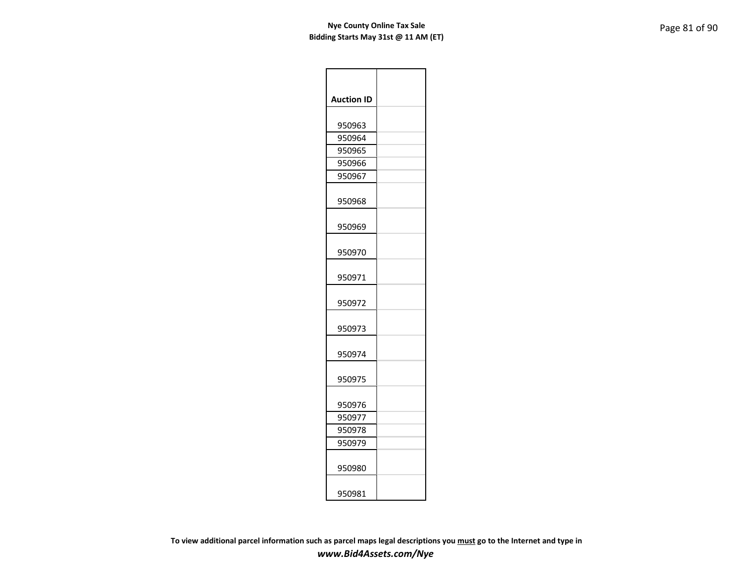| <b>Auction ID</b> |  |
|-------------------|--|
|                   |  |
| 950963            |  |
| 950964            |  |
| 950965            |  |
| 950966            |  |
| 950967            |  |
| 950968            |  |
| 950969            |  |
| 950970            |  |
| 950971            |  |
| 950972            |  |
| 950973            |  |
| 950974            |  |
| 950975            |  |
| 950976            |  |
| 950977            |  |
| 950978            |  |
| 950979            |  |
| 950980            |  |
| 950981            |  |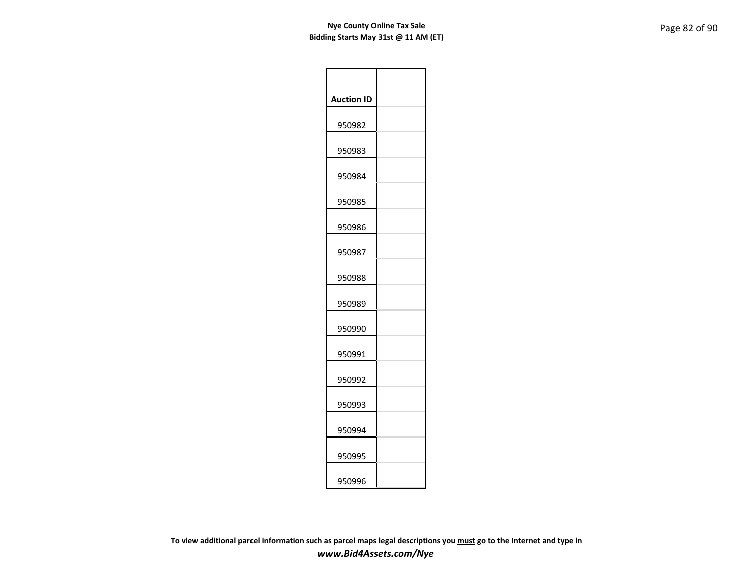| <b>Auction ID</b> |  |
|-------------------|--|
| 950982            |  |
| 950983            |  |
| 950984            |  |
| 950985            |  |
| 950986            |  |
| 950987            |  |
| 950988            |  |
| 950989            |  |
| 950990            |  |
| 950991            |  |
| 950992            |  |
| 950993            |  |
| 950994            |  |
| 950995            |  |
| 950996            |  |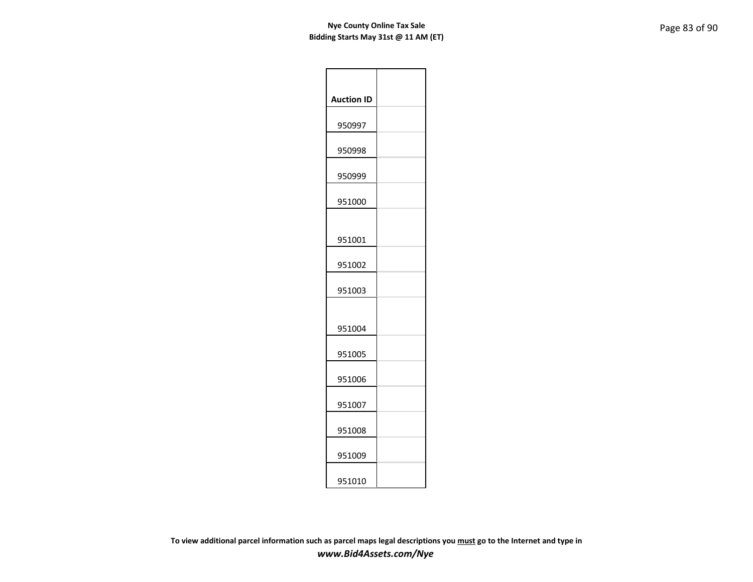| <b>Auction ID</b> |  |
|-------------------|--|
| 950997            |  |
| 950998            |  |
| 950999            |  |
| 951000            |  |
|                   |  |
| 951001            |  |
| 951002            |  |
| 951003            |  |
|                   |  |
| 951004            |  |
| 951005            |  |
| 951006            |  |
| 951007            |  |
| 951008            |  |
| 951009            |  |
| 951010            |  |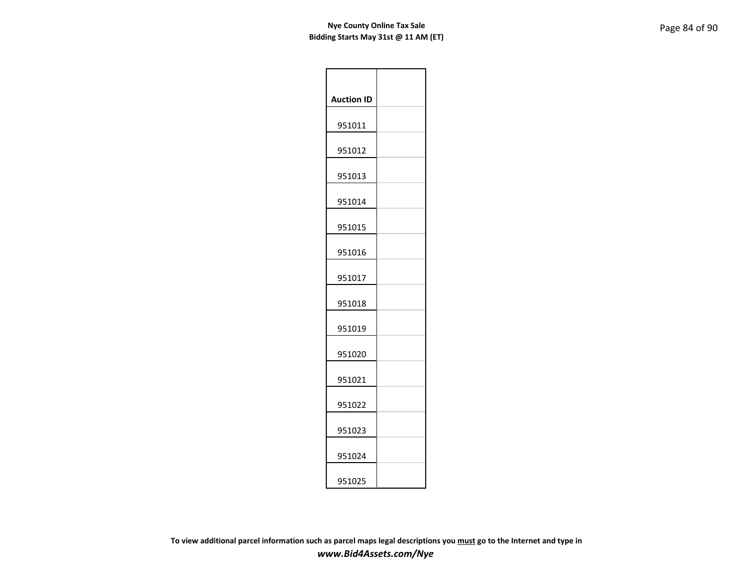| <b>Auction ID</b> |  |
|-------------------|--|
| 951011            |  |
| 951012            |  |
| 951013            |  |
| 951014            |  |
| 951015            |  |
| 951016            |  |
| 951017            |  |
| 951018            |  |
| 951019            |  |
| 951020            |  |
| 951021            |  |
| 951022            |  |
| 951023            |  |
| 951024            |  |
| 951025            |  |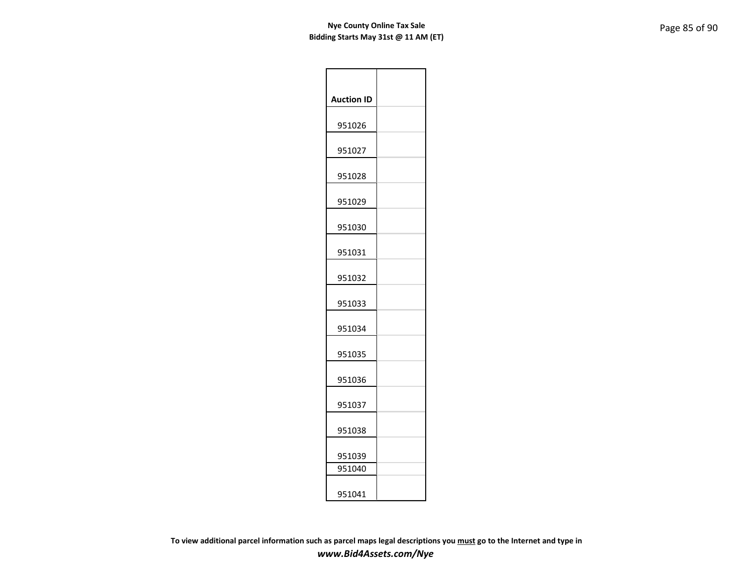| <b>Auction ID</b> |  |
|-------------------|--|
| 951026            |  |
| 951027            |  |
| 951028            |  |
| 951029            |  |
| 951030            |  |
| 951031            |  |
| 951032            |  |
| 951033            |  |
| 951034            |  |
| 951035            |  |
| 951036            |  |
| 951037            |  |
| 951038            |  |
| 951039            |  |
| 951040            |  |
| 951041            |  |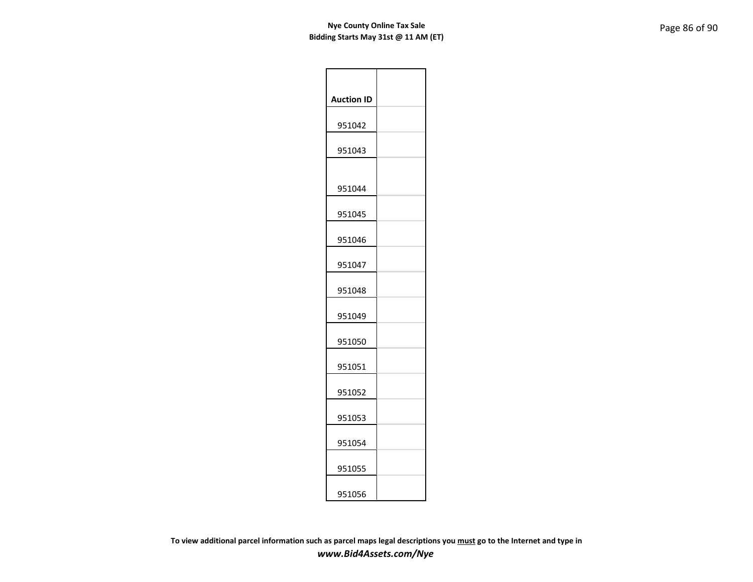| <b>Auction ID</b> |  |
|-------------------|--|
| 951042            |  |
| 951043            |  |
| 951044            |  |
| 951045            |  |
| 951046            |  |
| 951047            |  |
| 951048            |  |
| 951049            |  |
| 951050            |  |
| 951051            |  |
| 951052            |  |
| 951053            |  |
| 951054            |  |
| 951055            |  |
| 951056            |  |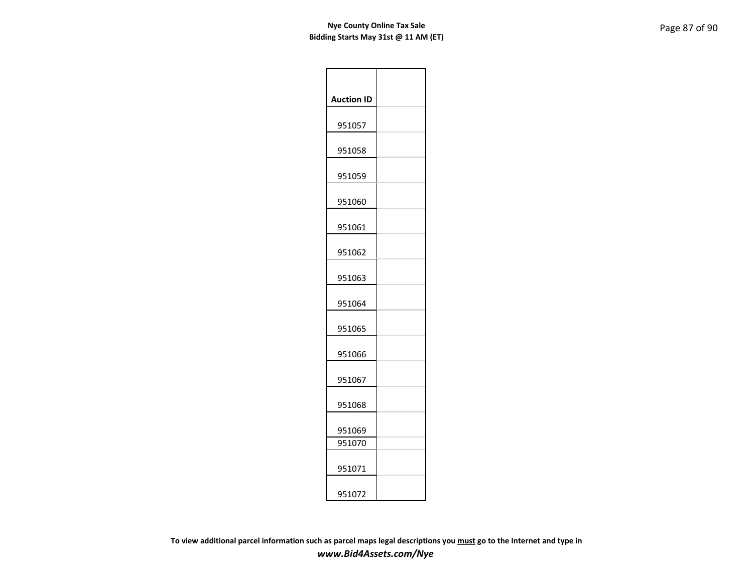| <b>Auction ID</b> |  |
|-------------------|--|
| 951057            |  |
| 951058            |  |
| 951059            |  |
| 951060            |  |
| 951061            |  |
| 951062            |  |
| 951063            |  |
| 951064            |  |
| 951065            |  |
| 951066            |  |
| 951067            |  |
| 951068            |  |
| 951069            |  |
| 951070            |  |
| 951071            |  |
| 951072            |  |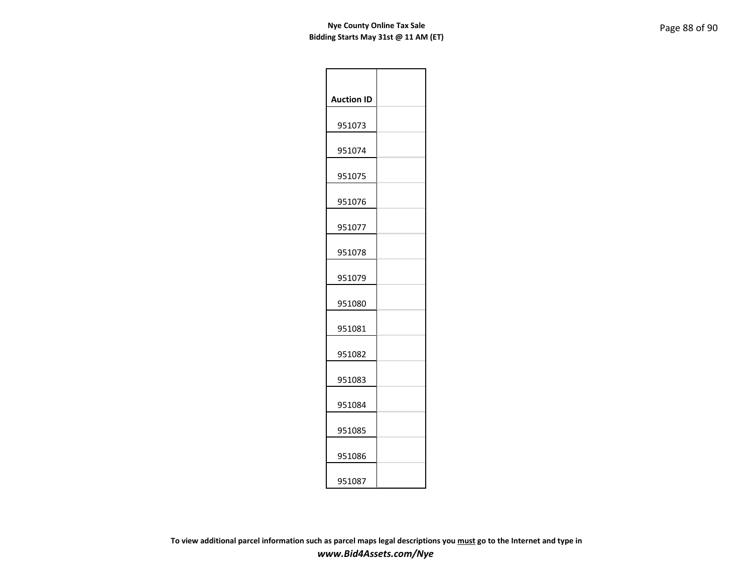| <b>Auction ID</b> |  |
|-------------------|--|
| 951073            |  |
| 951074            |  |
| 951075            |  |
| 951076            |  |
| 951077            |  |
| 951078            |  |
| 951079            |  |
| 951080            |  |
| 951081            |  |
| 951082            |  |
| 951083            |  |
| 951084            |  |
| 951085            |  |
| 951086            |  |
| 951087            |  |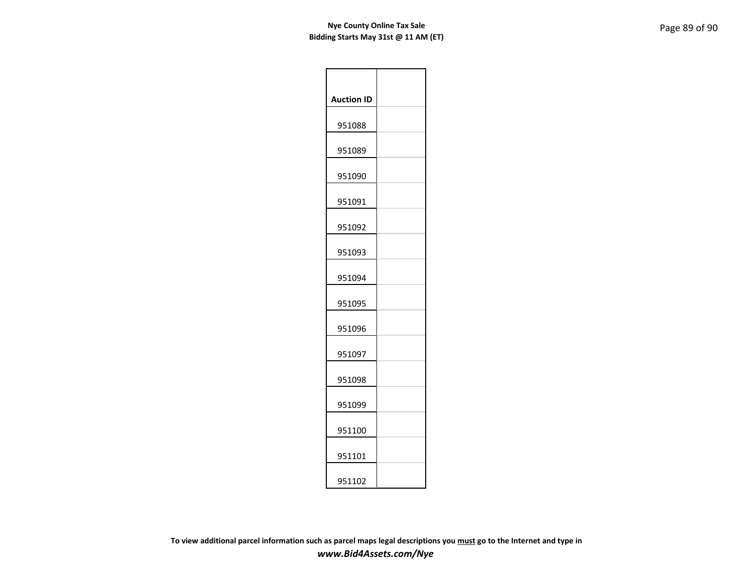| <b>Auction ID</b> |  |
|-------------------|--|
| 951088            |  |
| 951089            |  |
| 951090            |  |
| 951091            |  |
| 951092            |  |
| 951093            |  |
| 951094            |  |
| 951095            |  |
| 951096            |  |
| 951097            |  |
| 951098            |  |
| 951099            |  |
| 951100            |  |
| 951101            |  |
| 951102            |  |